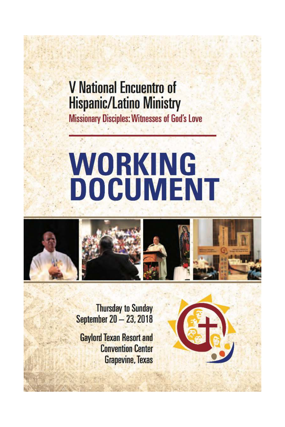# **V** National Encuentro of **Hispanic/Latino Ministry**

**Missionary Disciples: Witnesses of God's Love** 

# **WORKING DOCUMENT**



**Thursday to Sunday September 20 - 23, 2018** 

**Gaylord Texan Resort and Convention Center Grapevine, Texas** 

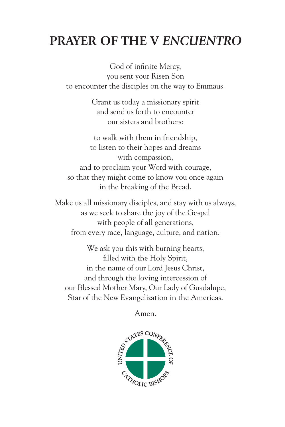# **PRAYER OF THE V** *ENCUENTRO*

God of infinite Mercy, you sent your Risen Son to encounter the disciples on the way to Emmaus.

> Grant us today a missionary spirit and send us forth to encounter our sisters and brothers:

to walk with them in friendship, to listen to their hopes and dreams with compassion, and to proclaim your Word with courage, so that they might come to know you once again in the breaking of the Bread.

Make us all missionary disciples, and stay with us always, as we seek to share the joy of the Gospel with people of all generations, from every race, language, culture, and nation.

We ask you this with burning hearts, filled with the Holy Spirit, in the name of our Lord Jesus Christ, and through the loving intercession of our Blessed Mother Mary, Our Lady of Guadalupe, Star of the New Evangelization in the Americas.

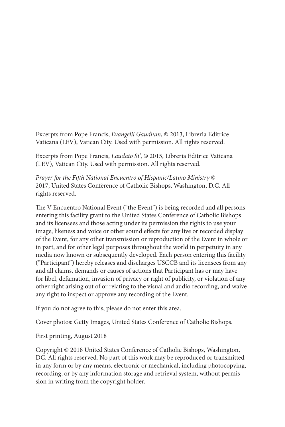Excerpts from Pope Francis, Evangelii Gaudium, © 2013, Libreria Editrice Vaticana (LEV), Vatican City. Used with permission. All rights reserved.

Excerpts from Pope Francis, Laudato Si', © 2015, Libreria Editrice Vaticana (LEV), Vatican City. Used with permission. All rights reserved.

Prayer for the Fifth National Encuentro of Hispanic/Latino Ministry © 2017, United States Conference of Catholic Bishops, Washington, D.C. All rights reserved.

The V Encuentro National Event ("the Event") is being recorded and all persons entering this facility grant to the United States Conference of Catholic Bishops and its licensees and those acting under its permission the rights to use your image, likeness and voice or other sound effects for any live or recorded display of the Event, for any other transmission or reproduction of the Event in whole or in part, and for other legal purposes throughout the world in perpetuity in any media now known or subsequently developed. Each person entering this facility ("Participant") hereby releases and discharges USCCB and its licensees from any and all claims, demands or causes of actions that Participant has or may have for libel, defamation, invasion of privacy or right of publicity, or violation of any other right arising out of or relating to the visual and audio recording, and waive any right to inspect or approve any recording of the Event.

If you do not agree to this, please do not enter this area.

Cover photos: Getty Images, United States Conference of Catholic Bishops.

First printing, August 2018

Copyright © 2018 United States Conference of Catholic Bishops, Washington, DC. All rights reserved. No part of this work may be reproduced or transmitted in any form or by any means, electronic or mechanical, including photocopying, recording, or by any information storage and retrieval system, without permission in writing from the copyright holder.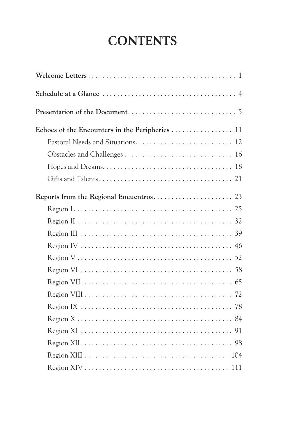# **CONTENTS**

| Echoes of the Encounters in the Peripheries 11 |
|------------------------------------------------|
|                                                |
|                                                |
|                                                |
|                                                |
|                                                |
|                                                |
|                                                |
|                                                |
|                                                |
|                                                |
|                                                |
|                                                |
|                                                |
|                                                |
|                                                |
|                                                |
|                                                |
|                                                |
|                                                |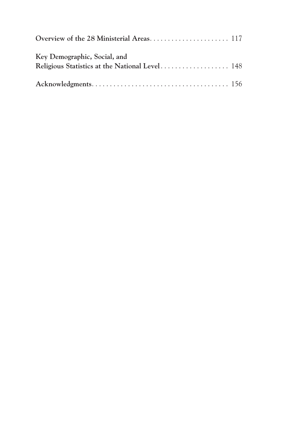| Key Demographic, Social, and |  |
|------------------------------|--|
|                              |  |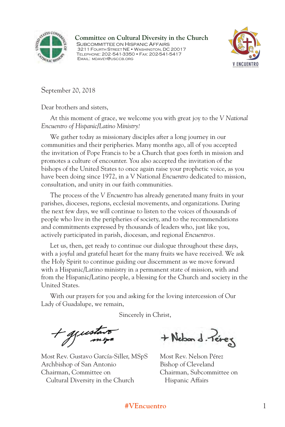

Committee on Cultural Diversity in the Church SUBCOMMITTEE ON HISPANIC AFFAIRS 3211 FOURTH STREET NE . WASHINGTON, DC 20017 TELEPHONE: 202-541-3350 • FAX: 202-541-5417<br>EMAIL: MDAVEY@USCCB.ORG EMAIL: MDAVEY@USCCB.ORG



September 20, 2018

Dear brothers and sisters,

At this moment of grace, we welcome you with great joy to the *V National Encuentro of Hispanic/Latino Ministry!*

We gather today as missionary disciples after a long journey in our communities and their peripheries. Many months ago, all of you accepted the invitation of Pope Francis to be a Church that goes forth in mission and promotes a culture of encounter. You also accepted the invitation of the bishops of the United States to once again raise your prophetic voice, as you have been doing since 1972, in a V National *Encuentro* dedicated to mission, consultation, and unity in our faith communities.

The process of the *V Encuentro* has already generated many fruits in your parishes, dioceses, regions, ecclesial movements, and organizations. During the next few days, we will continue to listen to the voices of thousands of people who live in the peripheries of society, and to the recommendations and commitments expressed by thousands of leaders who, just like you, actively participated in parish, diocesan, and regional *Encuentros.* 

Let us, then, get ready to continue our dialogue throughout these days, with a joyful and grateful heart for the many fruits we have received. We ask the Holy Spirit to continue guiding our discernment as we move forward with a Hispanic/Latino ministry in a permanent state of mission, with and from the Hispanic/Latino people, a blessing for the Church and society in the United States.

With our prayers for you and asking for the loving intercession of Our Lady of Guadalupe, we remain,

Sincerely in Christ,

+ guestavo

Most Rev. Gustavo García-Siller, MSpS Most Rev. Nelson Pérez Archbishop of San Antonio Bishop of Cleveland Chairman, Committee on Chairman, Subcommittee on Cultural Diversity in the Church Hispanic Affairs

+ Nebon d. Perez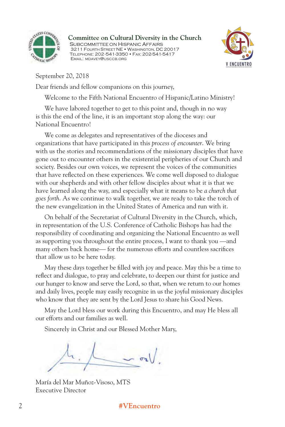

Committee on Cultural Diversity in the Church SUBCOMMITTEE ON HISPANIC AFFAIRS 3211 FOURTH STREET NE •WASHINGTON, DC 20017 **TELEPHONE: 202-541-3350 • FAX: 202-541-5417**<br>EMAIL: MDAVEY@USCCB.ORG EMAIL: MDAVEY@USCCB.ORG



September 20, 2018

Dear friends and fellow companions on this journey,

Welcome to the Fifth National Encuentro of Hispanic/Latino Ministry!

We have labored together to get to this point and, though in no way is this the end of the line, it is an important stop along the way: our National Encuentro!

We come as delegates and representatives of the dioceses and organizations that have participated in this *process of encounter*. We bring with us the stories and recommendations of the missionary disciples that have gone out to encounter others in the existential peripheries of our Church and society. Besides our own voices, we represent the voices of the communities that have reflected on these experiences. We come well disposed to dialogue with our shepherds and with other fellow disciples about what it is that we have learned along the way, and especially what it means to be *a church that goes forth*. As we continue to walk together, we are ready to take the torch of the new evangelization in the United States of America and run with it.

On behalf of the Secretariat of Cultural Diversity in the Church, which, in representation of the U.S. Conference of Catholic Bishops has had the responsibility of coordinating and organizing the National Encuentro as well as supporting you throughout the entire process, I want to thank you —and many others back home— for the numerous efforts and countless sacrifices that allow us to be here today.

May these days together be filled with joy and peace. May this be a time to reflect and dialogue, to pray and celebrate, to deepen our thirst for justice and our hunger to know and serve the Lord, so that, when we return to our homes and daily lives, people may easily recognize in us the joyful missionary disciples who know that they are sent by the Lord Jesus to share his Good News.

May the Lord bless our work during this Encuentro, and may He bless all our efforts and our families as well.

Sincerely in Christ and our Blessed Mother Mary,

María del Mar Muñoz-Visoso, MTS Executive Director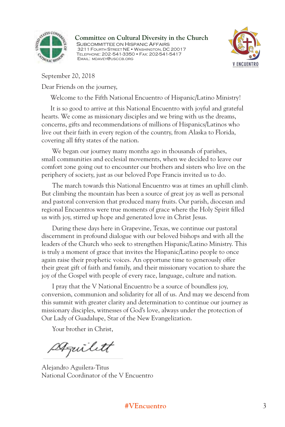

Committee on Cultural Diversity in the Church SUBCOMMITTEE ON HISPANIC AFFAIRS 3211 FOURTH STREET NE . WASHINGTON, DC 20017 **TELEPHONE: 202-541-3350 • FAX: 202-541-5417**<br>EMAIL: MDAVEY@USCCB.ORG EMAIL: MDAVEY@USCCB.ORG



September 20, 2018

Dear Friends on the journey,

Welcome to the Fifth National Encuentro of Hispanic/Latino Ministry!

It is so good to arrive at this National Encuentro with joyful and grateful hearts. We come as missionary disciples and we bring with us the dreams, concerns, gifts and recommendations of millions of Hispanics/Latinos who live out their faith in every region of the country, from Alaska to Florida, covering all fifty states of the nation.

We began our journey many months ago in thousands of parishes, small communities and ecclesial movements, when we decided to leave our comfort zone going out to encounter our brothers and sisters who live on the periphery of society, just as our beloved Pope Francis invited us to do.

 The march towards this National Encuentro was at times an uphill climb. But climbing the mountain has been a source of great joy as well as personal and pastoral conversion that produced many fruits. Our parish, diocesan and regional Encuentros were true moments of grace where the Holy Spirit filled us with joy, stirred up hope and generated love in Christ Jesus.

 During these days here in Grapevine, Texas, we continue our pastoral discernment in profound dialogue with our beloved bishops and with all the leaders of the Church who seek to strengthen Hispanic/Latino Ministry. This is truly a moment of grace that invites the Hispanic/Latino people to once again raise their prophetic voices. An opportune time to generously offer their great gift of faith and family, and their missionary vocation to share the joy of the Gospel with people of every race, language, culture and nation.

 I pray that the V National Encuentro be a source of boundless joy, conversion, communion and solidarity for all of us. And may we descend from this summit with greater clarity and determination to continue our journey as missionary disciples, witnesses of God's love, always under the protection of Our Lady of Guadalupe, Star of the New Evangelization.

Your brother in Christ,

Stquilitt

Alejandro Aguilera-Titus National Coordinator of the V Encuentro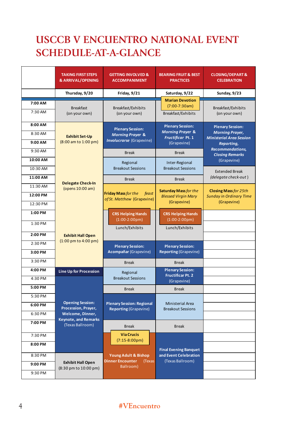### **USCCB V ENCUENTRO NATIONAL EVENT SCHERLEWENGLENTRGWATIONAL EVENT . SCHEDULE-AT-A-GLANCE**

|                                 | <b>TAKING FIRST STEPS</b><br><b>&amp; ARRIVAL/OPENING</b>           | <b>GETTING INVOLVED &amp;</b><br><b>ACCOMPANIMENT</b>                                     | <b>BEARING FRUIT &amp; BEST</b><br><b>PRACTICES</b>                                        | <b>CLOSING/DEPART &amp;</b><br><b>CELEBRATION</b>                                                                             |
|---------------------------------|---------------------------------------------------------------------|-------------------------------------------------------------------------------------------|--------------------------------------------------------------------------------------------|-------------------------------------------------------------------------------------------------------------------------------|
|                                 | Thursday, 9/20                                                      | Friday, 9/21                                                                              | Saturday, 9/22                                                                             | Sunday, 9/23                                                                                                                  |
| 7:00 AM<br>7:30 AM              | <b>Breakfast</b><br>(on your own)                                   | Breakfast/Exhibits<br>(on your own)                                                       | <b>Marian Devotion</b><br>$(7:00-7:30am)$<br>Breakfast/Exhibits                            | Breakfast/Exhibits<br>(on your own)                                                                                           |
| 8:00 AM<br>8:30 AM<br>$9:00$ AM | <b>Exhibit Set-Up</b><br>(8:00 am to 1:00 pm)                       | <b>Plenary Session:</b><br><b>Morning Prayer &amp;</b><br><b>Involucrarse</b> (Grapevine) | <b>Plenary Session:</b><br><b>Morning Prayer &amp;</b><br>Fructificar Pt. 1<br>(Grapevine) | <b>Plenary Session:</b><br><b>Morning Prayer,</b><br><b>Ministerial Area Session</b><br>Reporting,<br><b>Recommendations,</b> |
| 9:30 AM<br>10:00 AM             |                                                                     | <b>Break</b>                                                                              | <b>Break</b>                                                                               | <b>Closing Remarks</b><br>(Grapevine)                                                                                         |
| 10:30 AM                        |                                                                     | Regional<br><b>Breakout Sessions</b>                                                      | Inter-Regional<br><b>Breakout Sessions</b>                                                 | <b>Extended Break</b>                                                                                                         |
| 11:00 AM                        | <b>Delegate Check-In</b>                                            | <b>Break</b>                                                                              | <b>Break</b>                                                                               | (delegate check-out)                                                                                                          |
| 11:30 AM<br>12:00 PM            | (opens 10:00 am)                                                    | Friday Mass for the<br>feast                                                              | <b>Saturday Mass for the</b><br><b>Blessed Virgin Mary</b>                                 | <b>Closing Mass for 25th</b><br><b>Sunday in Ordinary Time</b>                                                                |
| 12:30 PM                        |                                                                     | of St. Matthew (Grapevine)                                                                | (Grapevine)                                                                                | (Grapevine)                                                                                                                   |
| 1:00 PM                         |                                                                     | <b>CRS Helping Hands</b><br>$(1:00-2:00pm)$                                               | <b>CRS Helping Hands</b><br>$(1:00-2:00pm)$                                                |                                                                                                                               |
| 1:30 PM                         |                                                                     | Lunch/Exhibits                                                                            | Lunch/Exhibits                                                                             |                                                                                                                               |
| 2:00 PM                         | <b>Exhibit Hall Open</b><br>$(1:00 \text{ pm to } 4:00 \text{ pm})$ |                                                                                           |                                                                                            |                                                                                                                               |
| 2:30 PM<br>3:00 PM              |                                                                     | <b>Plenary Session:</b><br>Acompañar (Grapevine)                                          | <b>Plenary Session:</b><br><b>Reporting (Grapevine)</b>                                    |                                                                                                                               |
| 3:30 PM                         |                                                                     |                                                                                           |                                                                                            |                                                                                                                               |
| 4:00 PM                         |                                                                     | <b>Break</b>                                                                              | <b>Break</b><br><b>Plenary Session:</b>                                                    |                                                                                                                               |
| 4:30 PM                         | <b>Line Up for Procession</b>                                       | Regional<br><b>Breakout Sessions</b>                                                      | <b>Fructificar Pt. 2</b><br>(Grapevine)                                                    |                                                                                                                               |
| 5:00 PM                         |                                                                     | <b>Break</b>                                                                              | <b>Break</b>                                                                               |                                                                                                                               |
| 5:30 PM                         |                                                                     |                                                                                           |                                                                                            |                                                                                                                               |
| 6:00 PM                         | <b>Opening Session:</b><br>Procession, Prayer,                      | <b>Plenary Session: Regional</b><br><b>Reporting (Grapevine)</b>                          | <b>Ministerial Area</b><br><b>Breakout Sessions</b>                                        |                                                                                                                               |
| 6:30 PM                         | Welcome, Dinner,<br><b>Keynote, and Remarks</b>                     |                                                                                           |                                                                                            |                                                                                                                               |
| 7:00 PM                         | (Texas Ballroom)                                                    | <b>Break</b>                                                                              | <b>Break</b>                                                                               |                                                                                                                               |
| 7:30 PM                         |                                                                     | <b>Via Crucis</b><br>$(7:15-8:00 \text{pm})$                                              |                                                                                            |                                                                                                                               |
| 8:00 PM                         |                                                                     |                                                                                           | <b>Final Evening Banquet</b>                                                               |                                                                                                                               |
| 8:30 PM                         |                                                                     | <b>Young Adult &amp; Bishop</b><br><b>Dinner Encounter</b><br>(Texas                      | and Event Celebration<br>(Texas Ballroom)                                                  |                                                                                                                               |
| 9:00 PM                         | <b>Exhibit Hall Open</b><br>(8:30 pm to 10:00 pm)                   | Ballroom)                                                                                 |                                                                                            |                                                                                                                               |
| 9:30 PM                         |                                                                     |                                                                                           |                                                                                            |                                                                                                                               |

#### 4 **#VEncuentro**  $\pi$  **v** Encuentro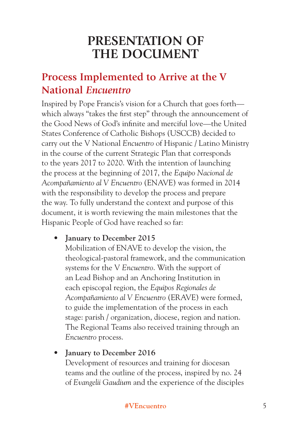# **PRESENTATION OF THE DOCUMENT**

### **Process Implemented to Arrive at the V National** *Encuentro*

Inspired by Pope Francis's vision for a Church that goes forth which always "takes the first step" through the announcement of the Good News of God's infinite and merciful love—the United States Conference of Catholic Bishops (USCCB) decided to carry out the V National *Encuentro* of Hispanic / Latino Ministry in the course of the current Strategic Plan that corresponds to the years 2017 to 2020. With the intention of launching the process at the beginning of 2017, the *Equipo Nacional de Acompañamiento al V Encuentro* (ENAVE) was formed in 2014 with the responsibility to develop the process and prepare the way. To fully understand the context and purpose of this document, it is worth reviewing the main milestones that the Hispanic People of God have reached so far:

• **January to December 2015** 

Mobilization of ENAVE to develop the vision, the theological-pastoral framework, and the communication systems for the V *Encuentro*. With the support of an Lead Bishop and an Anchoring Institution in each episcopal region, the *Equipos Regionales de Acompañamiento al V Encuentro* (ERAVE) were formed, to guide the implementation of the process in each stage: parish / organization, diocese, region and nation. The Regional Teams also received training through an *Encuentro* process.

#### • **January to December 2016**

Development of resources and training for diocesan teams and the outline of the process, inspired by no. 24 of *Evangelii Gaudium* and the experience of the disciples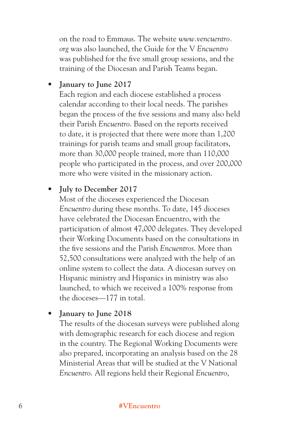on the road to Emmaus. The website *www.vencuentro. org* was also launched, the Guide for the V *Encuentro* was published for the five small group sessions, and the training of the Diocesan and Parish Teams began.

#### • **January to June 2017**

Each region and each diocese established a process calendar according to their local needs. The parishes began the process of the five sessions and many also held their Parish *Encuentro*. Based on the reports received to date, it is projected that there were more than 1,200 trainings for parish teams and small group facilitators, more than 30,000 people trained, more than 110,000 people who participated in the process, and over 200,000 more who were visited in the missionary action.

#### • **July to December 2017**

Most of the dioceses experienced the Diocesan *Encuentro* during these months. To date, 145 dioceses have celebrated the Diocesan Encuentro, with the participation of almost 47,000 delegates. They developed their Working Documents based on the consultations in the five sessions and the Parish *Encuentros*. More than 52,500 consultations were analyzed with the help of an online system to collect the data. A diocesan survey on Hispanic ministry and Hispanics in ministry was also launched, to which we received a 100% response from the dioceses—177 in total.

#### • **January to June 2018**

The results of the diocesan surveys were published along with demographic research for each diocese and region in the country. The Regional Working Documents were also prepared, incorporating an analysis based on the 28 Ministerial Areas that will be studied at the V National *Encuentro*. All regions held their Regional *Encuentro*,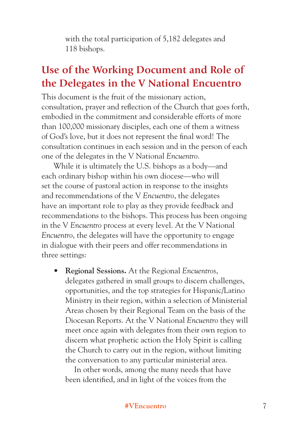with the total participation of 5,182 delegates and 118 bishops.

### **Use of the Working Document and Role of the Delegates in the V National Encuentro**

This document is the fruit of the missionary action, consultation, prayer and reflection of the Church that goes forth, embodied in the commitment and considerable efforts of more than 100,000 missionary disciples, each one of them a witness of God's love, but it does not represent the final word! The consultation continues in each session and in the person of each one of the delegates in the V National *Encuentro*.

While it is ultimately the U.S. bishops as a body—and each ordinary bishop within his own diocese—who will set the course of pastoral action in response to the insights and recommendations of the V *Encuentro*, the delegates have an important role to play as they provide feedback and recommendations to the bishops. This process has been ongoing in the V *Encuentro* process at every level. At the V National *Encuentro*, the delegates will have the opportunity to engage in dialogue with their peers and offer recommendations in three settings:

**• Regional Sessions.** At the Regional *Encuentros*, delegates gathered in small groups to discern challenges, opportunities, and the top strategies for Hispanic/Latino Ministry in their region, within a selection of Ministerial Areas chosen by their Regional Team on the basis of the Diocesan Reports. At the V National *Encuentro* they will meet once again with delegates from their own region to discern what prophetic action the Holy Spirit is calling the Church to carry out in the region, without limiting the conversation to any particular ministerial area.

In other words, among the many needs that have been identified, and in light of the voices from the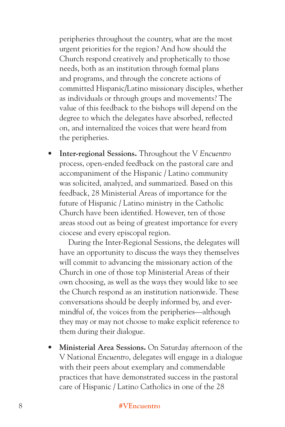peripheries throughout the country, what are the most urgent priorities for the region? And how should the Church respond creatively and prophetically to those needs, both as an institution through formal plans and programs, and through the concrete actions of committed Hispanic/Latino missionary disciples, whether as individuals or through groups and movements? The value of this feedback to the bishops will depend on the degree to which the delegates have absorbed, reflected on, and internalized the voices that were heard from the peripheries.

**• Inter-regional Sessions.** Throughout the V *Encuentro* process, open-ended feedback on the pastoral care and accompaniment of the Hispanic / Latino community was solicited, analyzed, and summarized. Based on this feedback, 28 Ministerial Areas of importance for the future of Hispanic / Latino ministry in the Catholic Church have been identified. However, ten of those areas stood out as being of greatest importance for every ciocese and every episcopal region.

During the Inter-Regional Sessions, the delegates will have an opportunity to discuss the ways they themselves will commit to advancing the missionary action of the Church in one of those top Ministerial Areas of their own choosing, as well as the ways they would like to see the Church respond as an institution nationwide. These conversations should be deeply informed by, and evermindful of, the voices from the peripheries—although they may or may not choose to make explicit reference to them during their dialogue.

**• Ministerial Area Sessions.** On Saturday afternoon of the V National *Encuentro*, delegates will engage in a dialogue with their peers about exemplary and commendable practices that have demonstrated success in the pastoral care of Hispanic / Latino Catholics in one of the 28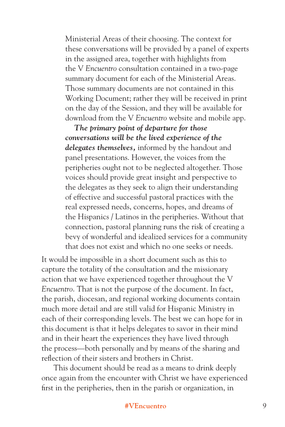Ministerial Areas of their choosing. The context for these conversations will be provided by a panel of experts in the assigned area, together with highlights from the V *Encuentro* consultation contained in a two-page summary document for each of the Ministerial Areas. Those summary documents are not contained in this Working Document; rather they will be received in print on the day of the Session, and they will be available for download from the V *Encuentro* website and mobile app.

*The primary point of departure for those conversations will be the lived experience of the delegates themselves,* informed by the handout and panel presentations. However, the voices from the peripheries ought not to be neglected altogether. Those voices should provide great insight and perspective to the delegates as they seek to align their understanding of effective and successful pastoral practices with the real expressed needs, concerns, hopes, and dreams of the Hispanics / Latinos in the peripheries. Without that connection, pastoral planning runs the risk of creating a bevy of wonderful and idealized services for a community that does not exist and which no one seeks or needs.

It would be impossible in a short document such as this to capture the totality of the consultation and the missionary action that we have experienced together throughout the V *Encuentro*. That is not the purpose of the document. In fact, the parish, diocesan, and regional working documents contain much more detail and are still valid for Hispanic Ministry in each of their corresponding levels. The best we can hope for in this document is that it helps delegates to savor in their mind and in their heart the experiences they have lived through the process—both personally and by means of the sharing and reflection of their sisters and brothers in Christ.

This document should be read as a means to drink deeply once again from the encounter with Christ we have experienced first in the peripheries, then in the parish or organization, in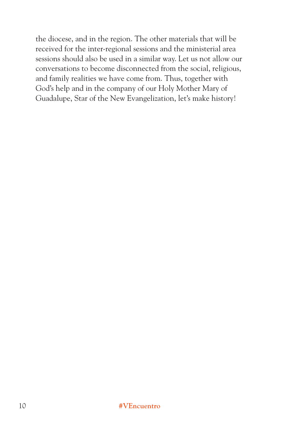the diocese, and in the region. The other materials that will be received for the inter-regional sessions and the ministerial area sessions should also be used in a similar way. Let us not allow our conversations to become disconnected from the social, religious, and family realities we have come from. Thus, together with God's help and in the company of our Holy Mother Mary of Guadalupe, Star of the New Evangelization, let's make history!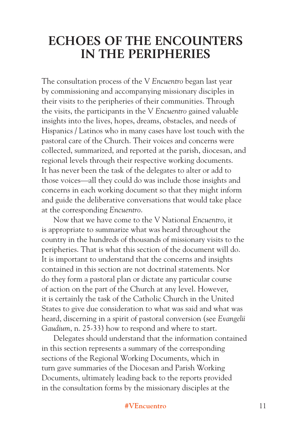### **ECHOES OF THE ENCOUNTERS IN THE PERIPHERIES**

The consultation process of the V *Encuentro* began last year by commissioning and accompanying missionary disciples in their visits to the peripheries of their communities. Through the visits, the participants in the V *Encuentro* gained valuable insights into the lives, hopes, dreams, obstacles, and needs of Hispanics / Latinos who in many cases have lost touch with the pastoral care of the Church. Their voices and concerns were collected, summarized, and reported at the parish, diocesan, and regional levels through their respective working documents. It has never been the task of the delegates to alter or add to those voices—all they could do was include those insights and concerns in each working document so that they might inform and guide the deliberative conversations that would take place at the corresponding *Encuentro*.

Now that we have come to the V National *Encuentro*, it is appropriate to summarize what was heard throughout the country in the hundreds of thousands of missionary visits to the peripheries. That is what this section of the document will do. It is important to understand that the concerns and insights contained in this section are not doctrinal statements. Nor do they form a pastoral plan or dictate any particular course of action on the part of the Church at any level. However, it is certainly the task of the Catholic Church in the United States to give due consideration to what was said and what was heard, discerning in a spirit of pastoral conversion (see *Evangelii Gaudium*, n. 25-33) how to respond and where to start.

Delegates should understand that the information contained in this section represents a summary of the corresponding sections of the Regional Working Documents, which in turn gave summaries of the Diocesan and Parish Working Documents, ultimately leading back to the reports provided in the consultation forms by the missionary disciples at the

#### **#VEncuentro** 11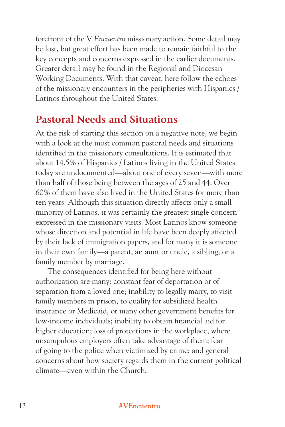forefront of the V *Encuentro* missionary action. Some detail may be lost, but great effort has been made to remain faithful to the key concepts and concerns expressed in the earlier documents. Greater detail may be found in the Regional and Diocesan Working Documents. With that caveat, here follow the echoes of the missionary encounters in the peripheries with Hispanics / Latinos throughout the United States.

### **Pastoral Needs and Situations**

At the risk of starting this section on a negative note, we begin with a look at the most common pastoral needs and situations identified in the missionary consultations. It is estimated that about 14.5% of Hispanics / Latinos living in the United States today are undocumented—about one of every seven—with more than half of those being between the ages of 25 and 44. Over 60% of them have also lived in the United States for more than ten years. Although this situation directly affects only a small minority of Latinos, it was certainly the greatest single concern expressed in the missionary visits. Most Latinos know someone whose direction and potential in life have been deeply affected by their lack of immigration papers, and for many it is someone in their own family—a parent, an aunt or uncle, a sibling, or a family member by marriage.

The consequences identified for being here without authorization are many: constant fear of deportation or of separation from a loved one; inability to legally marry, to visit family members in prison, to qualify for subsidized health insurance or Medicaid, or many other government benefits for low-income individuals; inability to obtain financial aid for higher education; loss of protections in the workplace, where unscrupulous employers often take advantage of them; fear of going to the police when victimized by crime; and general concerns about how society regards them in the current political climate—even within the Church.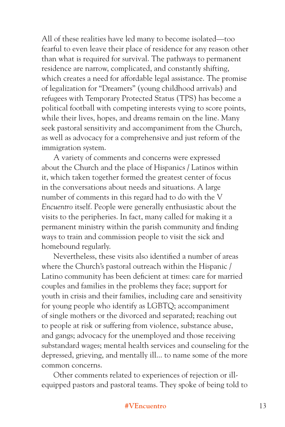All of these realities have led many to become isolated—too fearful to even leave their place of residence for any reason other than what is required for survival. The pathways to permanent residence are narrow, complicated, and constantly shifting, which creates a need for affordable legal assistance. The promise of legalization for "Dreamers" (young childhood arrivals) and refugees with Temporary Protected Status (TPS) has become a political football with competing interests vying to score points, while their lives, hopes, and dreams remain on the line. Many seek pastoral sensitivity and accompaniment from the Church, as well as advocacy for a comprehensive and just reform of the immigration system.

A variety of comments and concerns were expressed about the Church and the place of Hispanics / Latinos within it, which taken together formed the greatest center of focus in the conversations about needs and situations. A large number of comments in this regard had to do with the V *Encuentro* itself. People were generally enthusiastic about the visits to the peripheries. In fact, many called for making it a permanent ministry within the parish community and finding ways to train and commission people to visit the sick and homebound regularly.

Nevertheless, these visits also identified a number of areas where the Church's pastoral outreach within the Hispanic / Latino community has been deficient at times: care for married couples and families in the problems they face; support for youth in crisis and their families, including care and sensitivity for young people who identify as LGBTQ; accompaniment of single mothers or the divorced and separated; reaching out to people at risk or suffering from violence, substance abuse, and gangs; advocacy for the unemployed and those receiving substandard wages; mental health services and counseling for the depressed, grieving, and mentally ill... to name some of the more common concerns.

Other comments related to experiences of rejection or illequipped pastors and pastoral teams. They spoke of being told to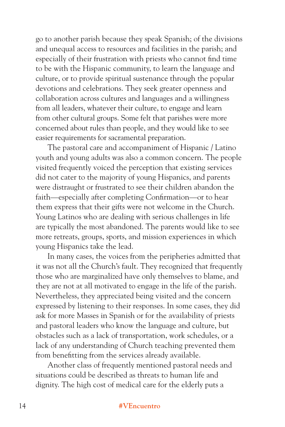go to another parish because they speak Spanish; of the divisions and unequal access to resources and facilities in the parish; and especially of their frustration with priests who cannot find time to be with the Hispanic community, to learn the language and culture, or to provide spiritual sustenance through the popular devotions and celebrations. They seek greater openness and collaboration across cultures and languages and a willingness from all leaders, whatever their culture, to engage and learn from other cultural groups. Some felt that parishes were more concerned about rules than people, and they would like to see easier requirements for sacramental preparation.

The pastoral care and accompaniment of Hispanic / Latino youth and young adults was also a common concern. The people visited frequently voiced the perception that existing services did not cater to the majority of young Hispanics, and parents were distraught or frustrated to see their children abandon the faith—especially after completing Confirmation—or to hear them express that their gifts were not welcome in the Church. Young Latinos who are dealing with serious challenges in life are typically the most abandoned. The parents would like to see more retreats, groups, sports, and mission experiences in which young Hispanics take the lead.

In many cases, the voices from the peripheries admitted that it was not all the Church's fault. They recognized that frequently those who are marginalized have only themselves to blame, and they are not at all motivated to engage in the life of the parish. Nevertheless, they appreciated being visited and the concern expressed by listening to their responses. In some cases, they did ask for more Masses in Spanish or for the availability of priests and pastoral leaders who know the language and culture, but obstacles such as a lack of transportation, work schedules, or a lack of any understanding of Church teaching prevented them from benefitting from the services already available.

Another class of frequently mentioned pastoral needs and situations could be described as threats to human life and dignity. The high cost of medical care for the elderly puts a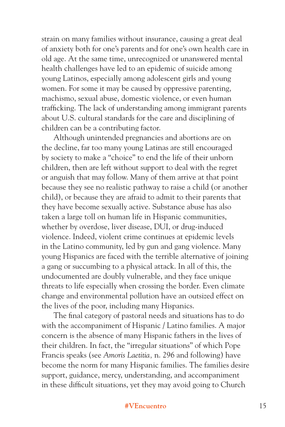strain on many families without insurance, causing a great deal of anxiety both for one's parents and for one's own health care in old age. At the same time, unrecognized or unanswered mental health challenges have led to an epidemic of suicide among young Latinos, especially among adolescent girls and young women. For some it may be caused by oppressive parenting, machismo, sexual abuse, domestic violence, or even human trafficking. The lack of understanding among immigrant parents about U.S. cultural standards for the care and disciplining of children can be a contributing factor.

Although unintended pregnancies and abortions are on the decline, far too many young Latinas are still encouraged by society to make a "choice" to end the life of their unborn children, then are left without support to deal with the regret or anguish that may follow. Many of them arrive at that point because they see no realistic pathway to raise a child (or another child), or because they are afraid to admit to their parents that they have become sexually active. Substance abuse has also taken a large toll on human life in Hispanic communities, whether by overdose, liver disease, DUI, or drug-induced violence. Indeed, violent crime continues at epidemic levels in the Latino community, led by gun and gang violence. Many young Hispanics are faced with the terrible alternative of joining a gang or succumbing to a physical attack. In all of this, the undocumented are doubly vulnerable, and they face unique threats to life especially when crossing the border. Even climate change and environmental pollution have an outsized effect on the lives of the poor, including many Hispanics.

The final category of pastoral needs and situations has to do with the accompaniment of Hispanic / Latino families. A major concern is the absence of many Hispanic fathers in the lives of their children. In fact, the "irregular situations" of which Pope Francis speaks (see *Amoris Laetitia,* n. 296 and following) have become the norm for many Hispanic families. The families desire support, guidance, mercy, understanding, and accompaniment in these difficult situations, yet they may avoid going to Church

#### **#VEncuentro** 15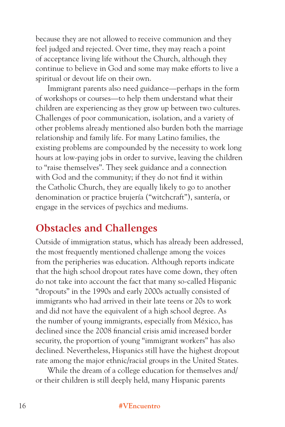because they are not allowed to receive communion and they feel judged and rejected. Over time, they may reach a point of acceptance living life without the Church, although they continue to believe in God and some may make efforts to live a spiritual or devout life on their own.

Immigrant parents also need guidance—perhaps in the form of workshops or courses—to help them understand what their children are experiencing as they grow up between two cultures. Challenges of poor communication, isolation, and a variety of other problems already mentioned also burden both the marriage relationship and family life. For many Latino families, the existing problems are compounded by the necessity to work long hours at low-paying jobs in order to survive, leaving the children to "raise themselves". They seek guidance and a connection with God and the community; if they do not find it within the Catholic Church, they are equally likely to go to another denomination or practice brujería ("witchcraft"), santería, or engage in the services of psychics and mediums.

### **Obstacles and Challenges**

Outside of immigration status, which has already been addressed, the most frequently mentioned challenge among the voices from the peripheries was education. Although reports indicate that the high school dropout rates have come down, they often do not take into account the fact that many so-called Hispanic "dropouts" in the 1990s and early 2000s actually consisted of immigrants who had arrived in their late teens or 20s to work and did not have the equivalent of a high school degree. As the number of young immigrants, especially from México, has declined since the 2008 financial crisis amid increased border security, the proportion of young "immigrant workers" has also declined. Nevertheless, Hispanics still have the highest dropout rate among the major ethnic/racial groups in the United States.

While the dream of a college education for themselves and/ or their children is still deeply held, many Hispanic parents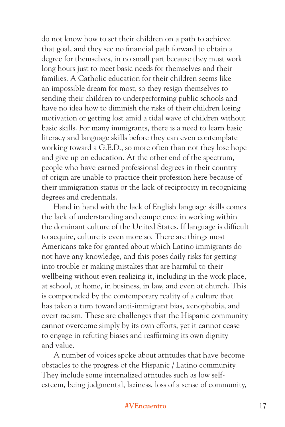do not know how to set their children on a path to achieve that goal, and they see no financial path forward to obtain a degree for themselves, in no small part because they must work long hours just to meet basic needs for themselves and their families. A Catholic education for their children seems like an impossible dream for most, so they resign themselves to sending their children to underperforming public schools and have no idea how to diminish the risks of their children losing motivation or getting lost amid a tidal wave of children without basic skills. For many immigrants, there is a need to learn basic literacy and language skills before they can even contemplate working toward a G.E.D., so more often than not they lose hope and give up on education. At the other end of the spectrum, people who have earned professional degrees in their country of origin are unable to practice their profession here because of their immigration status or the lack of reciprocity in recognizing degrees and credentials.

Hand in hand with the lack of English language skills comes the lack of understanding and competence in working within the dominant culture of the United States. If language is difficult to acquire, culture is even more so. There are things most Americans take for granted about which Latino immigrants do not have any knowledge, and this poses daily risks for getting into trouble or making mistakes that are harmful to their wellbeing without even realizing it, including in the work place, at school, at home, in business, in law, and even at church. This is compounded by the contemporary reality of a culture that has taken a turn toward anti-immigrant bias, xenophobia, and overt racism. These are challenges that the Hispanic community cannot overcome simply by its own efforts, yet it cannot cease to engage in refuting biases and reaffirming its own dignity and value.

A number of voices spoke about attitudes that have become obstacles to the progress of the Hispanic / Latino community. They include some internalized attitudes such as low selfesteem, being judgmental, laziness, loss of a sense of community,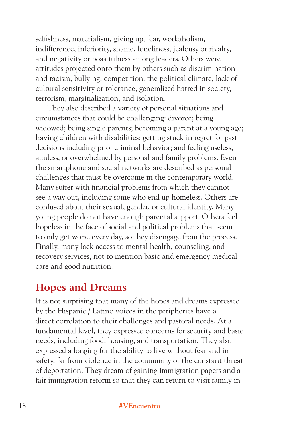selfishness, materialism, giving up, fear, workaholism, indifference, inferiority, shame, loneliness, jealousy or rivalry, and negativity or boastfulness among leaders. Others were attitudes projected onto them by others such as discrimination and racism, bullying, competition, the political climate, lack of cultural sensitivity or tolerance, generalized hatred in society, terrorism, marginalization, and isolation.

They also described a variety of personal situations and circumstances that could be challenging: divorce; being widowed; being single parents; becoming a parent at a young age; having children with disabilities; getting stuck in regret for past decisions including prior criminal behavior; and feeling useless, aimless, or overwhelmed by personal and family problems. Even the smartphone and social networks are described as personal challenges that must be overcome in the contemporary world. Many suffer with financial problems from which they cannot see a way out, including some who end up homeless. Others are confused about their sexual, gender, or cultural identity. Many young people do not have enough parental support. Others feel hopeless in the face of social and political problems that seem to only get worse every day, so they disengage from the process. Finally, many lack access to mental health, counseling, and recovery services, not to mention basic and emergency medical care and good nutrition.

### **Hopes and Dreams**

It is not surprising that many of the hopes and dreams expressed by the Hispanic / Latino voices in the peripheries have a direct correlation to their challenges and pastoral needs. At a fundamental level, they expressed concerns for security and basic needs, including food, housing, and transportation. They also expressed a longing for the ability to live without fear and in safety, far from violence in the community or the constant threat of deportation. They dream of gaining immigration papers and a fair immigration reform so that they can return to visit family in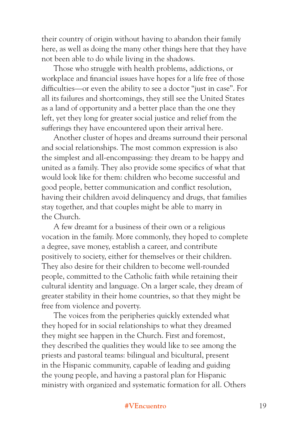their country of origin without having to abandon their family here, as well as doing the many other things here that they have not been able to do while living in the shadows.

Those who struggle with health problems, addictions, or workplace and financial issues have hopes for a life free of those difficulties—or even the ability to see a doctor "just in case". For all its failures and shortcomings, they still see the United States as a land of opportunity and a better place than the one they left, yet they long for greater social justice and relief from the sufferings they have encountered upon their arrival here.

Another cluster of hopes and dreams surround their personal and social relationships. The most common expression is also the simplest and all-encompassing: they dream to be happy and united as a family. They also provide some specifics of what that would look like for them: children who become successful and good people, better communication and conflict resolution, having their children avoid delinquency and drugs, that families stay together, and that couples might be able to marry in the Church.

A few dreamt for a business of their own or a religious vocation in the family. More commonly, they hoped to complete a degree, save money, establish a career, and contribute positively to society, either for themselves or their children. They also desire for their children to become well-rounded people, committed to the Catholic faith while retaining their cultural identity and language. On a larger scale, they dream of greater stability in their home countries, so that they might be free from violence and poverty.

The voices from the peripheries quickly extended what they hoped for in social relationships to what they dreamed they might see happen in the Church. First and foremost, they described the qualities they would like to see among the priests and pastoral teams: bilingual and bicultural, present in the Hispanic community, capable of leading and guiding the young people, and having a pastoral plan for Hispanic ministry with organized and systematic formation for all. Others

#### **#VEncuentro** 19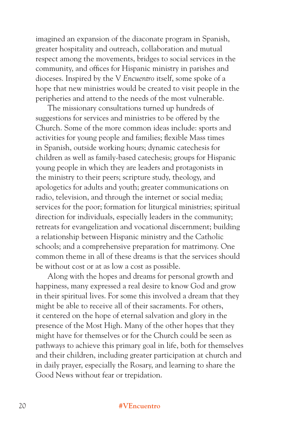imagined an expansion of the diaconate program in Spanish, greater hospitality and outreach, collaboration and mutual respect among the movements, bridges to social services in the community, and offices for Hispanic ministry in parishes and dioceses. Inspired by the V *Encuentro* itself, some spoke of a hope that new ministries would be created to visit people in the peripheries and attend to the needs of the most vulnerable.

The missionary consultations turned up hundreds of suggestions for services and ministries to be offered by the Church. Some of the more common ideas include: sports and activities for young people and families; flexible Mass times in Spanish, outside working hours; dynamic catechesis for children as well as family-based catechesis; groups for Hispanic young people in which they are leaders and protagonists in the ministry to their peers; scripture study, theology, and apologetics for adults and youth; greater communications on radio, television, and through the internet or social media; services for the poor; formation for liturgical ministries; spiritual direction for individuals, especially leaders in the community; retreats for evangelization and vocational discernment; building a relationship between Hispanic ministry and the Catholic schools; and a comprehensive preparation for matrimony. One common theme in all of these dreams is that the services should be without cost or at as low a cost as possible.

Along with the hopes and dreams for personal growth and happiness, many expressed a real desire to know God and grow in their spiritual lives. For some this involved a dream that they might be able to receive all of their sacraments. For others, it centered on the hope of eternal salvation and glory in the presence of the Most High. Many of the other hopes that they might have for themselves or for the Church could be seen as pathways to achieve this primary goal in life, both for themselves and their children, including greater participation at church and in daily prayer, especially the Rosary, and learning to share the Good News without fear or trepidation.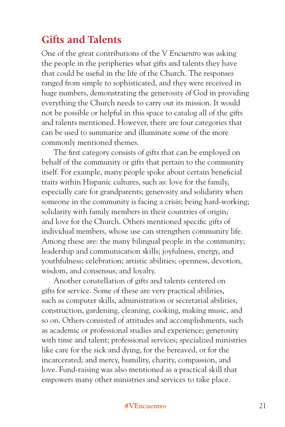### **Gifts and Talents**

One of the great contributions of the V *Encuentro* was asking the people in the peripheries what gifts and talents they have that could be useful in the life of the Church. The responses ranged from simple to sophisticated, and they were received in huge numbers, demonstrating the generosity of God in providing everything the Church needs to carry out its mission. It would not be possible or helpful in this space to catalog all of the gifts and talents mentioned. However, there are four categories that can be used to summarize and illuminate some of the more commonly mentioned themes.

The first category consists of gifts that can be employed on behalf of the community or gifts that pertain to the community itself. For example, many people spoke about certain beneficial traits within Hispanic cultures, such as: love for the family, especially care for grandparents; generosity and solidarity when someone in the community is facing a crisis; being hard-working; solidarity with family members in their countries of origin; and love for the Church. Others mentioned specific gifts of individual members, whose use can strengthen community life. Among these are: the many bilingual people in the community; leadership and communication skills; joyfulness, energy, and youthfulness; celebration; artistic abilities; openness, devotion, wisdom, and consensus; and loyalty.

Another constellation of gifts and talents centered on gifts for service. Some of these are very practical abilities, such as computer skills, administration or secretarial abilities, construction, gardening, cleaning, cooking, making music, and so on. Others consisted of attitudes and accomplishments, such as academic or professional studies and experience; generosity with time and talent; professional services; specialized ministries like care for the sick and dying, for the bereaved, or for the incarcerated; and mercy, humility, charity, compassion, and love. Fund-raising was also mentioned as a practical skill that empowers many other ministries and services to take place.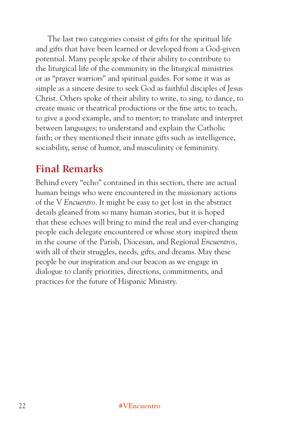The last two categories consist of gifts for the spiritual life and gifts that have been learned or developed from a God-given potential. Many people spoke of their ability to contribute to the liturgical life of the community in the liturgical ministries or as "prayer warriors" and spiritual guides. For some it was as simple as a sincere desire to seek God as faithful disciples of Jesus Christ. Others spoke of their ability to write, to sing, to dance, to create music or theatrical productions or the fine arts; to teach, to give a good example, and to mentor; to translate and interpret between languages; to understand and explain the Catholic faith; or they mentioned their innate gifts such as intelligence, sociability, sense of humor, and masculinity or femininity.

### **Final Remarks**

Behind every "echo" contained in this section, there are actual human beings who were encountered in the missionary actions of the V *Encuentro*. It might be easy to get lost in the abstract details gleaned from so many human stories, but it is hoped that these echoes will bring to mind the real and ever-changing people each delegate encountered or whose story inspired them in the course of the Parish, Diocesan, and Regional *Encuentros*, with all of their struggles, needs, gifts, and dreams. May these people be our inspiration and our beacon as we engage in dialogue to clarify priorities, directions, commitments, and practices for the future of Hispanic Ministry.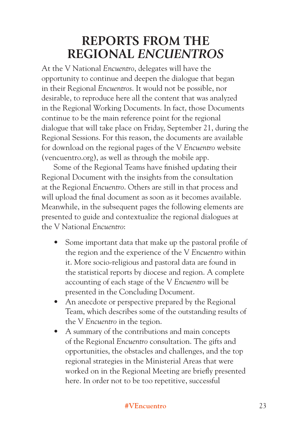# **REPORTS FROM THE REGIONAL** *ENCUENTROS*

At the V National *Encuentro*, delegates will have the opportunity to continue and deepen the dialogue that began in their Regional *Encuentros*. It would not be possible, nor desirable, to reproduce here all the content that was analyzed in the Regional Working Documents. In fact, those Documents continue to be the main reference point for the regional dialogue that will take place on Friday, September 21, during the Regional Sessions. For this reason, the documents are available for download on the regional pages of the V *Encuentro* website (vencuentro.org), as well as through the mobile app.

Some of the Regional Teams have finished updating their Regional Document with the insights from the consultation at the Regional *Encuentro*. Others are still in that process and will upload the final document as soon as it becomes available. Meanwhile, in the subsequent pages the following elements are presented to guide and contextualize the regional dialogues at the V National *Encuentro*:

- Some important data that make up the pastoral profile of the region and the experience of the V *Encuentro* within it. More socio-religious and pastoral data are found in the statistical reports by diocese and region. A complete accounting of each stage of the V *Encuentro* will be presented in the Concluding Document.
- An anecdote or perspective prepared by the Regional Team, which describes some of the outstanding results of the V *Encuentro* in the tegion.
- A summary of the contributions and main concepts of the Regional *Encuentro* consultation. The gifts and opportunities, the obstacles and challenges, and the top regional strategies in the Ministerial Areas that were worked on in the Regional Meeting are briefly presented here. In order not to be too repetitive, successful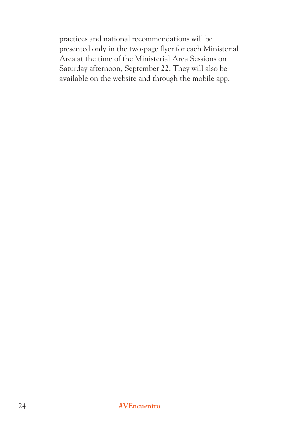practices and national recommendations will be presented only in the two-page flyer for each Ministerial Area at the time of the Ministerial Area Sessions on Saturday afternoon, September 22. They will also be available on the website and through the mobile app.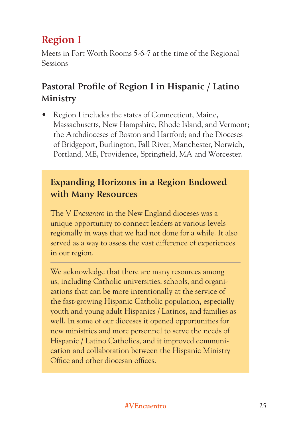### **Region I**

Meets in Fort Worth Rooms 5-6-7 at the time of the Regional Sessions

### **Pastoral Profile of Region I in Hispanic / Latino Ministry**

• Region I includes the states of Connecticut, Maine, Massachusetts, New Hampshire, Rhode Island, and Vermont; the Archdioceses of Boston and Hartford; and the Dioceses of Bridgeport, Burlington, Fall River, Manchester, Norwich, Portland, ME, Providence, Springfield, MA and Worcester.

### **Expanding Horizons in a Region Endowed with Many Resources**

The V *Encuentro* in the New England dioceses was a unique opportunity to connect leaders at various levels regionally in ways that we had not done for a while. It also served as a way to assess the vast difference of experiences in our region.

We acknowledge that there are many resources among us, including Catholic universities, schools, and organizations that can be more intentionally at the service of the fast-growing Hispanic Catholic population, especially youth and young adult Hispanics / Latinos, and families as well. In some of our dioceses it opened opportunities for new ministries and more personnel to serve the needs of Hispanic / Latino Catholics, and it improved communication and collaboration between the Hispanic Ministry Office and other diocesan offices.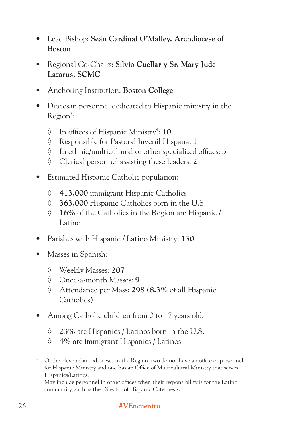- Lead Bishop: **Seán Cardinal O'Malley, Archdiocese of Boston**
- Regional Co-Chairs: **Silvio Cuellar y Sr. Mary Jude Lazarus, SCMC**
- Anchoring Institution: **Boston College**
- Diocesan personnel dedicated to Hispanic ministry in the Region<sup>\*</sup>:
	- ◊ In offices of Hispanic Ministry† : **10**
	- ◊ Responsible for Pastoral Juvenil Hispana: 1
	- ◊ In ethnic/multicultural or other specialized offices: **3**
	- ◊ Clerical personnel assisting these leaders: **2**
- Estimated Hispanic Catholic population:
	- **◊ 413,000** immigrant Hispanic Catholics
	- **◊ 363,000** Hispanic Catholics born in the U.S.
	- **◊ 16%** of the Catholics in the Region are Hispanic / Latino
- Parishes with Hispanic / Latino Ministry: **130**
- Masses in Spanish:
	- ◊ Weekly Masses: **207**
	- ◊ Once-a-month Masses: **9**
	- ◊ Attendance per Mass: **298** (**8.3%** of all Hispanic Catholics)
- Among Catholic children from 0 to 17 years old:
	- **◊ 23%** are Hispanics / Latinos born in the U.S.
	- **◊ 4%** are immigrant Hispanics / Latinos

<sup>\*</sup> Of the eleven (arch)dioceses in the Region, two do not have an office or personnel for Hispanic Ministry and one has an Office of Multiculutral Ministry that serves Hispanics/Latinos.

<sup>†</sup> May include personnel in other offices when their responsibility is for the Latino community, such as the Director of Hispanic Catechesis.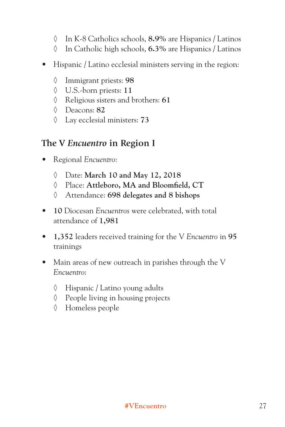- ◊ In K-8 Catholics schools, **8.9%** are Hispanics / Latinos
- ◊ In Catholic high schools, **6.3%** are Hispanics / Latinos
- Hispanic / Latino ecclesial ministers serving in the region:
	- ◊ Immigrant priests: **98**
	- ◊ U.S.-born priests: **11**
	- ◊ Religious sisters and brothers: **61**
	- ◊ Deacons: **82**
	- ◊ Lay ecclesial ministers: **73**

### **The V** *Encuentro* **in Region I**

- Regional *Encuentro*:
	- ◊ Date: **March 10 and May 12, 2018**
	- ◊ Place: **Attleboro, MA and Bloomfield, CT**
	- ◊ Attendance: **698 delegates and 8 bishops**
- **10** Diocesan *Encuentros* were celebrated, with total attendance of **1,981**
- **1,352** leaders received training for the V *Encuentro* in **95** trainings
- Main areas of new outreach in parishes through the V *Encuentro*:
	- ◊ Hispanic / Latino young adults
	- ◊ People living in housing projects
	- ◊ Homeless people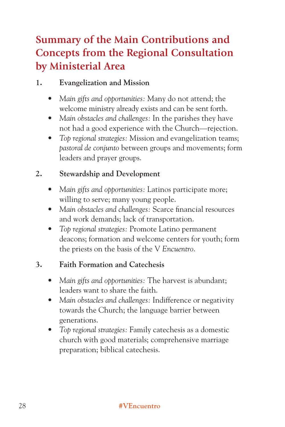### **Summary of the Main Contributions and Concepts from the Regional Consultation by Ministerial Area**

#### **1. Evangelization and Mission**

- *Main gifts and opportunities:* Many do not attend; the welcome ministry already exists and can be sent forth.
- *Main obstacles and challenges:* In the parishes they have not had a good experience with the Church—rejection.
- *Top regional strategies:* Mission and evangelization teams; *pastoral de conjunto* between groups and movements; form leaders and prayer groups.

#### **2. Stewardship and Development**

- *Main gifts and opportunities:* Latinos participate more; willing to serve; many young people.
- *Main obstacles and challenges:* Scarce financial resources and work demands; lack of transportation.
- *Top regional strategies:* Promote Latino permanent deacons; formation and welcome centers for youth; form the priests on the basis of the V *Encuentro*.

#### **3. Faith Formation and Catechesis**

- *Main gifts and opportunities:* The harvest is abundant; leaders want to share the faith.
- *Main obstacles and challenges:* Indifference or negativity towards the Church; the language barrier between generations.
- *Top regional strategies:* Family catechesis as a domestic church with good materials; comprehensive marriage preparation; biblical catechesis.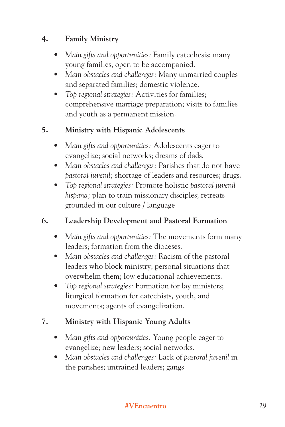### **4. Family Ministry**

- *Main gifts and opportunities:* Family catechesis; many young families, open to be accompanied.
- *Main obstacles and challenges:* Many unmarried couples and separated families; domestic violence.
- *Top regional strategies:* Activities for families; comprehensive marriage preparation; visits to families and youth as a permanent mission.

#### **5. Ministry with Hispanic Adolescents**

- *Main gifts and opportunities:* Adolescents eager to evangelize; social networks; dreams of dads.
- *Main obstacles and challenges:* Parishes that do not have *pastoral juvenil;* shortage of leaders and resources; drugs.
- *Top regional strategies:* Promote holistic *pastoral juvenil hispana;* plan to train missionary disciples; retreats grounded in our culture / language.

### **6. Leadership Development and Pastoral Formation**

- *Main gifts and opportunities:* The movements form many leaders; formation from the dioceses.
- *Main obstacles and challenges:* Racism of the pastoral leaders who block ministry; personal situations that overwhelm them; low educational achievements.
- *Top regional strategies:* Formation for lay ministers; liturgical formation for catechists, youth, and movements; agents of evangelization.

### **7. Ministry with Hispanic Young Adults**

- *Main gifts and opportunities:* Young people eager to evangelize; new leaders; social networks.
- *Main obstacles and challenges:* Lack of *pastoral juvenil* in the parishes; untrained leaders; gangs.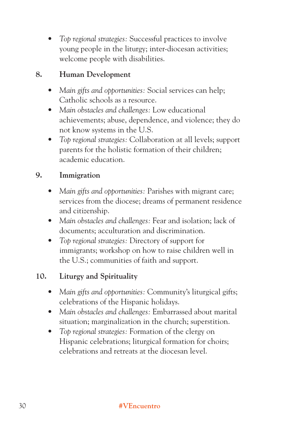*• Top regional strategies:* Successful practices to involve young people in the liturgy; inter-diocesan activities; welcome people with disabilities.

#### **8. Human Development**

- *Main gifts and opportunities:* Social services can help; Catholic schools as a resource.
- *Main obstacles and challenges:* Low educational achievements; abuse, dependence, and violence; they do not know systems in the U.S.
- *Top regional strategies:* Collaboration at all levels; support parents for the holistic formation of their children; academic education.

### **9. Immigration**

- *Main gifts and opportunities:* Parishes with migrant care; services from the diocese; dreams of permanent residence and citizenship.
- *Main obstacles and challenges:* Fear and isolation; lack of documents; acculturation and discrimination.
- *Top regional strategies:* Directory of support for immigrants; workshop on how to raise children well in the U.S.; communities of faith and support.

### **10. Liturgy and Spirituality**

- *Main gifts and opportunities:* Community's liturgical gifts; celebrations of the Hispanic holidays.
- *Main obstacles and challenges:* Embarrassed about marital situation; marginalization in the church; superstition.
- *Top regional strategies:* Formation of the clergy on Hispanic celebrations; liturgical formation for choirs; celebrations and retreats at the diocesan level.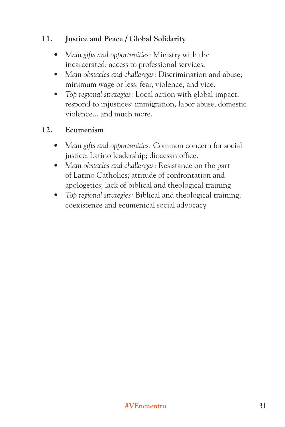### **11. Justice and Peace / Global Solidarity**

- *Main gifts and opportunities:* Ministry with the incarcerated; access to professional services.
- *Main obstacles and challenges:* Discrimination and abuse; minimum wage or less; fear, violence, and vice.
- *Top regional strategies:* Local action with global impact; respond to injustices: immigration, labor abuse, domestic violence... and much more.

#### **12. Ecumenism**

- *Main gifts and opportunities:* Common concern for social justice; Latino leadership; diocesan office.
- *Main obstacles and challenges:* Resistance on the part of Latino Catholics; attitude of confrontation and apologetics; lack of biblical and theological training.
- *Top regional strategies:* Biblical and theological training; coexistence and ecumenical social advocacy.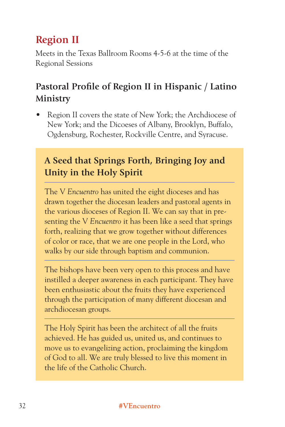# **Region II**

Meets in the Texas Ballroom Rooms 4-5-6 at the time of the Regional Sessions

## **Pastoral Profile of Region II in Hispanic / Latino Ministry**

• Region II covers the state of New York; the Archdiocese of New York; and the Dicoeses of Albany, Brooklyn, Buffalo, Ogdensburg, Rochester, Rockville Centre, and Syracuse.

## **A Seed that Springs Forth, Bringing Joy and Unity in the Holy Spirit**

The V *Encuentro* has united the eight dioceses and has drawn together the diocesan leaders and pastoral agents in the various dioceses of Region II. We can say that in presenting the V *Encuentro* it has been like a seed that springs forth, realizing that we grow together without differences of color or race, that we are one people in the Lord, who walks by our side through baptism and communion.

The bishops have been very open to this process and have instilled a deeper awareness in each participant. They have been enthusiastic about the fruits they have experienced through the participation of many different diocesan and archdiocesan groups.

The Holy Spirit has been the architect of all the fruits achieved. He has guided us, united us, and continues to move us to evangelizing action, proclaiming the kingdom of God to all. We are truly blessed to live this moment in the life of the Catholic Church.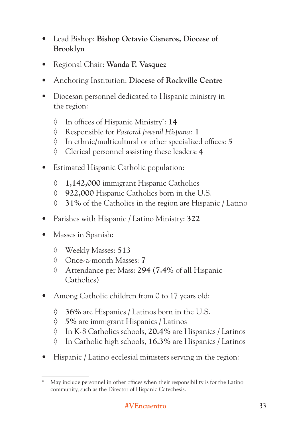- Lead Bishop: **Bishop Octavio Cisneros, Diocese of Brooklyn**
- Regional Chair: **Wanda F. Vasquez**
- Anchoring Institution: **Diocese of Rockville Centre**
- Diocesan personnel dedicated to Hispanic ministry in the region:
	- ◊ In offices of Hispanic Ministry\* : **14**
	- ◊ Responsible for *Pastoral Juvenil Hispana:* **1**
	- ◊ In ethnic/multicultural or other specialized offices: **5**
	- ◊ Clerical personnel assisting these leaders: **4**
- Estimated Hispanic Catholic population:
	- **◊ 1,142,000** immigrant Hispanic Catholics
	- **◊ 922,000** Hispanic Catholics born in the U.S.
	- **◊ 31%** of the Catholics in the region are Hispanic / Latino
- Parishes with Hispanic / Latino Ministry: **322**
- Masses in Spanish:
	- ◊ Weekly Masses: **513**
	- ◊ Once-a-month Masses: **7**
	- ◊ Attendance per Mass: **294** (**7.4%** of all Hispanic Catholics)
- Among Catholic children from 0 to 17 years old:
	- **◊ 36%** are Hispanics / Latinos born in the U.S.
	- **◊ 5%** are immigrant Hispanics / Latinos
	- ◊ In K-8 Catholics schools, **20.4%** are Hispanics / Latinos
	- ◊ In Catholic high schools, **16.3%** are Hispanics / Latinos
- Hispanic / Latino ecclesial ministers serving in the region:

<sup>\*</sup> May include personnel in other offices when their responsibility is for the Latino community, such as the Director of Hispanic Catechesis.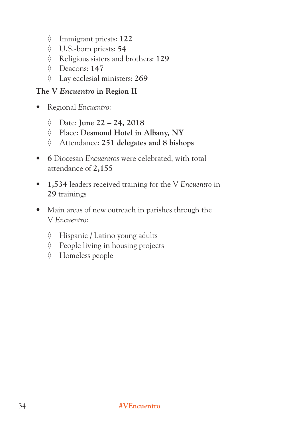- ◊ Immigrant priests: **122**
- ◊ U.S.-born priests: **54**
- ◊ Religious sisters and brothers: **129**
- ◊ Deacons: **147**
- ◊ Lay ecclesial ministers: **269**

#### **The V** *Encuentro* **in Region II**

- Regional *Encuentro*:
	- ◊ Date: **June 22 24, 2018**
	- ◊ Place: **Desmond Hotel in Albany, NY**
	- ◊ Attendance: **251 delegates and 8 bishops**
- **6** Diocesan *Encuentros* were celebrated, with total attendance of **2,155**
- **1,534** leaders received training for the V *Encuentro* in **29** trainings
- Main areas of new outreach in parishes through the V *Encuentro*:
	- ◊ Hispanic / Latino young adults
	- ◊ People living in housing projects
	- ◊ Homeless people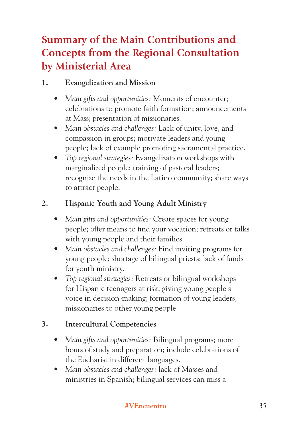# **Summary of the Main Contributions and Concepts from the Regional Consultation by Ministerial Area**

## **1. Evangelization and Mission**

- *Main gifts and opportunities:* Moments of encounter; celebrations to promote faith formation; announcements at Mass; presentation of missionaries.
- *Main obstacles and challenges:* Lack of unity, love, and compassion in groups; motivate leaders and young people; lack of example promoting sacramental practice.
- *Top regional strategies:* Evangelization workshops with marginalized people; training of pastoral leaders; recognize the needs in the Latino community; share ways to attract people.

## **2. Hispanic Youth and Young Adult Ministry**

- *Main gifts and opportunities:* Create spaces for young people; offer means to find your vocation; retreats or talks with young people and their families.
- *Main obstacles and challenges:* Find inviting programs for young people; shortage of bilingual priests; lack of funds for youth ministry.
- *Top regional strategies:* Retreats or bilingual workshops for Hispanic teenagers at risk; giving young people a voice in decision-making; formation of young leaders, missionaries to other young people.

## **3. Intercultural Competencies**

- *Main gifts and opportunities:* Bilingual programs; more hours of study and preparation; include celebrations of the Eucharist in different languages.
- *Main obstacles and challenges:* lack of Masses and ministries in Spanish; bilingual services can miss a

#### **#VEncuentro** 35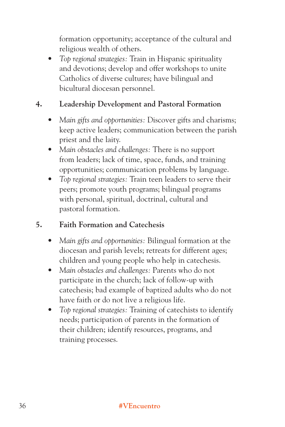formation opportunity; acceptance of the cultural and religious wealth of others.

*• Top regional strategies:* Train in Hispanic spirituality and devotions; develop and offer workshops to unite Catholics of diverse cultures; have bilingual and bicultural diocesan personnel.

## **4. Leadership Development and Pastoral Formation**

- *Main gifts and opportunities:* Discover gifts and charisms; keep active leaders; communication between the parish priest and the laity.
- *Main obstacles and challenges:* There is no support from leaders; lack of time, space, funds, and training opportunities; communication problems by language.
- *Top regional strategies:* Train teen leaders to serve their peers; promote youth programs; bilingual programs with personal, spiritual, doctrinal, cultural and pastoral formation.

## **5. Faith Formation and Catechesis**

- *Main gifts and opportunities:* Bilingual formation at the diocesan and parish levels; retreats for different ages; children and young people who help in catechesis.
- *Main obstacles and challenges:* Parents who do not participate in the church; lack of follow-up with catechesis; bad example of baptized adults who do not have faith or do not live a religious life.
- *Top regional strategies:* Training of catechists to identify needs; participation of parents in the formation of their children; identify resources, programs, and training processes.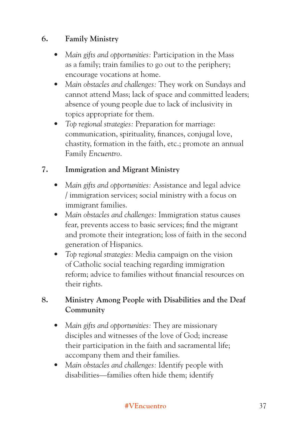## **6. Family Ministry**

- *Main gifts and opportunities:* Participation in the Mass as a family; train families to go out to the periphery; encourage vocations at home.
- *Main obstacles and challenges:* They work on Sundays and cannot attend Mass; lack of space and committed leaders; absence of young people due to lack of inclusivity in topics appropriate for them.
- *Top regional strategies:* Preparation for marriage: communication, spirituality, finances, conjugal love, chastity, formation in the faith, etc.; promote an annual Family *Encuentro*.

#### **7. Immigration and Migrant Ministry**

- *Main gifts and opportunities:* Assistance and legal advice / immigration services; social ministry with a focus on immigrant families.
- *Main obstacles and challenges:* Immigration status causes fear, prevents access to basic services; find the migrant and promote their integration; loss of faith in the second generation of Hispanics.
- *Top regional strategies:* Media campaign on the vision of Catholic social teaching regarding immigration reform; advice to families without financial resources on their rights.

## **8. Ministry Among People with Disabilities and the Deaf Community**

- *Main gifts and opportunities:* They are missionary disciples and witnesses of the love of God; increase their participation in the faith and sacramental life; accompany them and their families.
- *Main obstacles and challenges:* Identify people with disabilities—families often hide them; identify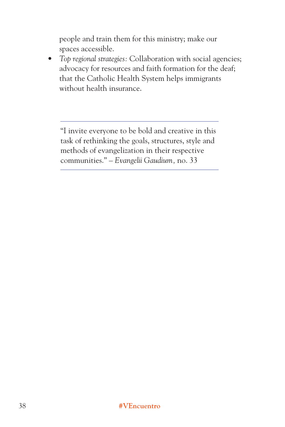people and train them for this ministry; make our spaces accessible.

*• Top regional strategies:* Collaboration with social agencies; advocacy for resources and faith formation for the deaf; that the Catholic Health System helps immigrants without health insurance.

"I invite everyone to be bold and creative in this task of rethinking the goals, structures, style and methods of evangelization in their respective communities." – *Evangelii Gaudium,* no. 33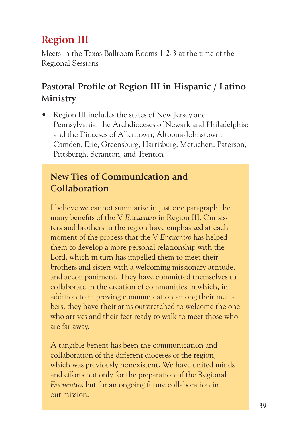# **Region III**

Meets in the Texas Ballroom Rooms 1-2-3 at the time of the Regional Sessions

## **Pastoral Profile of Region III in Hispanic / Latino Ministry**

• Region III includes the states of New Jersey and Pennsylvania; the Archdioceses of Newark and Philadelphia; and the Dioceses of Allentown, Altoona-Johnstown, Camden, Erie, Greensburg, Harrisburg, Metuchen, Paterson, Pittsburgh, Scranton, and Trenton

## **New Ties of Communication and Collaboration**

I believe we cannot summarize in just one paragraph the many benefits of the V *Encuentro* in Region III. Our sisters and brothers in the region have emphasized at each moment of the process that the V *Encuentro* has helped them to develop a more personal relationship with the Lord, which in turn has impelled them to meet their brothers and sisters with a welcoming missionary attitude, and accompaniment. They have committed themselves to collaborate in the creation of communities in which, in addition to improving communication among their members, they have their arms outstretched to welcome the one who arrives and their feet ready to walk to meet those who are far away.

A tangible benefit has been the communication and collaboration of the different dioceses of the region, which was previously nonexistent. We have united minds and efforts not only for the preparation of the Regional *Encuentro*, but for an ongoing future collaboration in our mission.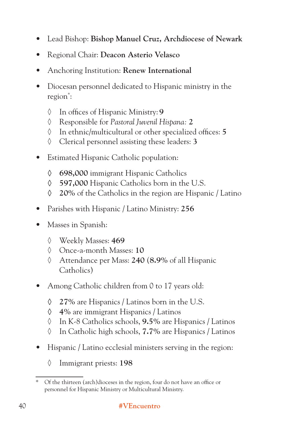- Lead Bishop: **Bishop Manuel Cruz, Archdiocese of Newark**
- Regional Chair: **Deacon Asterio Velasco**
- Anchoring Institution: **Renew International**
- Diocesan personnel dedicated to Hispanic ministry in the region\* :
	- ◊ In offices of Hispanic Ministry: **9**
	- ◊ Responsible for *Pastoral Juvenil Hispana:* **2**
	- ◊ In ethnic/multicultural or other specialized offices: **5**
	- ◊ Clerical personnel assisting these leaders: **3**
- Estimated Hispanic Catholic population:
	- **◊ 698,000** immigrant Hispanic Catholics
	- **◊ 597,000** Hispanic Catholics born in the U.S.
	- **◊ 20%** of the Catholics in the region are Hispanic / Latino
- Parishes with Hispanic / Latino Ministry: **256**
- Masses in Spanish:
	- ◊ Weekly Masses: **469**
	- ◊ Once-a-month Masses: **10**
	- ◊ Attendance per Mass: **240** (**8.9%** of all Hispanic Catholics)
- Among Catholic children from 0 to 17 years old:
	- **◊ 27%** are Hispanics / Latinos born in the U.S.
	- **◊ 4%** are immigrant Hispanics / Latinos
	- ◊ In K-8 Catholics schools, **9.5%** are Hispanics / Latinos
	- ◊ In Catholic high schools, **7.7%** are Hispanics / Latinos
- Hispanic / Latino ecclesial ministers serving in the region:
	- ◊ Immigrant priests: **198**

Of the thirteen (arch)dioceses in the region, four do not have an office or personnel for Hispanic Ministry or Multicultural Ministry.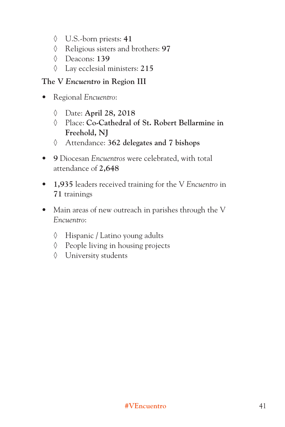- ◊ U.S.-born priests: **41**
- ◊ Religious sisters and brothers: **97**
- ◊ Deacons: **139**
- ◊ Lay ecclesial ministers: **215**

#### **The V** *Encuentro* **in Region III**

- Regional *Encuentro*:
	- ◊ Date: **April 28, 2018**
	- ◊ Place: **Co-Cathedral of St. Robert Bellarmine in Freehold, NJ**
	- ◊ Attendance: **362 delegates and 7 bishops**
- **9** Diocesan *Encuentros* were celebrated, with total attendance of **2,648**
- **1,935** leaders received training for the V *Encuentro* in **71** trainings
- Main areas of new outreach in parishes through the V *Encuentro*:
	- ◊ Hispanic / Latino young adults
	- ◊ People living in housing projects
	- ◊ University students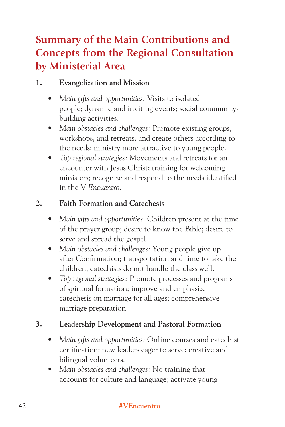# **Summary of the Main Contributions and Concepts from the Regional Consultation by Ministerial Area**

#### **1. Evangelization and Mission**

- *Main gifts and opportunities:* Visits to isolated people; dynamic and inviting events; social communitybuilding activities.
- *Main obstacles and challenges:* Promote existing groups, workshops, and retreats, and create others according to the needs; ministry more attractive to young people.
- *Top regional strategies:* Movements and retreats for an encounter with Jesus Christ; training for welcoming ministers; recognize and respond to the needs identified in the V *Encuentro*.

#### **2. Faith Formation and Catechesis**

- *Main gifts and opportunities:* Children present at the time of the prayer group; desire to know the Bible; desire to serve and spread the gospel.
- *Main obstacles and challenges:* Young people give up after Confirmation; transportation and time to take the children; catechists do not handle the class well.
- *Top regional strategies:* Promote processes and programs of spiritual formation; improve and emphasize catechesis on marriage for all ages; comprehensive marriage preparation.

## **3. Leadership Development and Pastoral Formation**

- *Main gifts and opportunities:* Online courses and catechist certification; new leaders eager to serve; creative and bilingual volunteers.
- *Main obstacles and challenges:* No training that accounts for culture and language; activate young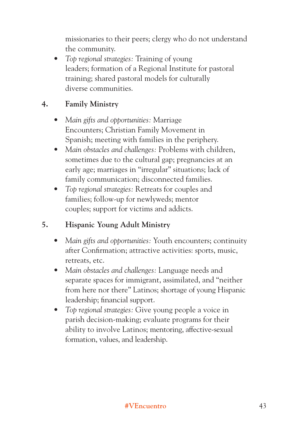missionaries to their peers; clergy who do not understand the community.

*• Top regional strategies:* Training of young leaders; formation of a Regional Institute for pastoral training; shared pastoral models for culturally diverse communities.

#### **4. Family Ministry**

- *Main gifts and opportunities:* Marriage Encounters; Christian Family Movement in Spanish; meeting with families in the periphery.
- *Main obstacles and challenges:* Problems with children, sometimes due to the cultural gap; pregnancies at an early age; marriages in "irregular" situations; lack of family communication; disconnected families.
- *Top regional strategies:* Retreats for couples and families; follow-up for newlyweds; mentor couples; support for victims and addicts.

## **5. Hispanic Young Adult Ministry**

- *Main gifts and opportunities:* Youth encounters; continuity after Confirmation; attractive activities: sports, music, retreats, etc.
- *Main obstacles and challenges:* Language needs and separate spaces for immigrant, assimilated, and "neither from here nor there" Latinos; shortage of young Hispanic leadership; financial support.
- *Top regional strategies:* Give young people a voice in parish decision-making; evaluate programs for their ability to involve Latinos; mentoring, affective-sexual formation, values, and leadership.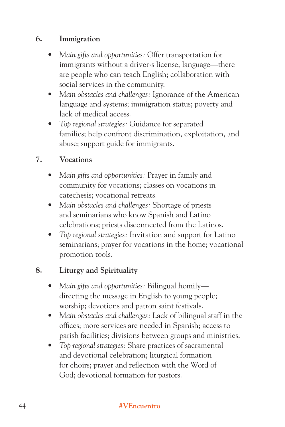#### **6. Immigration**

- *Main gifts and opportunities:* Offer transportation for immigrants without a driver›s license; language—there are people who can teach English; collaboration with social services in the community.
- *Main obstacles and challenges:* Ignorance of the American language and systems; immigration status; poverty and lack of medical access.
- *Top regional strategies:* Guidance for separated families; help confront discrimination, exploitation, and abuse; support guide for immigrants.

#### **7. Vocations**

- *Main gifts and opportunities:* Prayer in family and community for vocations; classes on vocations in catechesis; vocational retreats.
- *Main obstacles and challenges:* Shortage of priests and seminarians who know Spanish and Latino celebrations; priests disconnected from the Latinos.
- *Top regional strategies:* Invitation and support for Latino seminarians; prayer for vocations in the home; vocational promotion tools.

#### **8. Liturgy and Spirituality**

- *Main gifts and opportunities:* Bilingual homily directing the message in English to young people; worship; devotions and patron saint festivals.
- *Main obstacles and challenges:* Lack of bilingual staff in the offices; more services are needed in Spanish; access to parish facilities; divisions between groups and ministries.
- *Top regional strategies:* Share practices of sacramental and devotional celebration; liturgical formation for choirs; prayer and reflection with the Word of God; devotional formation for pastors.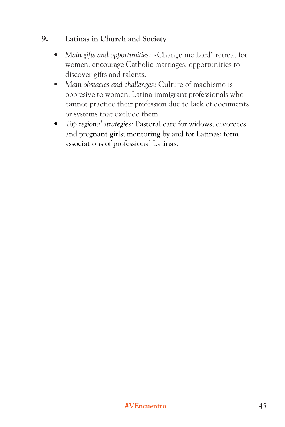#### **9. Latinas in Church and Society**

- *Main gifts and opportunities:* «Change me Lord" retreat for women; encourage Catholic marriages; opportunities to discover gifts and talents.
- *Main obstacles and challenges:* Culture of machismo is oppresive to women; Latina immigrant professionals who cannot practice their profession due to lack of documents or systems that exclude them.
- *Top regional strategies:* Pastoral care for widows, divorcees and pregnant girls; mentoring by and for Latinas; form associations of professional Latinas.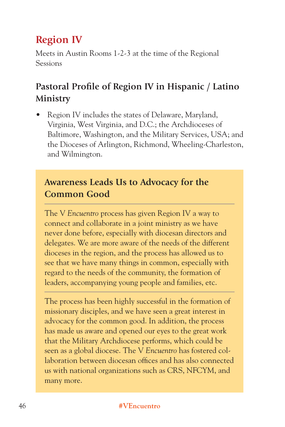# **Region IV**

Meets in Austin Rooms 1-2-3 at the time of the Regional Sessions

## **Pastoral Profile of Region IV in Hispanic / Latino Ministry**

• Region IV includes the states of Delaware, Maryland, Virginia, West Virginia, and D.C.; the Archdioceses of Baltimore, Washington, and the Military Services, USA; and the Dioceses of Arlington, Richmond, Wheeling-Charleston, and Wilmington.

## **Awareness Leads Us to Advocacy for the Common Good**

The V *Encuentro* process has given Region IV a way to connect and collaborate in a joint ministry as we have never done before, especially with diocesan directors and delegates. We are more aware of the needs of the different dioceses in the region, and the process has allowed us to see that we have many things in common, especially with regard to the needs of the community, the formation of leaders, accompanying young people and families, etc.

The process has been highly successful in the formation of missionary disciples, and we have seen a great interest in advocacy for the common good. In addition, the process has made us aware and opened our eyes to the great work that the Military Archdiocese performs, which could be seen as a global diocese. The V *Encuentro* has fostered collaboration between diocesan offices and has also connected us with national organizations such as CRS, NFCYM, and many more.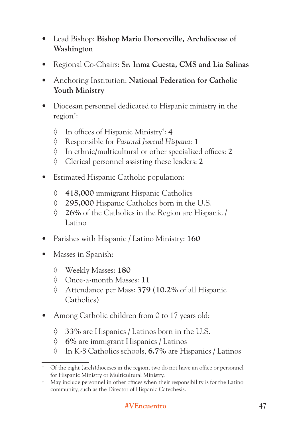- Lead Bishop: **Bishop Mario Dorsonville, Archdiocese of Washington**
- Regional Co-Chairs: **Sr. Inma Cuesta, CMS and Lia Salinas**
- Anchoring Institution: **National Federation for Catholic Youth Ministry**
- Diocesan personnel dedicated to Hispanic ministry in the region\* :
	- ◊ In offices of Hispanic Ministry† : **4**
	- ◊ Responsible for *Pastoral Juvenil Hispana*: **1**
	- ◊ In ethnic/multicultural or other specialized offices: **2**
	- ◊ Clerical personnel assisting these leaders: **2**
- Estimated Hispanic Catholic population:
	- **◊ 418,000** immigrant Hispanic Catholics
	- **◊ 295,000** Hispanic Catholics born in the U.S.
	- **◊ 26%** of the Catholics in the Region are Hispanic / Latino
- Parishes with Hispanic / Latino Ministry: **160**
- Masses in Spanish:
	- ◊ Weekly Masses: **180**
	- ◊ Once-a-month Masses: **11**
	- ◊ Attendance per Mass: **379** (**10.2%** of all Hispanic Catholics)
- Among Catholic children from 0 to 17 years old:
	- **◊ 33%** are Hispanics / Latinos born in the U.S.
	- **◊ 6%** are immigrant Hispanics / Latinos
	- ◊ In K-8 Catholics schools, **6.7%** are Hispanics / Latinos

<sup>\*</sup> Of the eight (arch)dioceses in the region, two do not have an office or personnel for Hispanic Ministry or Multicultural Ministry.

<sup>†</sup> May include personnel in other offices when their responsibility is for the Latino community, such as the Director of Hispanic Catechesis.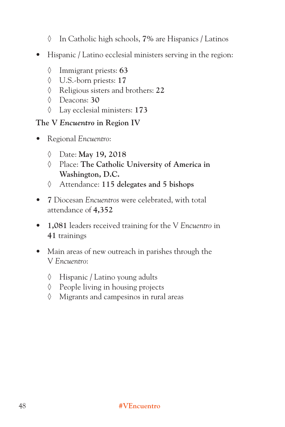- ◊ In Catholic high schools, **7%** are Hispanics / Latinos
- Hispanic / Latino ecclesial ministers serving in the region:
	- ◊ Immigrant priests: **63**
	- ◊ U.S.-born priests: **17**
	- ◊ Religious sisters and brothers: **22**
	- ◊ Deacons: **30**
	- ◊ Lay ecclesial ministers: **173**

#### **The V** *Encuentro* **in Region IV**

- Regional *Encuentro*:
	- ◊ Date: **May 19, 2018**
	- ◊ Place: **The Catholic University of America in Washington, D.C.**
	- ◊ Attendance: **115 delegates and 5 bishops**
- **7** Diocesan *Encuentros* were celebrated, with total attendance of **4,352**
- **1,081** leaders received training for the V *Encuentro* in **41** trainings
- Main areas of new outreach in parishes through the V *Encuentro*:
	- ◊ Hispanic / Latino young adults
	- ◊ People living in housing projects
	- ◊ Migrants and campesinos in rural areas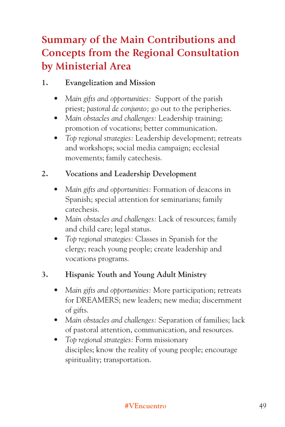# **Summary of the Main Contributions and Concepts from the Regional Consultation by Ministerial Area**

## **1. Evangelization and Mission**

- *Main gifts and opportunities:* Support of the parish priest; *pastoral de conjunto;* go out to the peripheries.
- *Main obstacles and challenges:* Leadership training; promotion of vocations; better communication.
- *Top regional strategies:* Leadership development; retreats and workshops; social media campaign; ecclesial movements; family catechesis.

## **2. Vocations and Leadership Development**

- *Main gifts and opportunities:* Formation of deacons in Spanish; special attention for seminarians; family catechesis.
- *Main obstacles and challenges:* Lack of resources; family and child care; legal status.
- *Top regional strategies:* Classes in Spanish for the clergy; reach young people; create leadership and vocations programs.

## **3. Hispanic Youth and Young Adult Ministry**

- *Main gifts and opportunities:* More participation; retreats for DREAMERS; new leaders; new media; discernment of gifts.
- *Main obstacles and challenges:* Separation of families; lack of pastoral attention, communication, and resources.
- *Top regional strategies:* Form missionary disciples; know the reality of young people; encourage spirituality; transportation.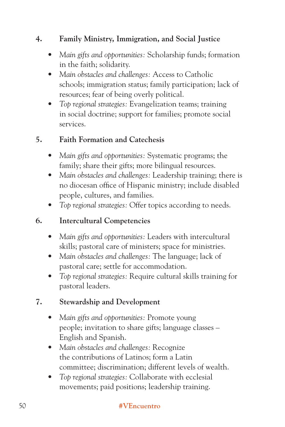## **4. Family Ministry, Immigration, and Social Justice**

- *Main gifts and opportunities:* Scholarship funds; formation in the faith; solidarity.
- *Main obstacles and challenges:* Access to Catholic schools; immigration status; family participation; lack of resources; fear of being overly political.
- *Top regional strategies:* Evangelization teams; training in social doctrine; support for families; promote social services.

#### **5. Faith Formation and Catechesis**

- *Main gifts and opportunities:* Systematic programs; the family; share their gifts; more bilingual resources.
- *Main obstacles and challenges:* Leadership training; there is no diocesan office of Hispanic ministry; include disabled people, cultures, and families.
- *Top regional strategies:* Offer topics according to needs.

#### **6. Intercultural Competencies**

- *Main gifts and opportunities:* Leaders with intercultural skills; pastoral care of ministers; space for ministries.
- *Main obstacles and challenges:* The language; lack of pastoral care; settle for accommodation.
- *Top regional strategies:* Require cultural skills training for pastoral leaders.

#### **7. Stewardship and Development**

- *Main gifts and opportunities:* Promote young people; invitation to share gifts; language classes – English and Spanish.
- *Main obstacles and challenges:* Recognize the contributions of Latinos; form a Latin committee; discrimination; different levels of wealth.
- *Top regional strategies:* Collaborate with ecclesial movements; paid positions; leadership training.

#### 50 **#VEncuentro**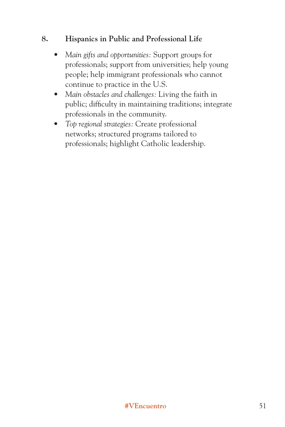#### **8. Hispanics in Public and Professional Life**

- *Main gifts and opportunities:* Support groups for professionals; support from universities; help young people; help immigrant professionals who cannot continue to practice in the U.S.
- *Main obstacles and challenges:* Living the faith in public; difficulty in maintaining traditions; integrate professionals in the community.
- *Top regional strategies:* Create professional networks; structured programs tailored to professionals; highlight Catholic leadership.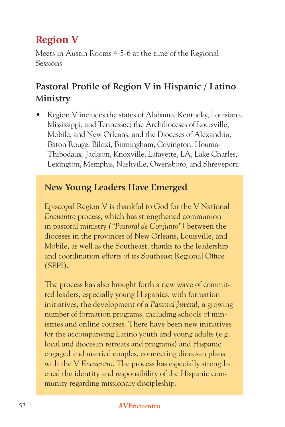# **Region V**

Meets in Austin Rooms 4-5-6 at the time of the Regional Sessions

## **Pastoral Profile of Region V in Hispanic / Latino Ministry**

• Region V includes the states of Alabama, Kentucky, Louisiana, Mississippi, and Tennessee; the Archdioceses of Louisville, Mobile, and New Orleans; and the Dioceses of Alexandria, Baton Rouge, Biloxi, Birmingham, Covington, Houma-Thibodaux, Jackson, Knoxville, Lafayette, LA, Lake Charles, Lexington, Memphis, Nashville, Owensboro, and Shreveport.

## **New Young Leaders Have Emerged**

Episcopal Region V is thankful to God for the V National *Encuentro* process, which has strengthened communion in pastoral ministry *("Pastoral de Conjunto")* between the dioceses in the provinces of New Orleans, Louisville, and Mobile, as well as the Southeast, thanks to the leadership and coordination efforts of its Southeast Regional Office (SEPI).

The process has also brought forth a new wave of committed leaders, especially young Hispanics, with formation initiatives, the development of a *Pastoral Juvenil,* a growing number of formation programs, including schools of ministries and online courses. There have been new initiatives for the accompanying Latino youth and young adults (e.g. local and diocesan retreats and programs) and Hispanic engaged and married couples, connecting diocesan plans with the V *Encuentro*. The process has especially strengthened the identity and responsibility of the Hispanic community regarding missionary discipleship.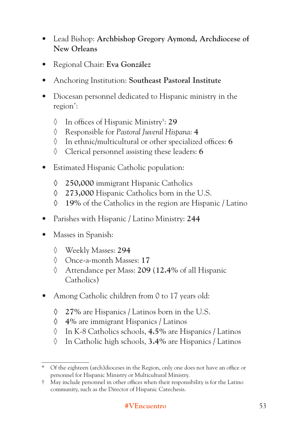- Lead Bishop: **Archbishop Gregory Aymond, Archdiocese of New Orleans**
- Regional Chair: **Eva González**
- Anchoring Institution: **Southeast Pastoral Institute**
- Diocesan personnel dedicated to Hispanic ministry in the region\* :
	- ◊ In offices of Hispanic Ministry† : **29**
	- ◊ Responsible for *Pastoral Juvenil Hispana*: **4**
	- ◊ In ethnic/multicultural or other specialized offices: **6**
	- ◊ Clerical personnel assisting these leaders: **6**
- Estimated Hispanic Catholic population:
	- **◊ 250,000** immigrant Hispanic Catholics
	- **◊ 273,000** Hispanic Catholics born in the U.S.
	- **◊ 19%** of the Catholics in the region are Hispanic / Latino
- Parishes with Hispanic / Latino Ministry: **244**
- Masses in Spanish:
	- ◊ Weekly Masses: **294**
	- ◊ Once-a-month Masses: **17**
	- ◊ Attendance per Mass: **209** (**12.4%** of all Hispanic Catholics)
- Among Catholic children from 0 to 17 years old:
	- **◊ 27%** are Hispanics / Latinos born in the U.S.
	- **◊ 4%** are immigrant Hispanics / Latinos
	- ◊ In K-8 Catholics schools, **4.5%** are Hispanics / Latinos
	- ◊ In Catholic high schools, **3.4%** are Hispanics / Latinos

<sup>\*</sup> Of the eighteen (arch)dioceses in the Region, only one does not have an office or personnel for Hispanic Ministry or Multicultural Ministry.

<sup>†</sup> May include personnel in other offices when their responsibility is for the Latino community, such as the Director of Hispanic Catechesis.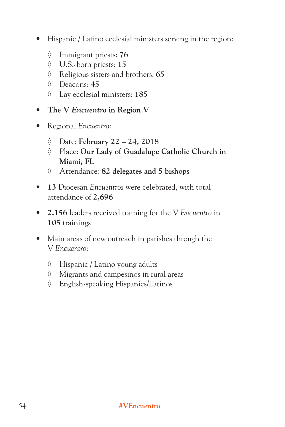- Hispanic / Latino ecclesial ministers serving in the region:
	- ◊ Immigrant priests: **76**
	- ◊ U.S.-born priests: **15**
	- ◊ Religious sisters and brothers: **65**
	- ◊ Deacons: **45**
	- ◊ Lay ecclesial ministers: **185**
- **The V** *Encuentro* **in Region V**
- Regional *Encuentro*:
	- ◊ Date: **February 22 24, 2018**
	- ◊ Place: **Our Lady of Guadalupe Catholic Church in Miami, FL**
	- ◊ Attendance: **82 delegates and 5 bishops**
- **13** Diocesan *Encuentros* were celebrated, with total attendance of **2,696**
- **2,156** leaders received training for the V *Encuentro* in **105** trainings
- Main areas of new outreach in parishes through the V *Encuentro*:
	- ◊ Hispanic / Latino young adults
	- ◊ Migrants and campesinos in rural areas
	- ◊ English-speaking Hispanics/Latinos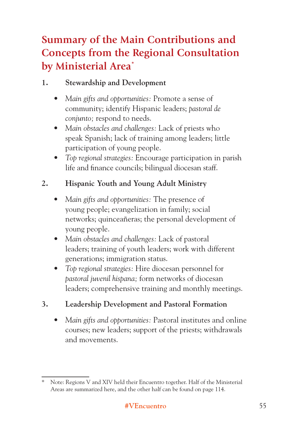# **Summary of the Main Contributions and Concepts from the Regional Consultation by Ministerial Area\***

## **1. Stewardship and Development**

- *Main gifts and opportunities:* Promote a sense of community; identify Hispanic leaders; *pastoral de conjunto;* respond to needs.
- *Main obstacles and challenges:* Lack of priests who speak Spanish; lack of training among leaders; little participation of young people.
- *Top regional strategies:* Encourage participation in parish life and finance councils; bilingual diocesan staff.

## **2. Hispanic Youth and Young Adult Ministry**

- *Main gifts and opportunities:* The presence of young people; evangelization in family; social networks; quinceañeras; the personal development of young people.
- *Main obstacles and challenges:* Lack of pastoral leaders; training of youth leaders; work with different generations; immigration status.
- *Top regional strategies:* Hire diocesan personnel for *pastoral juvenil hispana;* form networks of diocesan leaders; comprehensive training and monthly meetings.

## **3. Leadership Development and Pastoral Formation**

*• Main gifts and opportunities:* Pastoral institutes and online courses; new leaders; support of the priests; withdrawals and movements.

Note: Regions V and XIV held their Encuentro together. Half of the Ministerial Areas are summarized here, and the other half can be found on page 114.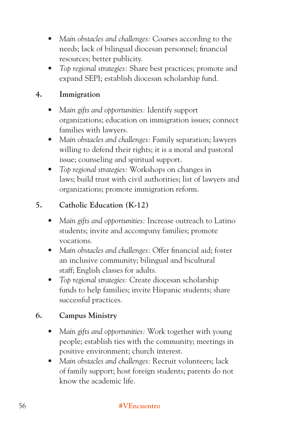- *Main obstacles and challenges:* Courses according to the needs; lack of bilingual diocesan personnel; financial resources; better publicity.
- *Top regional strategies:* Share best practices; promote and expand SEPI; establish diocesan scholarship fund.

#### **4. Immigration**

- *Main gifts and opportunities:* Identify support organizations; education on immigration issues; connect families with lawyers.
- *Main obstacles and challenges:* Family separation; lawyers willing to defend their rights; it is a moral and pastoral issue; counseling and spiritual support.
- *Top regional strategies:* Workshops on changes in laws; build trust with civil authorities; list of lawyers and organizations; promote immigration reform.

#### **5. Catholic Education (K-12)**

- *Main gifts and opportunities:* Increase outreach to Latino students; invite and accompany families; promote vocations.
- *Main obstacles and challenges:* Offer financial aid; foster an inclusive community; bilingual and bicultural staff; English classes for adults.
- *Top regional strategies:* Create diocesan scholarship funds to help families; invite Hispanic students; share successful practices.

## **6. Campus Ministry**

- *Main gifts and opportunities:* Work together with young people; establish ties with the community; meetings in positive environment; church interest.
- *Main obstacles and challenges:* Recruit volunteers; lack of family support; host foreign students; parents do not know the academic life.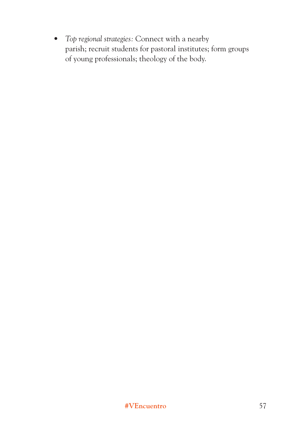*• Top regional strategies:* Connect with a nearby parish; recruit students for pastoral institutes; form groups of young professionals; theology of the body.

#### **#VEncuentro** 57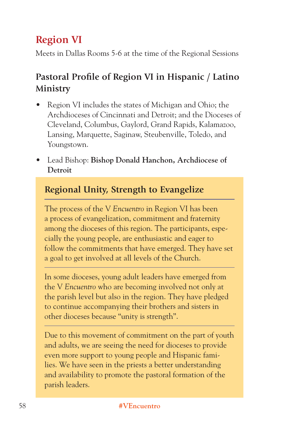# **Region VI**

Meets in Dallas Rooms 5-6 at the time of the Regional Sessions

## **Pastoral Profile of Region VI in Hispanic / Latino Ministry**

- Region VI includes the states of Michigan and Ohio; the Archdioceses of Cincinnati and Detroit; and the Dioceses of Cleveland, Columbus, Gaylord, Grand Rapids, Kalamazoo, Lansing, Marquette, Saginaw, Steubenville, Toledo, and Youngstown.
- Lead Bishop: **Bishop Donald Hanchon, Archdiocese of Detroit**

## **Regional Unity, Strength to Evangelize**

The process of the V *Encuentro* in Region VI has been a process of evangelization, commitment and fraternity among the dioceses of this region. The participants, especially the young people, are enthusiastic and eager to follow the commitments that have emerged. They have set a goal to get involved at all levels of the Church.

In some dioceses, young adult leaders have emerged from the V *Encuentro* who are becoming involved not only at the parish level but also in the region. They have pledged to continue accompanying their brothers and sisters in other dioceses because "unity is strength".

Due to this movement of commitment on the part of youth and adults, we are seeing the need for dioceses to provide even more support to young people and Hispanic families. We have seen in the priests a better understanding and availability to promote the pastoral formation of the parish leaders.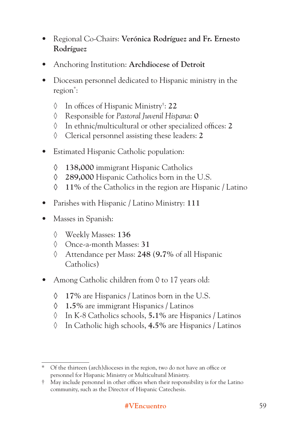- Regional Co-Chairs: **Verónica Rodríguez and Fr. Ernesto Rodríguez**
- Anchoring Institution: **Archdiocese of Detroit**
- Diocesan personnel dedicated to Hispanic ministry in the region\* :
	- ◊ In offices of Hispanic Ministry† : **22**
	- ◊ Responsible for *Pastoral Juvenil Hispana*: **0**
	- ◊ In ethnic/multicultural or other specialized offices: **2**
	- ◊ Clerical personnel assisting these leaders: **2**
- Estimated Hispanic Catholic population:
	- **◊ 138,000** immigrant Hispanic Catholics
	- **◊ 289,000** Hispanic Catholics born in the U.S.
	- **◊ 11%** of the Catholics in the region are Hispanic / Latino
- Parishes with Hispanic / Latino Ministry: **111**
- Masses in Spanish:
	- ◊ Weekly Masses: **136**
	- ◊ Once-a-month Masses: **31**
	- ◊ Attendance per Mass: **248** (**9.7%** of all Hispanic Catholics)
- Among Catholic children from 0 to 17 years old:
	- **◊ 17%** are Hispanics / Latinos born in the U.S.
	- **◊ 1.5%** are immigrant Hispanics / Latinos
	- ◊ In K-8 Catholics schools, **5.1%** are Hispanics / Latinos
	- ◊ In Catholic high schools, **4.5%** are Hispanics / Latinos

<sup>\*</sup> Of the thirteen (arch)dioceses in the region, two do not have an office or personnel for Hispanic Ministry or Multicultural Ministry.

<sup>†</sup> May include personnel in other offices when their responsibility is for the Latino community, such as the Director of Hispanic Catechesis.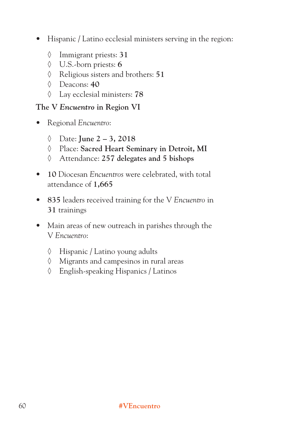- Hispanic / Latino ecclesial ministers serving in the region:
	- ◊ Immigrant priests: **31**
	- ◊ U.S.-born priests: **6**
	- ◊ Religious sisters and brothers: **51**
	- ◊ Deacons: **40**
	- ◊ Lay ecclesial ministers: **78**

#### **The V** *Encuentro* **in Region VI**

- Regional *Encuentro*:
	- ◊ Date: **June 2 3, 2018**
	- ◊ Place: **Sacred Heart Seminary in Detroit, MI**
	- ◊ Attendance: **257 delegates and 5 bishops**
- **10** Diocesan *Encuentros* were celebrated, with total attendance of **1,665**
- **835** leaders received training for the V *Encuentro* in **31** trainings
- Main areas of new outreach in parishes through the V *Encuentro*:
	- ◊ Hispanic / Latino young adults
	- ◊ Migrants and campesinos in rural areas
	- ◊ English-speaking Hispanics / Latinos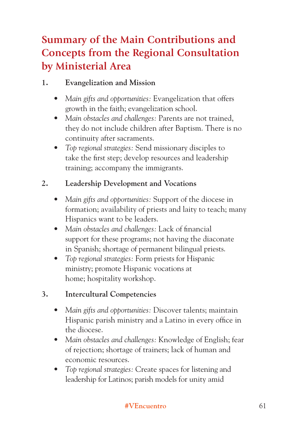# **Summary of the Main Contributions and Concepts from the Regional Consultation by Ministerial Area**

## **1. Evangelization and Mission**

- *Main gifts and opportunities:* Evangelization that offers growth in the faith; evangelization school.
- *Main obstacles and challenges:* Parents are not trained, they do not include children after Baptism. There is no continuity after sacraments.
- *Top regional strategies:* Send missionary disciples to take the first step; develop resources and leadership training; accompany the immigrants.

## **2. Leadership Development and Vocations**

- *Main gifts and opportunities:* Support of the diocese in formation; availability of priests and laity to teach; many Hispanics want to be leaders.
- *Main obstacles and challenges:* Lack of financial support for these programs; not having the diaconate in Spanish; shortage of permanent bilingual priests.
- *Top regional strategies:* Form priests for Hispanic ministry; promote Hispanic vocations at home; hospitality workshop.

## **3. Intercultural Competencies**

- *Main gifts and opportunities:* Discover talents; maintain Hispanic parish ministry and a Latino in every office in the diocese.
- *Main obstacles and challenges:* Knowledge of English; fear of rejection; shortage of trainers; lack of human and economic resources.
- *Top regional strategies:* Create spaces for listening and leadership for Latinos; parish models for unity amid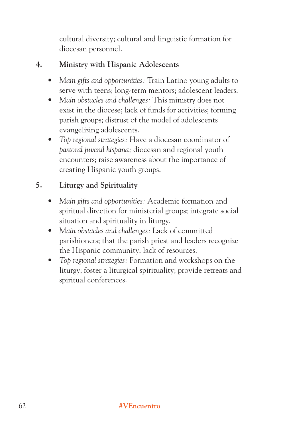cultural diversity; cultural and linguistic formation for diocesan personnel.

### **4. Ministry with Hispanic Adolescents**

- *Main gifts and opportunities:* Train Latino young adults to serve with teens; long-term mentors; adolescent leaders.
- *Main obstacles and challenges:* This ministry does not exist in the diocese; lack of funds for activities; forming parish groups; distrust of the model of adolescents evangelizing adolescents.
- *Top regional strategies:* Have a diocesan coordinator of *pastoral juvenil hispana;* diocesan and regional youth encounters; raise awareness about the importance of creating Hispanic youth groups.

## **5. Liturgy and Spirituality**

- *Main gifts and opportunities:* Academic formation and spiritual direction for ministerial groups; integrate social situation and spirituality in liturgy.
- *Main obstacles and challenges:* Lack of committed parishioners; that the parish priest and leaders recognize the Hispanic community; lack of resources.
- *Top regional strategies:* Formation and workshops on the liturgy; foster a liturgical spirituality; provide retreats and spiritual conferences.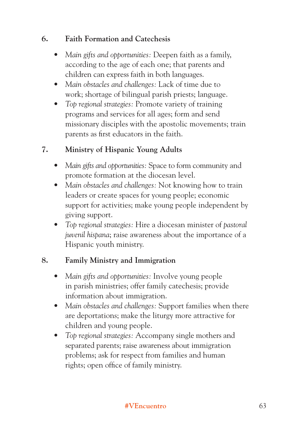#### **6. Faith Formation and Catechesis**

- *Main gifts and opportunities:* Deepen faith as a family, according to the age of each one; that parents and children can express faith in both languages.
- *Main obstacles and challenges:* Lack of time due to work; shortage of bilingual parish priests; language.
- *Top regional strategies:* Promote variety of training programs and services for all ages; form and send missionary disciples with the apostolic movements; train parents as first educators in the faith.

## **7. Ministry of Hispanic Young Adults**

- *Main gifts and opportunities:* Space to form community and promote formation at the diocesan level.
- *Main obstacles and challenges:* Not knowing how to train leaders or create spaces for young people; economic support for activities; make young people independent by giving support.
- *Top regional strategies:* Hire a diocesan minister of *pastoral juvenil hispana*; raise awareness about the importance of a Hispanic youth ministry.

## **8. Family Ministry and Immigration**

- *Main gifts and opportunities:* Involve young people in parish ministries; offer family catechesis; provide information about immigration.
- *Main obstacles and challenges:* Support families when there are deportations; make the liturgy more attractive for children and young people.
- *Top regional strategies:* Accompany single mothers and separated parents; raise awareness about immigration problems; ask for respect from families and human rights; open office of family ministry.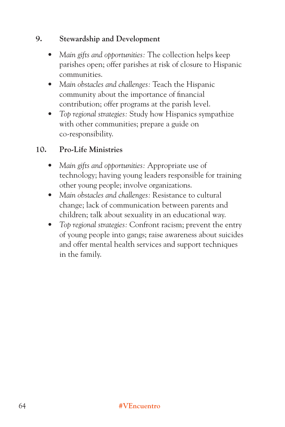#### **9. Stewardship and Development**

- *Main gifts and opportunities:* The collection helps keep parishes open; offer parishes at risk of closure to Hispanic communities.
- *Main obstacles and challenges:* Teach the Hispanic community about the importance of financial contribution; offer programs at the parish level.
- *Top regional strategies:* Study how Hispanics sympathize with other communities; prepare a guide on co-responsibility.

## **10. Pro-Life Ministries**

- *Main gifts and opportunities:* Appropriate use of technology; having young leaders responsible for training other young people; involve organizations.
- *Main obstacles and challenges:* Resistance to cultural change; lack of communication between parents and children; talk about sexuality in an educational way.
- *Top regional strategies:* Confront racism; prevent the entry of young people into gangs; raise awareness about suicides and offer mental health services and support techniques in the family.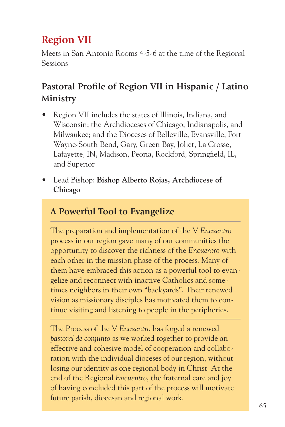# **Region VII**

Meets in San Antonio Rooms 4-5-6 at the time of the Regional Sessions

## **Pastoral Profile of Region VII in Hispanic / Latino Ministry**

- Region VII includes the states of Illinois, Indiana, and Wisconsin; the Archdioceses of Chicago, Indianapolis, and Milwaukee; and the Dioceses of Belleville, Evansville, Fort Wayne-South Bend, Gary, Green Bay, Joliet, La Crosse, Lafayette, IN, Madison, Peoria, Rockford, Springfield, IL, and Superior.
- Lead Bishop: **Bishop Alberto Rojas, Archdiocese of Chicago**

## **A Powerful Tool to Evangelize**

The preparation and implementation of the V *Encuentro* process in our region gave many of our communities the opportunity to discover the richness of the *Encuentro* with each other in the mission phase of the process. Many of them have embraced this action as a powerful tool to evangelize and reconnect with inactive Catholics and sometimes neighbors in their own "backyards". Their renewed vision as missionary disciples has motivated them to continue visiting and listening to people in the peripheries.

**#VEncuentro** 65 The Process of the V *Encuentro* has forged a renewed *pastoral de conjunto* as we worked together to provide an effective and cohesive model of cooperation and collaboration with the individual dioceses of our region, without losing our identity as one regional body in Christ. At the end of the Regional *Encuentro*, the fraternal care and joy of having concluded this part of the process will motivate future parish, diocesan and regional work.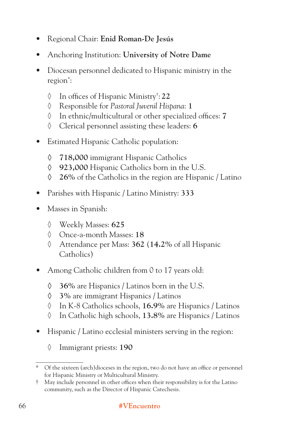- Regional Chair: **Enid Roman-De Jesús**
- Anchoring Institution: **University of Notre Dame**
- Diocesan personnel dedicated to Hispanic ministry in the region\* :
	- ◊ In offices of Hispanic Ministry† : **22**
	- ◊ Responsible for *Pastoral Juvenil Hispana*: **1**
	- ◊ In ethnic/multicultural or other specialized offices: **7**
	- ◊ Clerical personnel assisting these leaders: **6**
- Estimated Hispanic Catholic population:
	- **◊ 718,000** immigrant Hispanic Catholics
	- **◊ 923,000** Hispanic Catholics born in the U.S.
	- **◊ 26%** of the Catholics in the region are Hispanic / Latino
- Parishes with Hispanic / Latino Ministry: **333**
- Masses in Spanish:
	- ◊ Weekly Masses: **625**
	- ◊ Once-a-month Masses: **18**
	- ◊ Attendance per Mass: **362** (**14.2%** of all Hispanic Catholics)
- Among Catholic children from 0 to 17 years old:
	- **◊ 36%** are Hispanics / Latinos born in the U.S.
	- **◊ 3%** are immigrant Hispanics / Latinos
	- ◊ In K-8 Catholics schools, **16.9%** are Hispanics / Latinos
	- ◊ In Catholic high schools, **13.8%** are Hispanics / Latinos
- Hispanic / Latino ecclesial ministers serving in the region:
	- ◊ Immigrant priests: **190**

<sup>\*</sup> Of the sixteen (arch)dioceses in the region, two do not have an office or personnel for Hispanic Ministry or Multicultural Ministry.

<sup>†</sup> May include personnel in other offices when their responsibility is for the Latino community, such as the Director of Hispanic Catechesis.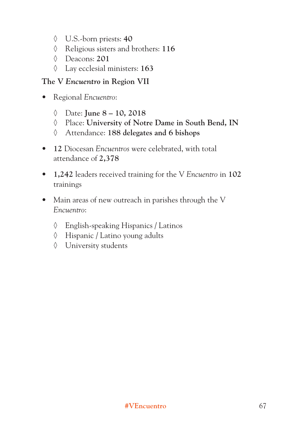- ◊ U.S.-born priests: **40**
- ◊ Religious sisters and brothers: **116**
- ◊ Deacons: **201**
- ◊ Lay ecclesial ministers: **163**

### **The V** *Encuentro* **in Region VII**

- Regional *Encuentro*:
	- ◊ Date: **June 8 10, 2018**
	- ◊ Place: **University of Notre Dame in South Bend, IN**
	- ◊ Attendance: **188 delegates and 6 bishops**
- **12** Diocesan *Encuentros* were celebrated, with total attendance of **2,378**
- **1,242** leaders received training for the V *Encuentro* in **102** trainings
- Main areas of new outreach in parishes through the V *Encuentro*:
	- ◊ English-speaking Hispanics / Latinos
	- ◊ Hispanic / Latino young adults
	- ◊ University students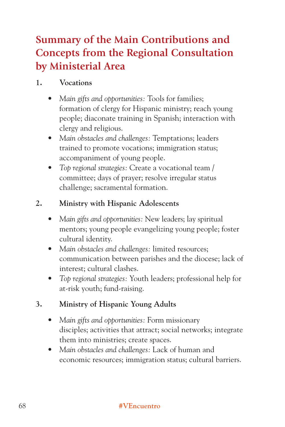# **Summary of the Main Contributions and Concepts from the Regional Consultation by Ministerial Area**

#### **1. Vocations**

- *Main gifts and opportunities:* Tools for families; formation of clergy for Hispanic ministry; reach young people; diaconate training in Spanish; interaction with clergy and religious.
- *Main obstacles and challenges:* Temptations; leaders trained to promote vocations; immigration status; accompaniment of young people.
- *Top regional strategies:* Create a vocational team / committee; days of prayer; resolve irregular status challenge; sacramental formation.

#### **2. Ministry with Hispanic Adolescents**

- *Main gifts and opportunities:* New leaders; lay spiritual mentors; young people evangelizing young people; foster cultural identity.
- *Main obstacles and challenges:* limited resources; communication between parishes and the diocese; lack of interest; cultural clashes.
- *Top regional strategies:* Youth leaders; professional help for at-risk youth; fund-raising.

### **3. Ministry of Hispanic Young Adults**

- *Main gifts and opportunities:* Form missionary disciples; activities that attract; social networks; integrate them into ministries; create spaces.
- *Main obstacles and challenges:* Lack of human and economic resources; immigration status; cultural barriers.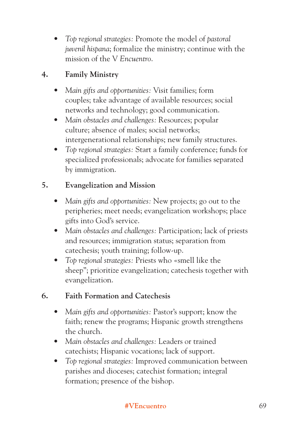*• Top regional strategies:* Promote the model of *pastoral juvenil hispana*; formalize the ministry; continue with the mission of the V *Encuentro*.

# **4. Family Ministry**

- *Main gifts and opportunities:* Visit families; form couples; take advantage of available resources; social networks and technology; good communication.
- *Main obstacles and challenges:* Resources; popular culture; absence of males; social networks; intergenerational relationships; new family structures.
- *Top regional strategies:* Start a family conference; funds for specialized professionals; advocate for families separated by immigration.

## **5. Evangelization and Mission**

- *Main gifts and opportunities:* New projects; go out to the peripheries; meet needs; evangelization workshops; place gifts into God's service.
- *Main obstacles and challenges:* Participation; lack of priests and resources; immigration status; separation from catechesis; youth training; follow-up.
- *Top regional strategies:* Priests who «smell like the sheep"; prioritize evangelization; catechesis together with evangelization.

### **6. Faith Formation and Catechesis**

- *Main gifts and opportunities:* Pastor's support; know the faith; renew the programs; Hispanic growth strengthens the church.
- *Main obstacles and challenges:* Leaders or trained catechists; Hispanic vocations; lack of support.
- *Top regional strategies:* Improved communication between parishes and dioceses; catechist formation; integral formation; presence of the bishop.

#### **#VEncuentro** 69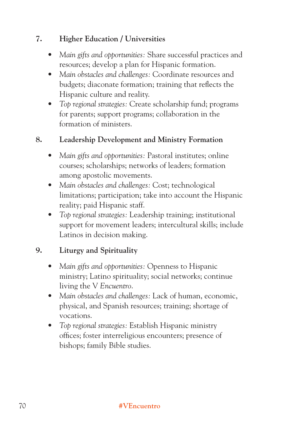#### **7. Higher Education / Universities**

- *Main gifts and opportunities:* Share successful practices and resources; develop a plan for Hispanic formation.
- *Main obstacles and challenges:* Coordinate resources and budgets; diaconate formation; training that reflects the Hispanic culture and reality.
- *Top regional strategies:* Create scholarship fund; programs for parents; support programs; collaboration in the formation of ministers.

### **8. Leadership Development and Ministry Formation**

- *Main gifts and opportunities:* Pastoral institutes; online courses; scholarships; networks of leaders; formation among apostolic movements.
- *Main obstacles and challenges:* Cost; technological limitations; participation; take into account the Hispanic reality; paid Hispanic staff.
- *Top regional strategies:* Leadership training; institutional support for movement leaders; intercultural skills; include Latinos in decision making.

#### **9. Liturgy and Spirituality**

- *Main gifts and opportunities:* Openness to Hispanic ministry; Latino spirituality; social networks; continue living the V *Encuentro*.
- *Main obstacles and challenges:* Lack of human, economic, physical, and Spanish resources; training; shortage of vocations.
- *Top regional strategies:* Establish Hispanic ministry offices; foster interreligious encounters; presence of bishops; family Bible studies.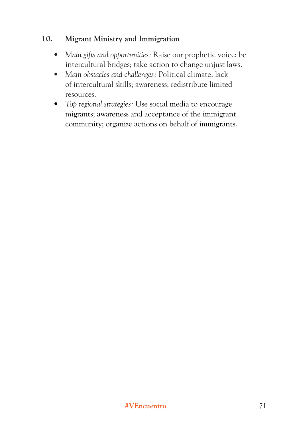#### **10. Migrant Ministry and Immigration**

- *Main gifts and opportunities:* Raise our prophetic voice; be intercultural bridges; take action to change unjust laws.
- *Main obstacles and challenges:* Political climate; lack of intercultural skills; awareness; redistribute limited resources.
- *Top regional strategies:* Use social media to encourage migrants; awareness and acceptance of the immigrant community; organize actions on behalf of immigrants.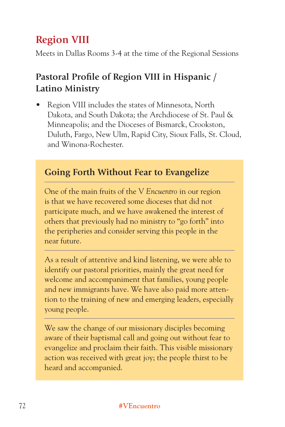# **Region VIII**

Meets in Dallas Rooms 3-4 at the time of the Regional Sessions

# **Pastoral Profile of Region VIII in Hispanic / Latino Ministry**

• Region VIII includes the states of Minnesota, North Dakota, and South Dakota; the Archdiocese of St. Paul & Minneapolis; and the Dioceses of Bismarck, Crookston, Duluth, Fargo, New Ulm, Rapid City, Sioux Falls, St. Cloud, and Winona-Rochester.

# **Going Forth Without Fear to Evangelize**

One of the main fruits of the V *Encuentro* in our region is that we have recovered some dioceses that did not participate much, and we have awakened the interest of others that previously had no ministry to "go forth" into the peripheries and consider serving this people in the near future.

As a result of attentive and kind listening, we were able to identify our pastoral priorities, mainly the great need for welcome and accompaniment that families, young people and new immigrants have. We have also paid more attention to the training of new and emerging leaders, especially young people.

We saw the change of our missionary disciples becoming aware of their baptismal call and going out without fear to evangelize and proclaim their faith. This visible missionary action was received with great joy; the people thirst to be heard and accompanied.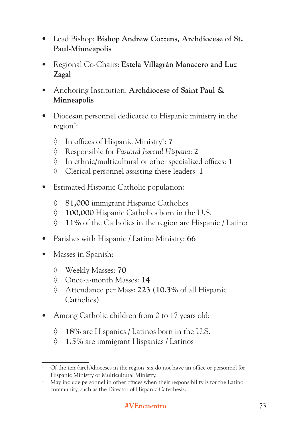- Lead Bishop: **Bishop Andrew Cozzens, Archdiocese of St. Paul-Minneapolis**
- Regional Co-Chairs: **Estela Villagrán Manacero and Luz Zagal**
- Anchoring Institution: **Archdiocese of Saint Paul & Minneapolis**
- Diocesan personnel dedicated to Hispanic ministry in the region\* :
	- ◊ In offices of Hispanic Ministry† : **7**
	- ◊ Responsible for *Pastoral Juvenil Hispana*: **2**
	- ◊ In ethnic/multicultural or other specialized offices: **1**
	- ◊ Clerical personnel assisting these leaders: **1**
- Estimated Hispanic Catholic population:
	- **◊ 81,000** immigrant Hispanic Catholics
	- **◊ 100,000** Hispanic Catholics born in the U.S.
	- **◊ 11%** of the Catholics in the region are Hispanic / Latino
- Parishes with Hispanic / Latino Ministry: **66**
- Masses in Spanish:
	- ◊ Weekly Masses: **70**
	- ◊ Once-a-month Masses: **14**
	- ◊ Attendance per Mass: **223** (**10.3%** of all Hispanic Catholics)
- Among Catholic children from 0 to 17 years old:
	- **◊ 18%** are Hispanics / Latinos born in the U.S.
	- **◊ 1.5%** are immigrant Hispanics / Latinos

<sup>\*</sup> Of the ten (arch)dioceses in the region, six do not have an office or personnel for Hispanic Ministry or Multicultural Ministry.

<sup>†</sup> May include personnel in other offices when their responsibility is for the Latino community, such as the Director of Hispanic Catechesis.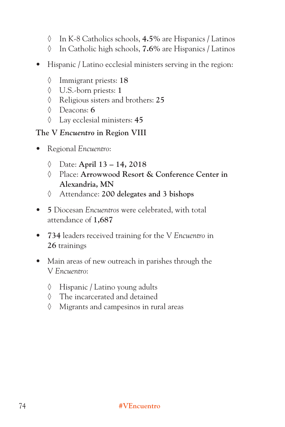- ◊ In K-8 Catholics schools, **4.5%** are Hispanics / Latinos
- ◊ In Catholic high schools, **7.6%** are Hispanics / Latinos
- Hispanic / Latino ecclesial ministers serving in the region:
	- ◊ Immigrant priests: **18**
	- ◊ U.S.-born priests: **1**
	- ◊ Religious sisters and brothers: **25**
	- ◊ Deacons: **6**
	- ◊ Lay ecclesial ministers: **45**

#### **The V** *Encuentro* **in Region VIII**

- Regional *Encuentro*:
	- ◊ Date: **April 13 14, 2018**
	- ◊ Place: **Arrowwood Resort & Conference Center in Alexandria, MN**
	- ◊ Attendance: **200 delegates and 3 bishops**
- **5** Diocesan *Encuentros* were celebrated, with total attendance of **1,687**
- **734** leaders received training for the V *Encuentro* in **26** trainings
- Main areas of new outreach in parishes through the V *Encuentro*:
	- ◊ Hispanic / Latino young adults
	- ◊ The incarcerated and detained
	- ◊ Migrants and campesinos in rural areas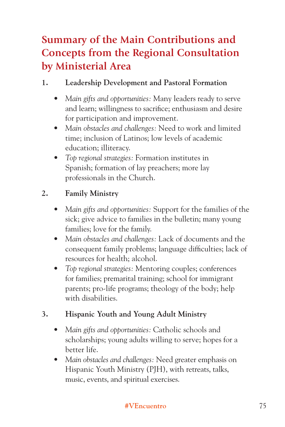# **Summary of the Main Contributions and Concepts from the Regional Consultation by Ministerial Area**

### **1. Leadership Development and Pastoral Formation**

- *Main gifts and opportunities:* Many leaders ready to serve and learn; willingness to sacrifice; enthusiasm and desire for participation and improvement.
- *Main obstacles and challenges:* Need to work and limited time; inclusion of Latinos; low levels of academic education; illiteracy.
- *Top regional strategies:* Formation institutes in Spanish; formation of lay preachers; more lay professionals in the Church.

## **2. Family Ministry**

- *Main gifts and opportunities:* Support for the families of the sick; give advice to families in the bulletin; many young families; love for the family.
- *Main obstacles and challenges:* Lack of documents and the consequent family problems; language difficulties; lack of resources for health; alcohol.
- *Top regional strategies:* Mentoring couples; conferences for families; premarital training; school for immigrant parents; pro-life programs; theology of the body; help with disabilities.

# **3. Hispanic Youth and Young Adult Ministry**

- *Main gifts and opportunities:* Catholic schools and scholarships; young adults willing to serve; hopes for a better life.
- *Main obstacles and challenges:* Need greater emphasis on Hispanic Youth Ministry (PJH), with retreats, talks, music, events, and spiritual exercises.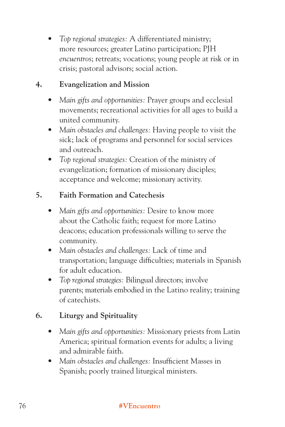*• Top regional strategies:* A differentiated ministry; more resources; greater Latino participation; PJH *encuentros*; retreats; vocations; young people at risk or in crisis; pastoral advisors; social action.

#### **4. Evangelization and Mission**

- *Main gifts and opportunities:* Prayer groups and ecclesial movements; recreational activities for all ages to build a united community.
- *Main obstacles and challenges:* Having people to visit the sick; lack of programs and personnel for social services and outreach.
- *Top regional strategies:* Creation of the ministry of evangelization; formation of missionary disciples; acceptance and welcome; missionary activity.

#### **5. Faith Formation and Catechesis**

- *Main gifts and opportunities:* Desire to know more about the Catholic faith; request for more Latino deacons; education professionals willing to serve the community.
- *Main obstacles and challenges:* Lack of time and transportation; language difficulties; materials in Spanish for adult education.
- *Top regional strategies:* Bilingual directors; involve parents; materials embodied in the Latino reality; training of catechists.

### **6. Liturgy and Spirituality**

- *Main gifts and opportunities:* Missionary priests from Latin America; spiritual formation events for adults; a living and admirable faith.
- *Main obstacles and challenges:* Insufficient Masses in Spanish; poorly trained liturgical ministers.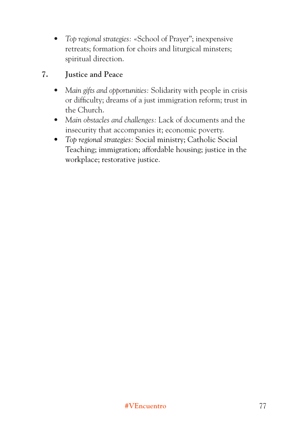*• Top regional strategies:* «School of Prayer"; inexpensive retreats; formation for choirs and liturgical minsters; spiritual direction.

#### **7. Justice and Peace**

- *Main gifts and opportunities:* Solidarity with people in crisis or difficulty; dreams of a just immigration reform; trust in the Church.
- *Main obstacles and challenges:* Lack of documents and the insecurity that accompanies it; economic poverty.
- *Top regional strategies:* Social ministry; Catholic Social Teaching; immigration; affordable housing; justice in the workplace; restorative justice.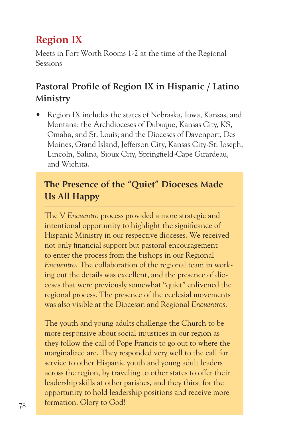# **Region IX**

Meets in Fort Worth Rooms 1-2 at the time of the Regional Sessions

# **Pastoral Profile of Region IX in Hispanic / Latino Ministry**

• Region IX includes the states of Nebraska, Iowa, Kansas, and Montana; the Archdioceses of Dubuque, Kansas City, KS, Omaha, and St. Louis; and the Dioceses of Davenport, Des Moines, Grand Island, Jefferson City, Kansas City-St. Joseph, Lincoln, Salina, Sioux City, Springfield-Cape Girardeau, and Wichita.

# **The Presence of the "Quiet" Dioceses Made Us All Happy**

The V *Encuentro* process provided a more strategic and intentional opportunity to highlight the significance of Hispanic Ministry in our respective dioceses. We received not only financial support but pastoral encouragement to enter the process from the bishops in our Regional *Encuentro*. The collaboration of the regional team in working out the details was excellent, and the presence of dioceses that were previously somewhat "quiet" enlivened the regional process. The presence of the ecclesial movements was also visible at the Diocesan and Regional *Encuentros*.

 $78$  **#** formation. Glory to God! The youth and young adults challenge the Church to be more responsive about social injustices in our region as they follow the call of Pope Francis to go out to where the marginalized are. They responded very well to the call for service to other Hispanic youth and young adult leaders across the region, by traveling to other states to offer their leadership skills at other parishes, and they thirst for the opportunity to hold leadership positions and receive more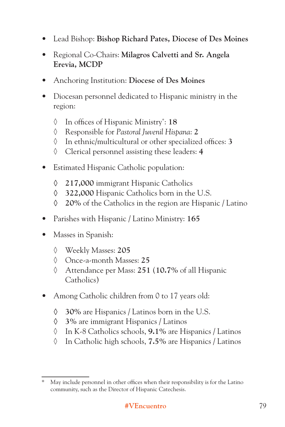- Lead Bishop: **Bishop Richard Pates, Diocese of Des Moines**
- Regional Co-Chairs: **Milagros Calvetti and Sr. Angela Erevia, MCDP**
- Anchoring Institution: **Diocese of Des Moines**
- Diocesan personnel dedicated to Hispanic ministry in the region:
	- ◊ In offices of Hispanic Ministry\* : **18**
	- ◊ Responsible for *Pastoral Juvenil Hispana*: **2**
	- ◊ In ethnic/multicultural or other specialized offices: **3**
	- ◊ Clerical personnel assisting these leaders: **4**
- Estimated Hispanic Catholic population:
	- **◊ 217,000** immigrant Hispanic Catholics
	- **◊ 322,000** Hispanic Catholics born in the U.S.
	- **◊ 20%** of the Catholics in the region are Hispanic / Latino
- Parishes with Hispanic / Latino Ministry: **165**
- Masses in Spanish:
	- ◊ Weekly Masses: **205**
	- ◊ Once-a-month Masses: **25**
	- ◊ Attendance per Mass: **251** (**10.7%** of all Hispanic Catholics)
- Among Catholic children from 0 to 17 years old:
	- **◊ 30%** are Hispanics / Latinos born in the U.S.
	- **◊ 3%** are immigrant Hispanics / Latinos
	- ◊ In K-8 Catholics schools, **9.1%** are Hispanics / Latinos
	- ◊ In Catholic high schools, **7.5%** are Hispanics / Latinos

<sup>\*</sup> May include personnel in other offices when their responsibility is for the Latino community, such as the Director of Hispanic Catechesis.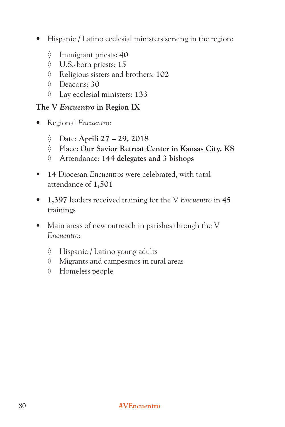- Hispanic / Latino ecclesial ministers serving in the region:
	- ◊ Immigrant priests: **40**
	- ◊ U.S.-born priests: **15**
	- ◊ Religious sisters and brothers: **102**
	- ◊ Deacons: **30**
	- ◊ Lay ecclesial ministers: **133**

#### **The V** *Encuentro* **in Region IX**

- Regional *Encuentro*:
	- ◊ Date: **Aprili 27 29, 2018**
	- ◊ Place: **Our Savior Retreat Center in Kansas City, KS**
	- ◊ Attendance: **144 delegates and 3 bishops**
- **14** Diocesan *Encuentros* were celebrated, with total attendance of **1,501**
- **1,397** leaders received training for the V *Encuentro* in **45** trainings
- Main areas of new outreach in parishes through the V *Encuentro*:
	- ◊ Hispanic / Latino young adults
	- ◊ Migrants and campesinos in rural areas
	- ◊ Homeless people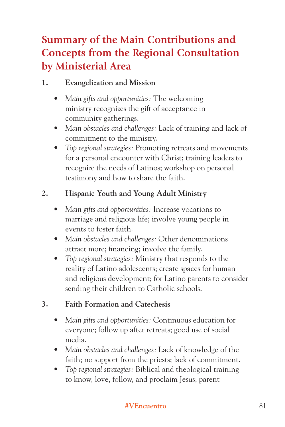# **Summary of the Main Contributions and Concepts from the Regional Consultation by Ministerial Area**

### **1. Evangelization and Mission**

- *Main gifts and opportunities:* The welcoming ministry recognizes the gift of acceptance in community gatherings.
- *Main obstacles and challenges:* Lack of training and lack of commitment to the ministry.
- *Top regional strategies:* Promoting retreats and movements for a personal encounter with Christ; training leaders to recognize the needs of Latinos; workshop on personal testimony and how to share the faith.

## **2. Hispanic Youth and Young Adult Ministry**

- *Main gifts and opportunities:* Increase vocations to marriage and religious life; involve young people in events to foster faith.
- *Main obstacles and challenges:* Other denominations attract more; financing; involve the family.
- *Top regional strategies:* Ministry that responds to the reality of Latino adolescents; create spaces for human and religious development; for Latino parents to consider sending their children to Catholic schools.

### **3. Faith Formation and Catechesis**

- *Main gifts and opportunities:* Continuous education for everyone; follow up after retreats; good use of social media.
- *Main obstacles and challenges:* Lack of knowledge of the faith; no support from the priests; lack of commitment.
- *Top regional strategies:* Biblical and theological training to know, love, follow, and proclaim Jesus; parent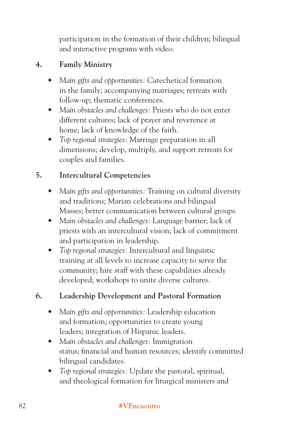participation in the formation of their children; bilingual and interactive programs with video.

# **4. Family Ministry**

- *Main gifts and opportunities:* Catechetical formation in the family; accompanying marriages; retreats with follow-up; thematic conferences.
- *Main obstacles and challenges:* Priests who do not enter different cultures; lack of prayer and reverence at home; lack of knowledge of the faith.
- *Top regional strategies:* Marriage preparation in all dimensions; develop, multiply, and support retreats for couples and families.

# **5. Intercultural Competencies**

- *Main gifts and opportunities:* Training on cultural diversity and traditions; Marian celebrations and bilingual Masses; better communication between cultural groups.
- *Main obstacles and challenges:* Language barrier; lack of priests with an intercultural vision; lack of commitment and participation in leadership.
- *Top regional strategies:* Intercultural and linguistic training at all levels to increase capacity to serve the community; hire staff with these capabilities already developed; workshops to unite diverse cultures.

# **6. Leadership Development and Pastoral Formation**

- *Main gifts and opportunities:* Leadership education and formation; opportunities to create young leaders; integration of Hispanic leaders.
- *Main obstacles and challenges:* Immigration status; financial and human resources; identify committed bilingual candidates.
- *Top regional strategies:* Update the pastoral, spiritual, and theological formation for liturgical ministers and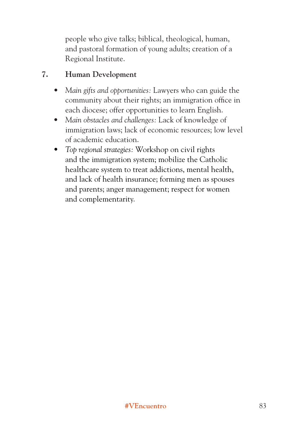people who give talks; biblical, theological, human, and pastoral formation of young adults; creation of a Regional Institute.

#### **7. Human Development**

- *Main gifts and opportunities:* Lawyers who can guide the community about their rights; an immigration office in each diocese; offer opportunities to learn English.
- *Main obstacles and challenges:* Lack of knowledge of immigration laws; lack of economic resources; low level of academic education.
- *Top regional strategies:* Workshop on civil rights and the immigration system; mobilize the Catholic healthcare system to treat addictions, mental health, and lack of health insurance; forming men as spouses and parents; anger management; respect for women and complementarity.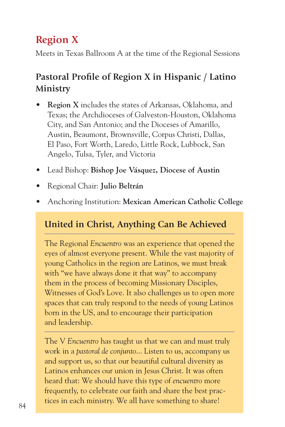# **Region X**

Meets in Texas Ballroom A at the time of the Regional Sessions

# **Pastoral Profile of Region X in Hispanic / Latino Ministry**

- **Region X** includes the states of Arkansas, Oklahoma, and Texas; the Archdioceses of Galveston-Houston, Oklahoma City, and San Antonio; and the Dioceses of Amarillo, Austin, Beaumont, Brownsville, Corpus Christi, Dallas, El Paso, Fort Worth, Laredo, Little Rock, Lubbock, San Angelo, Tulsa, Tyler, and Victoria
- Lead Bishop: **Bishop Joe Vásquez, Diocese of Austin**
- Regional Chair: **Julio Beltrán**
- Anchoring Institution: **Mexican American Catholic College**

# **United in Christ, Anything Can Be Achieved**

The Regional *Encuentro* was an experience that opened the eyes of almost everyone present. While the vast majority of young Catholics in the region are Latinos, we must break with "we have always done it that way" to accompany them in the process of becoming Missionary Disciples, Witnesses of God's Love. It also challenges us to open more spaces that can truly respond to the needs of young Latinos born in the US, and to encourage their participation and leadership.

tices in each ministry. We all have something to share! The V *Encuentro* has taught us that we can and must truly work in a *pastoral de conjunto*... Listen to us, accompany us and support us, so that our beautiful cultural diversity as Latinos enhances our union in Jesus Christ. It was often heard that: We should have this type of *encuentro* more frequently, to celebrate our faith and share the best prac-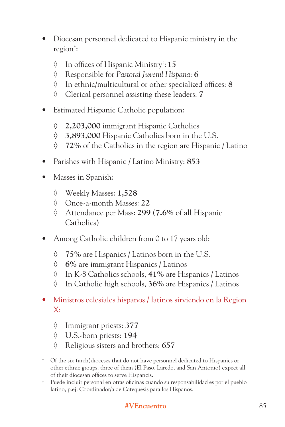- Diocesan personnel dedicated to Hispanic ministry in the region\* :
	- ◊ In offices of Hispanic Ministry† : **15**
	- ◊ Responsible for *Pastoral Juvenil Hispana*: **6**
	- ◊ In ethnic/multicultural or other specialized offices: **8**
	- ◊ Clerical personnel assisting these leaders: **7**
- Estimated Hispanic Catholic population:
	- **◊ 2,203,000** immigrant Hispanic Catholics
	- **◊ 3,893,000** Hispanic Catholics born in the U.S.
	- **◊ 72%** of the Catholics in the region are Hispanic / Latino
- Parishes with Hispanic / Latino Ministry: **853**
- Masses in Spanish:
	- ◊ Weekly Masses: **1,528**
	- ◊ Once-a-month Masses: **22**
	- ◊ Attendance per Mass: **299** (**7.6%** of all Hispanic Catholics)
- Among Catholic children from 0 to 17 years old:
	- **◊ 75%** are Hispanics / Latinos born in the U.S.
	- **◊ 6%** are immigrant Hispanics / Latinos
	- ◊ In K-8 Catholics schools, **41%** are Hispanics / Latinos
	- ◊ In Catholic high schools, **36%** are Hispanics / Latinos
- Ministros eclesiales hispanos / latinos sirviendo en la Region X:
	- ◊ Immigrant priests: **377**
	- ◊ U.S.-born priests: **194**
	- ◊ Religious sisters and brothers: **657**

<sup>\*</sup> Of the six (arch)dioceses that do not have personnel dedicated to Hispanics or other ethnic groups, three of them (El Paso, Laredo, and San Antonio) expect all of their diocesan offices to serve Hispancis.

<sup>†</sup> Puede incluir personal en otras oficinas cuando su responsabilidad es por el pueblo latino, p.ej. Coordinador/a de Catequesis para los Hispanos.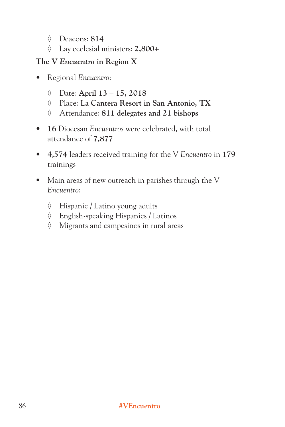- ◊ Deacons: **814**
- ◊ Lay ecclesial ministers: **2,800+**

#### **The V** *Encuentro* **in Region X**

- Regional *Encuentro*:
	- ◊ Date: **April 13 15, 2018**
	- ◊ Place: **La Cantera Resort in San Antonio, TX**
	- ◊ Attendance: **811 delegates and 21 bishops**
- **16** Diocesan *Encuentros* were celebrated, with total attendance of **7,877**
- **4,574** leaders received training for the V *Encuentro* in **179** trainings
- Main areas of new outreach in parishes through the V *Encuentro*:
	- ◊ Hispanic / Latino young adults
	- ◊ English-speaking Hispanics / Latinos
	- ◊ Migrants and campesinos in rural areas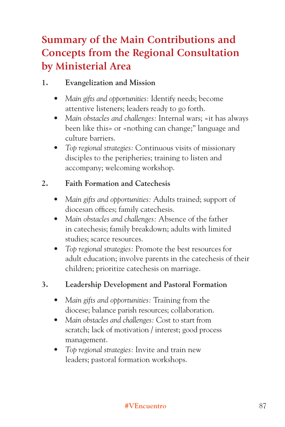# **Summary of the Main Contributions and Concepts from the Regional Consultation by Ministerial Area**

### **1. Evangelization and Mission**

- *Main gifts and opportunities:* Identify needs; become attentive listeners; leaders ready to go forth.
- *Main obstacles and challenges:* Internal wars; «it has always been like this» or «nothing can change;" language and culture barriers.
- *Top regional strategies:* Continuous visits of missionary disciples to the peripheries; training to listen and accompany; welcoming workshop.

#### **2. Faith Formation and Catechesis**

- *Main gifts and opportunities:* Adults trained; support of diocesan offices; family catechesis.
- *Main obstacles and challenges:* Absence of the father in catechesis; family breakdown; adults with limited studies; scarce resources.
- *Top regional strategies:* Promote the best resources for adult education; involve parents in the catechesis of their children; prioritize catechesis on marriage.

### **3. Leadership Development and Pastoral Formation**

- *Main gifts and opportunities:* Training from the diocese; balance parish resources; collaboration.
- *Main obstacles and challenges:* Cost to start from scratch; lack of motivation / interest; good process management.
- *Top regional strategies:* Invite and train new leaders; pastoral formation workshops.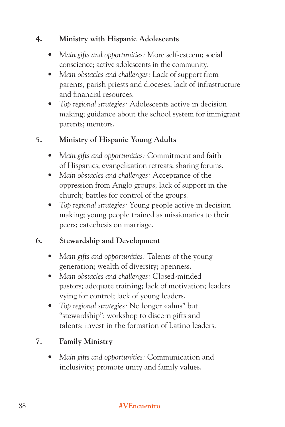#### **4. Ministry with Hispanic Adolescents**

- *Main gifts and opportunities:* More self-esteem; social conscience; active adolescents in the community.
- *Main obstacles and challenges:* Lack of support from parents, parish priests and dioceses; lack of infrastructure and financial resources.
- *Top regional strategies:* Adolescents active in decision making; guidance about the school system for immigrant parents; mentors.

## **5. Ministry of Hispanic Young Adults**

- *Main gifts and opportunities:* Commitment and faith of Hispanics; evangelization retreats; sharing forums.
- *Main obstacles and challenges:* Acceptance of the oppression from Anglo groups; lack of support in the church; battles for control of the groups.
- *Top regional strategies:* Young people active in decision making; young people trained as missionaries to their peers; catechesis on marriage.

### **6. Stewardship and Development**

- *Main gifts and opportunities:* Talents of the young generation; wealth of diversity; openness.
- *Main obstacles and challenges:* Closed-minded pastors; adequate training; lack of motivation; leaders vying for control; lack of young leaders.
- *Top regional strategies:* No longer «alms" but "stewardship"; workshop to discern gifts and talents; invest in the formation of Latino leaders.

# **7. Family Ministry**

*• Main gifts and opportunities:* Communication and inclusivity; promote unity and family values.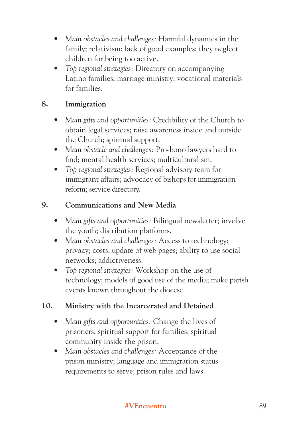- *Main obstacles and challenges:* Harmful dynamics in the family; relativism; lack of good examples; they neglect children for being too active.
- *Top regional strategies:* Directory on accompanying Latino families; marriage ministry; vocational materials for families.

### **8. Immigration**

- *Main gifts and opportunities:* Credibility of the Church to obtain legal services; raise awareness inside and outside the Church; spiritual support.
- *Main obstacle and challenges:* Pro-bono lawyers hard to find; mental health services; multiculturalism.
- *Top regional strategies:* Regional advisory team for immigrant affairs; advocacy of bishops for immigration reform; service directory.

#### **9. Communications and New Media**

- *Main gifts and opportunities:* Bilingual newsletter; involve the youth; distribution platforms.
- *Main obstacles and challenges:* Access to technology; privacy; costs; update of web pages; ability to use social networks; addictiveness.
- *Top regional strategies:* Workshop on the use of technology; models of good use of the media; make parish events known throughout the diocese.

### **10. Ministry with the Incarcerated and Detained**

- *Main gifts and opportunities:* Change the lives of prisoners; spiritual support for families; spiritual community inside the prison.
- *Main obstacles and challenges:* Acceptance of the prison ministry; language and immigration status requirements to serve; prison rules and laws.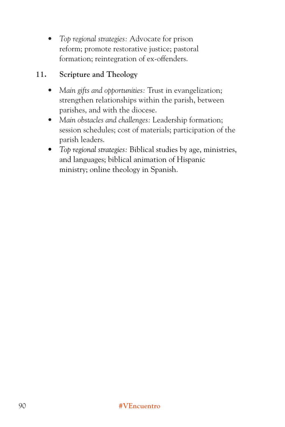*• Top regional strategies:* Advocate for prison reform; promote restorative justice; pastoral formation; reintegration of ex-offenders.

#### **11. Scripture and Theology**

- *Main gifts and opportunities:* Trust in evangelization; strengthen relationships within the parish, between parishes, and with the diocese.
- *Main obstacles and challenges:* Leadership formation; session schedules; cost of materials; participation of the parish leaders.
- *Top regional strategies:* Biblical studies by age, ministries, and languages; biblical animation of Hispanic ministry; online theology in Spanish.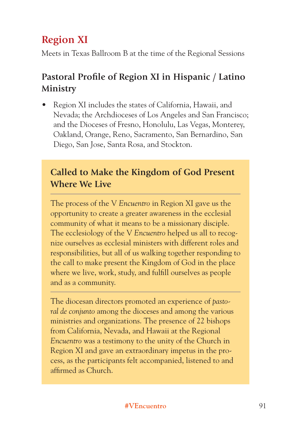# **Region XI**

Meets in Texas Ballroom B at the time of the Regional Sessions

# **Pastoral Profile of Region XI in Hispanic / Latino Ministry**

• Region XI includes the states of California, Hawaii, and Nevada; the Archdioceses of Los Angeles and San Francisco; and the Dioceses of Fresno, Honolulu, Las Vegas, Monterey, Oakland, Orange, Reno, Sacramento, San Bernardino, San Diego, San Jose, Santa Rosa, and Stockton.

# **Called to Make the Kingdom of God Present Where We Live**

The process of the V *Encuentro* in Region XI gave us the opportunity to create a greater awareness in the ecclesial community of what it means to be a missionary disciple. The ecclesiology of the V *Encuentro* helped us all to recognize ourselves as ecclesial ministers with different roles and responsibilities, but all of us walking together responding to the call to make present the Kingdom of God in the place where we live, work, study, and fulfill ourselves as people and as a community.

The diocesan directors promoted an experience of *pastoral de conjunto* among the dioceses and among the various ministries and organizations. The presence of 22 bishops from California, Nevada, and Hawaii at the Regional *Encuentro* was a testimony to the unity of the Church in Region XI and gave an extraordinary impetus in the process, as the participants felt accompanied, listened to and affirmed as Church.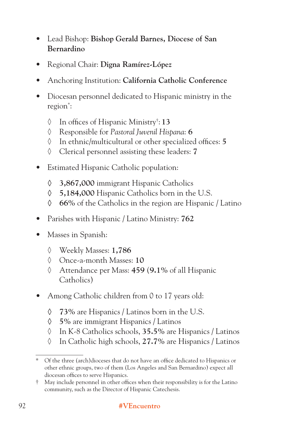- Lead Bishop: **Bishop Gerald Barnes, Diocese of San Bernardino**
- Regional Chair: **Digna Ramírez-López**
- Anchoring Institution: **California Catholic Conference**
- Diocesan personnel dedicated to Hispanic ministry in the region\* :
	- ◊ In offices of Hispanic Ministry† : **13**
	- ◊ Responsible for *Pastoral Juvenil Hispana*: **6**
	- ◊ In ethnic/multicultural or other specialized offices: **5**
	- ◊ Clerical personnel assisting these leaders: **7**
- Estimated Hispanic Catholic population:
	- **◊ 3,867,000** immigrant Hispanic Catholics
	- **◊ 5,184,000** Hispanic Catholics born in the U.S.
	- **◊ 66%** of the Catholics in the region are Hispanic / Latino
- Parishes with Hispanic / Latino Ministry: **762**
- Masses in Spanish:
	- ◊ Weekly Masses: **1,786**
	- ◊ Once-a-month Masses: **10**
	- ◊ Attendance per Mass: **459** (**9.1%** of all Hispanic Catholics)
- Among Catholic children from 0 to 17 years old:
	- **◊ 73%** are Hispanics / Latinos born in the U.S.
	- **◊ 5%** are immigrant Hispanics / Latinos
	- ◊ In K-8 Catholics schools, **35.5%** are Hispanics / Latinos
	- ◊ In Catholic high schools, **27.7%** are Hispanics / Latinos

<sup>\*</sup> Of the three (arch)dioceses that do not have an office dedicated to Hispanics or other ethnic groups, two of them (Los Angeles and San Bernardino) expect all diocesan offices to serve Hispanics.

<sup>†</sup> May include personnel in other offices when their responsibility is for the Latino community, such as the Director of Hispanic Catechesis.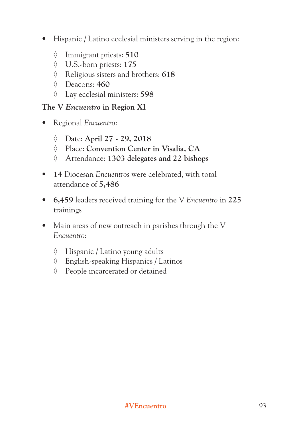- Hispanic / Latino ecclesial ministers serving in the region:
	- ◊ Immigrant priests: **510**
	- ◊ U.S.-born priests: **175**
	- ◊ Religious sisters and brothers: **618**
	- ◊ Deacons: **460**
	- ◊ Lay ecclesial ministers: **598**

#### **The V** *Encuentro* **in Region XI**

- Regional *Encuentro*:
	- ◊ Date: **April 27 29, 2018**
	- ◊ Place: **Convention Center in Visalia, CA**
	- ◊ Attendance: **1303 delegates and 22 bishops**
- **14** Diocesan *Encuentros* were celebrated, with total attendance of **5,486**
- **6,459** leaders received training for the V *Encuentro* in **225** trainings
- Main areas of new outreach in parishes through the V *Encuentro*:
	- ◊ Hispanic / Latino young adults
	- ◊ English-speaking Hispanics / Latinos
	- ◊ People incarcerated or detained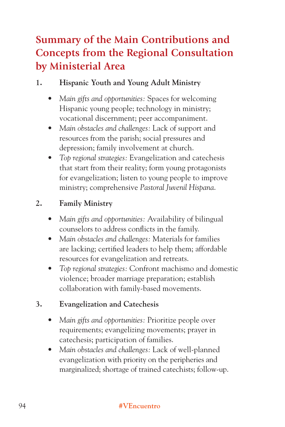# **Summary of the Main Contributions and Concepts from the Regional Consultation by Ministerial Area**

#### **1. Hispanic Youth and Young Adult Ministry**

- *Main gifts and opportunities:* Spaces for welcoming Hispanic young people; technology in ministry; vocational discernment; peer accompaniment.
- *Main obstacles and challenges:* Lack of support and resources from the parish; social pressures and depression; family involvement at church.
- *Top regional strategies:* Evangelization and catechesis that start from their reality; form young protagonists for evangelization; listen to young people to improve ministry; comprehensive *Pastoral Juvenil Hispana*.

### **2. Family Ministry**

- *Main gifts and opportunities:* Availability of bilingual counselors to address conflicts in the family.
- *Main obstacles and challenges:* Materials for families are lacking; certified leaders to help them; affordable resources for evangelization and retreats.
- *Top regional strategies:* Confront machismo and domestic violence; broader marriage preparation; establish collaboration with family-based movements.

#### **3. Evangelization and Catechesis**

- *Main gifts and opportunities:* Prioritize people over requirements; evangelizing movements; prayer in catechesis; participation of families.
- *Main obstacles and challenges:* Lack of well-planned evangelization with priority on the peripheries and marginalized; shortage of trained catechists; follow-up.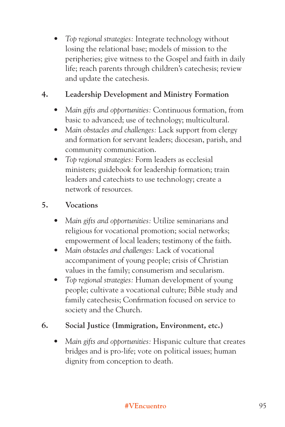*• Top regional strategies:* Integrate technology without losing the relational base; models of mission to the peripheries; give witness to the Gospel and faith in daily life; reach parents through children's catechesis; review and update the catechesis.

### **4. Leadership Development and Ministry Formation**

- *Main gifts and opportunities:* Continuous formation, from basic to advanced; use of technology; multicultural.
- *Main obstacles and challenges:* Lack support from clergy and formation for servant leaders; diocesan, parish, and community communication.
- *Top regional strategies:* Form leaders as ecclesial ministers; guidebook for leadership formation; train leaders and catechists to use technology; create a network of resources.

### **5. Vocations**

- *Main gifts and opportunities:* Utilize seminarians and religious for vocational promotion; social networks; empowerment of local leaders; testimony of the faith.
- *Main obstacles and challenges:* Lack of vocational accompaniment of young people; crisis of Christian values in the family; consumerism and secularism.
- *Top regional strategies:* Human development of young people; cultivate a vocational culture; Bible study and family catechesis; Confirmation focused on service to society and the Church.

### **6. Social Justice (Immigration, Environment, etc.)**

*• Main gifts and opportunities:* Hispanic culture that creates bridges and is pro-life; vote on political issues; human dignity from conception to death.

#### **#VEncuentro** 95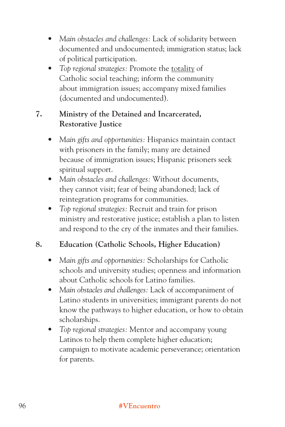- *Main obstacles and challenges:* Lack of solidarity between documented and undocumented; immigration status; lack of political participation.
- *Top regional strategies:* Promote the totality of Catholic social teaching; inform the community about immigration issues; accompany mixed families (documented and undocumented).

### **7. Ministry of the Detained and Incarcerated, Restorative Justice**

- *Main gifts and opportunities:* Hispanics maintain contact with prisoners in the family; many are detained because of immigration issues; Hispanic prisoners seek spiritual support.
- *Main obstacles and challenges:* Without documents, they cannot visit; fear of being abandoned; lack of reintegration programs for communities.
- *Top regional strategies:* Recruit and train for prison ministry and restorative justice; establish a plan to listen and respond to the cry of the inmates and their families.

# **8. Education (Catholic Schools, Higher Education)**

- *Main gifts and opportunities:* Scholarships for Catholic schools and university studies; openness and information about Catholic schools for Latino families.
- *Main obstacles and challenges:* Lack of accompaniment of Latino students in universities; immigrant parents do not know the pathways to higher education, or how to obtain scholarships.
- *Top regional strategies:* Mentor and accompany young Latinos to help them complete higher education; campaign to motivate academic perseverance; orientation for parents.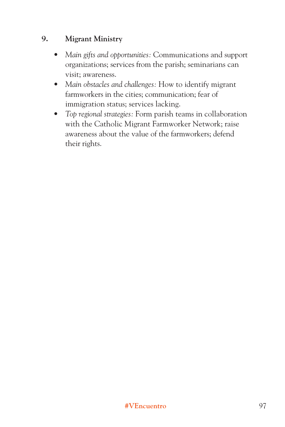#### **9. Migrant Ministry**

- *Main gifts and opportunities:* Communications and support organizations; services from the parish; seminarians can visit; awareness.
- *Main obstacles and challenges:* How to identify migrant farmworkers in the cities; communication; fear of immigration status; services lacking.
- *Top regional strategies:* Form parish teams in collaboration with the Catholic Migrant Farmworker Network; raise awareness about the value of the farmworkers; defend their rights.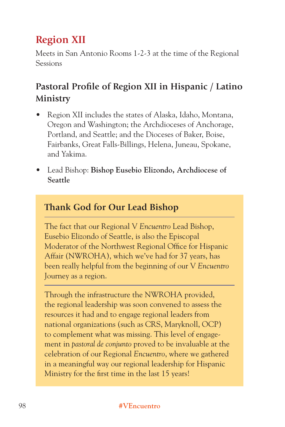# **Region XII**

Meets in San Antonio Rooms 1-2-3 at the time of the Regional Sessions

# **Pastoral Profile of Region XII in Hispanic / Latino Ministry**

- Region XII includes the states of Alaska, Idaho, Montana, Oregon and Washington; the Archdioceses of Anchorage, Portland, and Seattle; and the Dioceses of Baker, Boise, Fairbanks, Great Falls-Billings, Helena, Juneau, Spokane, and Yakima.
- Lead Bishop: **Bishop Eusebio Elizondo, Archdiocese of Seattle**

# **Thank God for Our Lead Bishop**

The fact that our Regional V *Encuentro* Lead Bishop, Eusebio Elizondo of Seattle, is also the Episcopal Moderator of the Northwest Regional Office for Hispanic Affair (NWROHA), which we've had for 37 years, has been really helpful from the beginning of our V *Encuentro* Journey as a region.

Through the infrastructure the NWROHA provided, the regional leadership was soon convened to assess the resources it had and to engage regional leaders from national organizations (such as CRS, Maryknoll, OCP) to complement what was missing. This level of engagement in *pastoral de conjunto* proved to be invaluable at the celebration of our Regional *Encuentro*, where we gathered in a meaningful way our regional leadership for Hispanic Ministry for the first time in the last 15 years!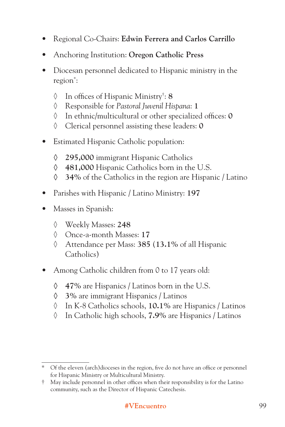- Regional Co-Chairs: **Edwin Ferrera and Carlos Carrillo**
- Anchoring Institution: **Oregon Catholic Press**
- Diocesan personnel dedicated to Hispanic ministry in the region\* :
	- ◊ In offices of Hispanic Ministry† : **8**
	- ◊ Responsible for *Pastoral Juvenil Hispana*: **1**
	- ◊ In ethnic/multicultural or other specialized offices: **0**
	- ◊ Clerical personnel assisting these leaders: **0**
- Estimated Hispanic Catholic population:
	- **◊ 295,000** immigrant Hispanic Catholics
	- **◊ 481,000** Hispanic Catholics born in the U.S.
	- **◊ 34%** of the Catholics in the region are Hispanic / Latino
- Parishes with Hispanic / Latino Ministry: **197**
- Masses in Spanish:
	- ◊ Weekly Masses: **248**
	- ◊ Once-a-month Masses: **17**
	- ◊ Attendance per Mass: **385** (**13.1%** of all Hispanic Catholics)
- Among Catholic children from 0 to 17 years old:
	- **◊ 47%** are Hispanics / Latinos born in the U.S.
	- **◊ 3%** are immigrant Hispanics / Latinos
	- ◊ In K-8 Catholics schools, **10.1%** are Hispanics / Latinos
	- ◊ In Catholic high schools, **7.9%** are Hispanics / Latinos

<sup>\*</sup> Of the eleven (arch)dioceses in the region, five do not have an office or personnel for Hispanic Ministry or Multicultural Ministry.

<sup>†</sup> May include personnel in other offices when their responsibility is for the Latino community, such as the Director of Hispanic Catechesis.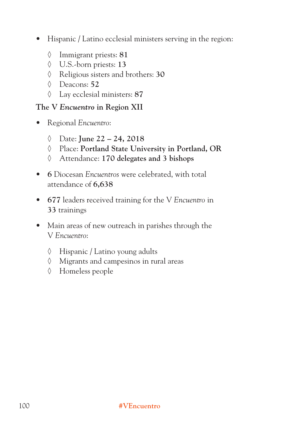- Hispanic / Latino ecclesial ministers serving in the region:
	- ◊ Immigrant priests: **81**
	- ◊ U.S.-born priests: **13**
	- ◊ Religious sisters and brothers: **30**
	- ◊ Deacons: **52**
	- ◊ Lay ecclesial ministers: **87**

#### **The V** *Encuentro* **in Region XII**

- Regional *Encuentro*:
	- ◊ Date: **June 22 24, 2018**
	- ◊ Place: **Portland State University in Portland, OR**
	- ◊ Attendance: **170 delegates and 3 bishops**
- **6** Diocesan *Encuentros* were celebrated, with total attendance of **6,638**
- **677** leaders received training for the V *Encuentro* in **33** trainings
- Main areas of new outreach in parishes through the V *Encuentro*:
	- ◊ Hispanic / Latino young adults
	- ◊ Migrants and campesinos in rural areas
	- ◊ Homeless people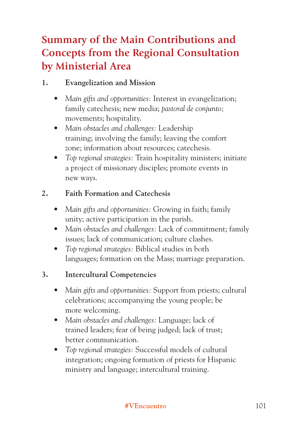# **Summary of the Main Contributions and Concepts from the Regional Consultation by Ministerial Area**

### **1. Evangelization and Mission**

- *Main gifts and opportunities:* Interest in evangelization; family catechesis; new media; *pastoral de conjunto;* movements; hospitality.
- *Main obstacles and challenges:* Leadership training; involving the family; leaving the comfort zone; information about resources; catechesis.
- *Top regional strategies:* Train hospitality ministers; initiate a project of missionary disciples; promote events in new ways.

## **2. Faith Formation and Catechesis**

- *Main gifts and opportunities:* Growing in faith; family unity; active participation in the parish.
- *Main obstacles and challenges:* Lack of commitment; family issues; lack of communication; culture clashes.
- *Top regional strategies:* Biblical studies in both languages; formation on the Mass; marriage preparation.

### **3. Intercultural Competencies**

- *Main gifts and opportunities:* Support from priests; cultural celebrations; accompanying the young people; be more welcoming.
- *Main obstacles and challenges:* Language; lack of trained leaders; fear of being judged; lack of trust; better communication.
- *Top regional strategies:* Successful models of cultural integration; ongoing formation of priests for Hispanic ministry and language; intercultural training.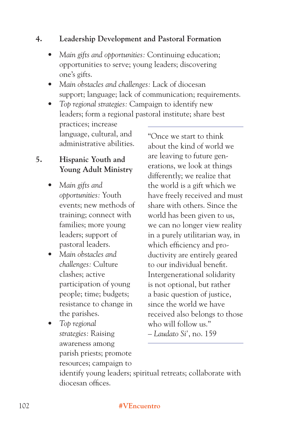#### **4. Leadership Development and Pastoral Formation**

- *Main gifts and opportunities:* Continuing education; opportunities to serve; young leaders; discovering one's gifts.
- *Main obstacles and challenges:* Lack of diocesan support; language; lack of communication; requirements.
- *Top regional strategies:* Campaign to identify new leaders; form a regional pastoral institute; share best practices; increase language, cultural, and administrative abilities. "Once we start to think

#### **5. Hispanic Youth and Young Adult Ministry**

- *Main gifts and opportunities:* Youth events; new methods of training; connect with families; more young leaders; support of pastoral leaders.
- *Main obstacles and challenges:* Culture clashes; active participation of young people; time; budgets; resistance to change in the parishes.
- *Top regional strategies:* Raising awareness among parish priests; promote resources; campaign to

about the kind of world we are leaving to future generations, we look at things differently; we realize that the world is a gift which we have freely received and must share with others. Since the world has been given to us, we can no longer view reality in a purely utilitarian way, in which efficiency and productivity are entirely geared to our individual benefit. Intergenerational solidarity is not optional, but rather a basic question of justice, since the world we have received also belongs to those who will follow us." – *Laudato Si'*, no. 159

identify young leaders; spiritual retreats; collaborate with diocesan offices.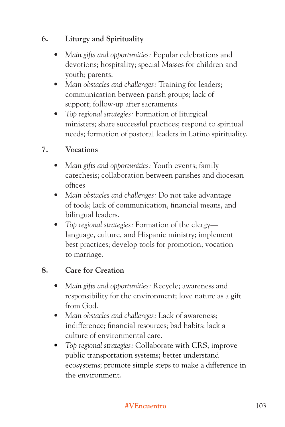#### **6. Liturgy and Spirituality**

- *Main gifts and opportunities:* Popular celebrations and devotions; hospitality; special Masses for children and youth; parents.
- *Main obstacles and challenges:* Training for leaders; communication between parish groups; lack of support; follow-up after sacraments.
- *Top regional strategies:* Formation of liturgical ministers; share successful practices; respond to spiritual needs; formation of pastoral leaders in Latino spirituality.

#### **7. Vocations**

- *Main gifts and opportunities:* Youth events; family catechesis; collaboration between parishes and diocesan offices.
- *Main obstacles and challenges:* Do not take advantage of tools; lack of communication, financial means, and bilingual leaders.
- *Top regional strategies:* Formation of the clergy language, culture, and Hispanic ministry; implement best practices; develop tools for promotion; vocation to marriage.

#### **8. Care for Creation**

- *Main gifts and opportunities:* Recycle; awareness and responsibility for the environment; love nature as a gift from God.
- *Main obstacles and challenges:* Lack of awareness; indifference; financial resources; bad habits; lack a culture of environmental care.
- *Top regional strategies:* Collaborate with CRS; improve public transportation systems; better understand ecosystems; promote simple steps to make a difference in the environment.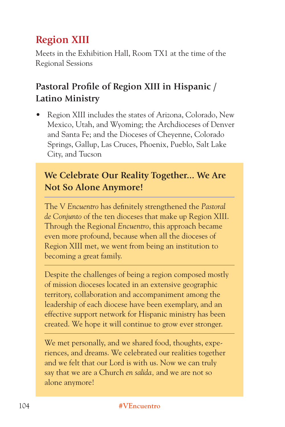# **Region XIII**

Meets in the Exhibition Hall, Room TX1 at the time of the Regional Sessions

# **Pastoral Profile of Region XIII in Hispanic / Latino Ministry**

• Region XIII includes the states of Arizona, Colorado, New Mexico, Utah, and Wyoming; the Archdioceses of Denver and Santa Fe; and the Dioceses of Cheyenne, Colorado Springs, Gallup, Las Cruces, Phoenix, Pueblo, Salt Lake City, and Tucson

# **We Celebrate Our Reality Together... We Are Not So Alone Anymore!**

The V *Encuentro* has definitely strengthened the *Pastoral de Conjunto* of the ten dioceses that make up Region XIII. Through the Regional *Encuentro*, this approach became even more profound, because when all the dioceses of Region XIII met, we went from being an institution to becoming a great family.

Despite the challenges of being a region composed mostly of mission dioceses located in an extensive geographic territory, collaboration and accompaniment among the leadership of each diocese have been exemplary, and an effective support network for Hispanic ministry has been created. We hope it will continue to grow ever stronger.

We met personally, and we shared food, thoughts, experiences, and dreams. We celebrated our realities together and we felt that our Lord is with us. Now we can truly say that we are a Church *en salida,* and we are not so alone anymore!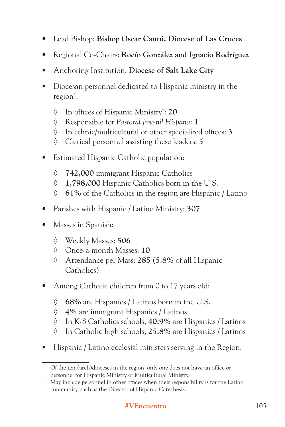- Lead Bishop: **Bishop Oscar Cantú, Diocese of Las Cruces**
- Regional Co-Chairs: **Rocío González and Ignacio Rodríguez**
- Anchoring Institution: **Diocese of Salt Lake City**
- Diocesan personnel dedicated to Hispanic ministry in the region\* :
	- ◊ In offices of Hispanic Ministry† : **20**
	- ◊ Responsible for *Pastoral Juvenil Hispana*: **1**
	- ◊ In ethnic/multicultural or other specialized offices: **3**
	- ◊ Clerical personnel assisting these leaders: **5**
- Estimated Hispanic Catholic population:
	- **◊ 742,000** immigrant Hispanic Catholics
	- **◊ 1,798,000** Hispanic Catholics born in the U.S.
	- **◊ 61%** of the Catholics in the region are Hispanic / Latino
- Parishes with Hispanic / Latino Ministry: **307**
- Masses in Spanish:
	- ◊ Weekly Masses: **506**
	- ◊ Once-a-month Masses: **10**
	- ◊ Attendance per Mass: **285** (**5.8%** of all Hispanic Catholics)
- Among Catholic children from 0 to 17 years old:
	- **◊ 68%** are Hispanics / Latinos born in the U.S.
	- **◊ 4%** are immigrant Hispanics / Latinos
	- ◊ In K-8 Catholics schools, **40.9%** are Hispanics / Latinos
	- ◊ In Catholic high schools, **25.8%** are Hispanics / Latinos
- Hispanic / Latino ecclesial ministers serving in the Region:

<sup>\*</sup> Of the ten (arch)dioceses in the region, only one does not have an office or personnel for Hispanic Ministry or Multicultural Ministry.

<sup>†</sup> May include personnel in other offices when their responsibility is for the Latino community, such as the Director of Hispanic Catechesis.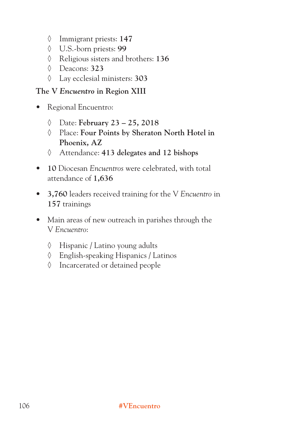- ◊ Immigrant priests: **147**
- ◊ U.S.-born priests: **99**
- ◊ Religious sisters and brothers: **136**
- ◊ Deacons: **323**
- ◊ Lay ecclesial ministers: **303**

#### **The V** *Encuentro* **in Region XIII**

- Regional Encuentro:
	- ◊ Date: **February 23 25, 2018**
	- ◊ Place: **Four Points by Sheraton North Hotel in Phoenix, AZ**
	- ◊ Attendance: **413 delegates and 12 bishops**
- **10** Diocesan *Encuentros* were celebrated, with total attendance of **1,636**
- **3,760** leaders received training for the V *Encuentro* in **157** trainings
- Main areas of new outreach in parishes through the V *Encuentro*:
	- ◊ Hispanic / Latino young adults
	- ◊ English-speaking Hispanics / Latinos
	- ◊ Incarcerated or detained people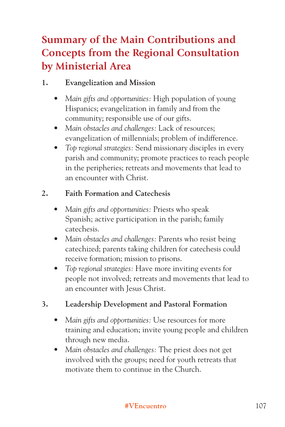# **Summary of the Main Contributions and Concepts from the Regional Consultation by Ministerial Area**

### **1. Evangelization and Mission**

- *Main gifts and opportunities:* High population of young Hispanics; evangelization in family and from the community; responsible use of our gifts.
- *Main obstacles and challenges:* Lack of resources; evangelization of millennials; problem of indifference.
- *Top regional strategies:* Send missionary disciples in every parish and community; promote practices to reach people in the peripheries; retreats and movements that lead to an encounter with Christ.

# **2. Faith Formation and Catechesis**

- *Main gifts and opportunities:* Priests who speak Spanish; active participation in the parish; family catechesis.
- *Main obstacles and challenges:* Parents who resist being catechized; parents taking children for catechesis could receive formation; mission to prisons.
- *Top regional strategies:* Have more inviting events for people not involved; retreats and movements that lead to an encounter with Jesus Christ.

### **3. Leadership Development and Pastoral Formation**

- *Main gifts and opportunities:* Use resources for more training and education; invite young people and children through new media.
- *Main obstacles and challenges:* The priest does not get involved with the groups; need for youth retreats that motivate them to continue in the Church.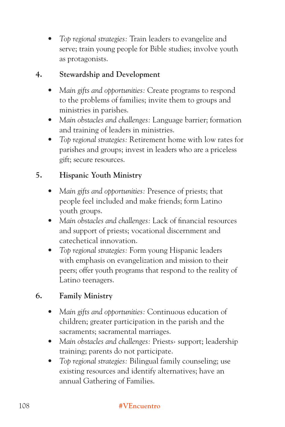*• Top regional strategies:* Train leaders to evangelize and serve; train young people for Bible studies; involve youth as protagonists.

#### **4. Stewardship and Development**

- *Main gifts and opportunities:* Create programs to respond to the problems of families; invite them to groups and ministries in parishes.
- *Main obstacles and challenges:* Language barrier; formation and training of leaders in ministries.
- *Top regional strategies:* Retirement home with low rates for parishes and groups; invest in leaders who are a priceless gift; secure resources.

# **5. Hispanic Youth Ministry**

- *Main gifts and opportunities:* Presence of priests; that people feel included and make friends; form Latino youth groups.
- *Main obstacles and challenges:* Lack of financial resources and support of priests; vocational discernment and catechetical innovation.
- *Top regional strategies:* Form young Hispanic leaders with emphasis on evangelization and mission to their peers; offer youth programs that respond to the reality of Latino teenagers.

# **6. Family Ministry**

- *Main gifts and opportunities:* Continuous education of children; greater participation in the parish and the sacraments; sacramental marriages.
- *Main obstacles and challenges:* Priests› support; leadership training; parents do not participate.
- *Top regional strategies:* Bilingual family counseling; use existing resources and identify alternatives; have an annual Gathering of Families.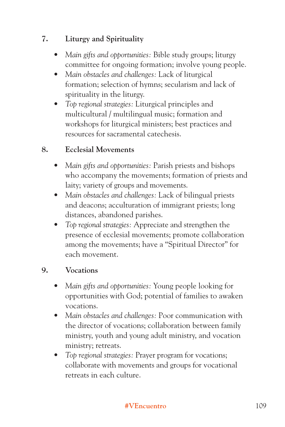## **7. Liturgy and Spirituality**

- *Main gifts and opportunities:* Bible study groups; liturgy committee for ongoing formation; involve young people.
- *Main obstacles and challenges:* Lack of liturgical formation; selection of hymns; secularism and lack of spirituality in the liturgy.
- *Top regional strategies:* Liturgical principles and multicultural / multilingual music; formation and workshops for liturgical ministers; best practices and resources for sacramental catechesis.

#### **8. Ecclesial Movements**

- *Main gifts and opportunities:* Parish priests and bishops who accompany the movements; formation of priests and laity; variety of groups and movements.
- *Main obstacles and challenges:* Lack of bilingual priests and deacons; acculturation of immigrant priests; long distances, abandoned parishes.
- *Top regional strategies:* Appreciate and strengthen the presence of ecclesial movements; promote collaboration among the movements; have a "Spiritual Director" for each movement.

#### **9. Vocations**

- *Main gifts and opportunities:* Young people looking for opportunities with God; potential of families to awaken vocations.
- *Main obstacles and challenges:* Poor communication with the director of vocations; collaboration between family ministry, youth and young adult ministry, and vocation ministry; retreats.
- *Top regional strategies:* Prayer program for vocations; collaborate with movements and groups for vocational retreats in each culture.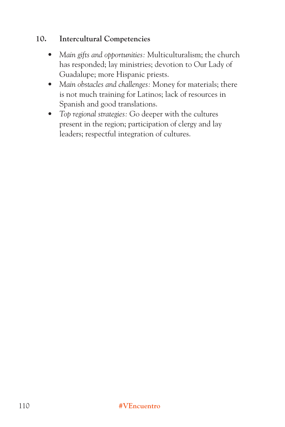#### **10. Intercultural Competencies**

- *Main gifts and opportunities:* Multiculturalism; the church has responded; lay ministries; devotion to Our Lady of Guadalupe; more Hispanic priests.
- *Main obstacles and challenges:* Money for materials; there is not much training for Latinos; lack of resources in Spanish and good translations.
- *Top regional strategies:* Go deeper with the cultures present in the region; participation of clergy and lay leaders; respectful integration of cultures.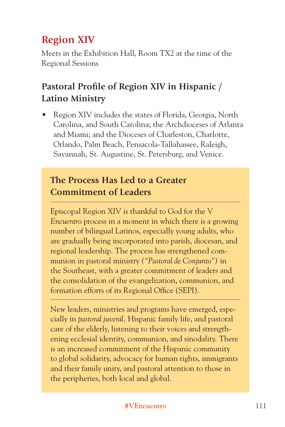# **Region XIV**

Meets in the Exhibition Hall, Room TX2 at the time of the Regional Sessions

# **Pastoral Profile of Region XIV in Hispanic / Latino Ministry**

• Region XIV includes the states of Florida, Georgia, North Carolina, and South Carolina; the Archdioceses of Atlanta and Miami; and the Dioceses of Charleston, Charlotte, Orlando, Palm Beach, Pensacola-Tallahassee, Raleigh, Savannah, St. Augustine, St. Petersburg, and Venice.

# **The Process Has Led to a Greater Commitment of Leaders**

Episcopal Region XIV is thankful to God for the V *Encuentro* process in a moment in which there is a growing number of bilingual Latinos, especially young adults, who are gradually being incorporated into parish, diocesan, and regional leadership. The process has strengthened communion in pastoral ministry *("Pastoral de Conjunto")* in the Southeast, with a greater commitment of leaders and the consolidation of the evangelization, communion, and formation efforts of its Regional Office (SEPI).

New leaders, ministries and programs have emerged, especially in *pastoral juvenil,* Hispanic family life, and pastoral care of the elderly, listening to their voices and strengthening ecclesial identity, communion, and sinodality. There is an increased commitment of the Hispanic community to global solidarity, advocacy for human rights, immigrants and their family unity, and pastoral attention to those in the peripheries, both local and global.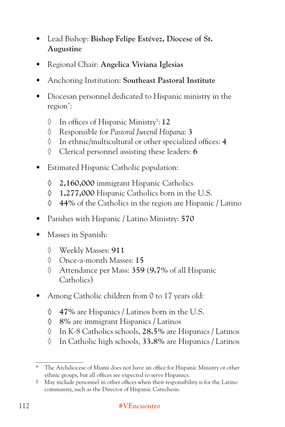- Lead Bishop: **Bishop Felipe Estévez, Diocese of St. Augustine**
- Regional Chair: **Angelica Viviana Iglesias**
- Anchoring Institution: **Southeast Pastoral Institute**
- Diocesan personnel dedicated to Hispanic ministry in the region\* :
	- ◊ In offices of Hispanic Ministry† : **12**
	- ◊ Responsible for *Pastoral Juvenil Hispana*: **3**
	- ◊ In ethnic/multicultural or other specialized offices: **4**
	- ◊ Clerical personnel assisting these leaders: **6**
- Estimated Hispanic Catholic population:
	- **◊ 2,160,000** immigrant Hispanic Catholics
	- **◊ 1,277,000** Hispanic Catholics born in the U.S.
	- **◊ 44%** of the Catholics in the region are Hispanic / Latino
- Parishes with Hispanic / Latino Ministry: **570**
- Masses in Spanish:
	- ◊ Weekly Masses: **911**
	- ◊ Once-a-month Masses: **15**
	- ◊ Attendance per Mass: **359** (**9.7%** of all Hispanic Catholics)
- Among Catholic children from 0 to 17 years old:
	- **◊ 47%** are Hispanics / Latinos born in the U.S.
	- **◊ 8%** are immigrant Hispanics / Latinos
	- ◊ In K-8 Catholics schools, **28.5%** are Hispanics / Latinos
	- ◊ In Catholic high schools, **33.8%** are Hispanics / Latinos

<sup>\*</sup> The Archdiocese of Miami does not have an office for Hispanic Ministry or other ethnic groups, but all offices are expected to serve Hispanics.

<sup>†</sup> May include personnel in other offices when their responsibility is for the Latino community, such as the Director of Hispanic Catechesis.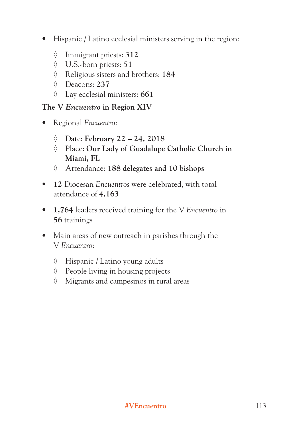- Hispanic / Latino ecclesial ministers serving in the region:
	- ◊ Immigrant priests: **312**
	- ◊ U.S.-born priests: **51**
	- ◊ Religious sisters and brothers: **184**
	- ◊ Deacons: **237**
	- ◊ Lay ecclesial ministers: **661**

#### **The V** *Encuentro* **in Region XIV**

- Regional *Encuentro*:
	- ◊ Date: **February 22 24, 2018**
	- ◊ Place: **Our Lady of Guadalupe Catholic Church in Miami, FL**
	- ◊ Attendance: **188 delegates and 10 bishops**
- **12** Diocesan *Encuentros* were celebrated, with total attendance of **4,163**
- **1,764** leaders received training for the V *Encuentro* in **56** trainings
- Main areas of new outreach in parishes through the V *Encuentro*:
	- ◊ Hispanic / Latino young adults
	- ◊ People living in housing projects
	- ◊ Migrants and campesinos in rural areas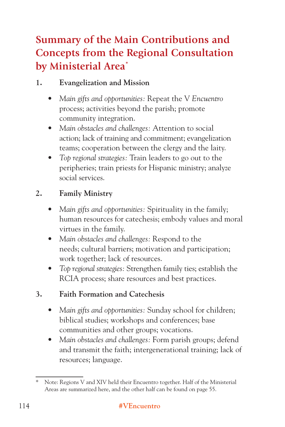# **Summary of the Main Contributions and Concepts from the Regional Consultation by Ministerial Area\***

# **1. Evangelization and Mission**

- *Main gifts and opportunities:* Repeat the V *Encuentro* process; activities beyond the parish; promote community integration.
- *Main obstacles and challenges:* Attention to social action; lack of training and commitment; evangelization teams; cooperation between the clergy and the laity.
- *Top regional strategies:* Train leaders to go out to the peripheries; train priests for Hispanic ministry; analyze social services.

# **2. Family Ministry**

- *Main gifts and opportunities:* Spirituality in the family; human resources for catechesis; embody values and moral virtues in the family.
- *Main obstacles and challenges:* Respond to the needs; cultural barriers; motivation and participation; work together; lack of resources.
- *Top regional strategies:* Strengthen family ties; establish the RCIA process; share resources and best practices.

# **3. Faith Formation and Catechesis**

- *Main gifts and opportunities:* Sunday school for children; biblical studies; workshops and conferences; base communities and other groups; vocations.
- *Main obstacles and challenges:* Form parish groups; defend and transmit the faith; intergenerational training; lack of resources; language.

<sup>\*</sup> Note: Regions V and XIV held their Encuentro together. Half of the Ministerial Areas are summarized here, and the other half can be found on page 55.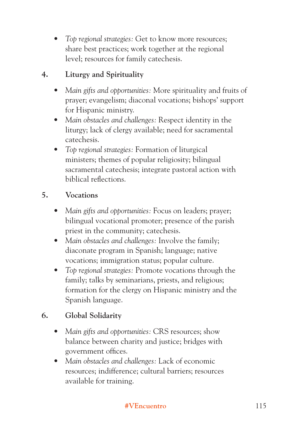*• Top regional strategies:* Get to know more resources; share best practices; work together at the regional level; resources for family catechesis.

# **4. Liturgy and Spirituality**

- *Main gifts and opportunities:* More spirituality and fruits of prayer; evangelism; diaconal vocations; bishops' support for Hispanic ministry.
- *Main obstacles and challenges:* Respect identity in the liturgy; lack of clergy available; need for sacramental catechesis.
- *Top regional strategies:* Formation of liturgical ministers; themes of popular religiosity; bilingual sacramental catechesis; integrate pastoral action with biblical reflections.

# **5. Vocations**

- *Main gifts and opportunities:* Focus on leaders; prayer; bilingual vocational promoter; presence of the parish priest in the community; catechesis.
- *Main obstacles and challenges:* Involve the family; diaconate program in Spanish; language; native vocations; immigration status; popular culture.
- *Top regional strategies:* Promote vocations through the family; talks by seminarians, priests, and religious; formation for the clergy on Hispanic ministry and the Spanish language.

### **6. Global Solidarity**

- *Main gifts and opportunities:* CRS resources; show balance between charity and justice; bridges with government offices.
- *Main obstacles and challenges:* Lack of economic resources; indifference; cultural barriers; resources available for training.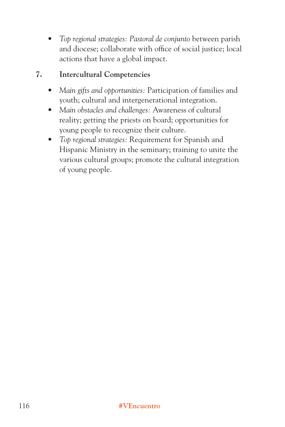*• Top regional strategies: Pastoral de conjunto* between parish and diocese; collaborate with office of social justice; local actions that have a global impact.

#### **7. Intercultural Competencies**

- *Main gifts and opportunities:* Participation of families and youth; cultural and intergenerational integration.
- *Main obstacles and challenges:* Awareness of cultural reality; getting the priests on board; opportunities for young people to recognize their culture.
- *Top regional strategies:* Requirement for Spanish and Hispanic Ministry in the seminary; training to unite the various cultural groups; promote the cultural integration of young people.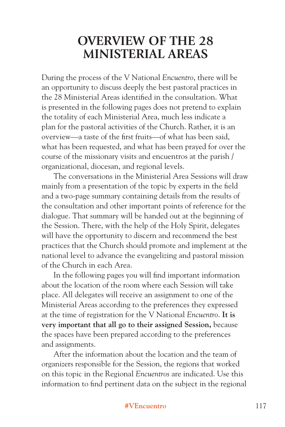# **OVERVIEW OF THE 28 MINISTERIAL AREAS**

During the process of the V National *Encuentro*, there will be an opportunity to discuss deeply the best pastoral practices in the 28 Ministerial Areas identified in the consultation. What is presented in the following pages does not pretend to explain the totality of each Ministerial Area, much less indicate a plan for the pastoral activities of the Church. Rather, it is an overview—a taste of the first fruits—of what has been said, what has been requested, and what has been prayed for over the course of the missionary visits and encuentros at the parish / organizational, diocesan, and regional levels.

The conversations in the Ministerial Area Sessions will draw mainly from a presentation of the topic by experts in the field and a two-page summary containing details from the results of the consultation and other important points of reference for the dialogue. That summary will be handed out at the beginning of the Session. There, with the help of the Holy Spirit, delegates will have the opportunity to discern and recommend the best practices that the Church should promote and implement at the national level to advance the evangelizing and pastoral mission of the Church in each Area.

In the following pages you will find important information about the location of the room where each Session will take place. All delegates will receive an assignment to one of the Ministerial Areas according to the preferences they expressed at the time of registration for the V National *Encuentro*. **It is very important that all go to their assigned Session,** because the spaces have been prepared according to the preferences and assignments.

After the information about the location and the team of organizers responsible for the Session, the regions that worked on this topic in the Regional *Encuentros* are indicated. Use this information to find pertinent data on the subject in the regional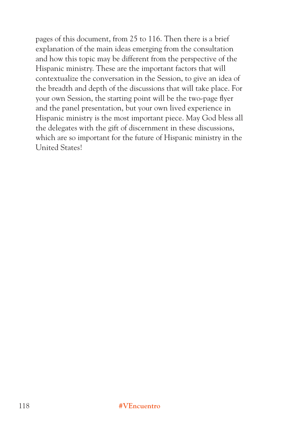pages of this document, from 25 to 116. Then there is a brief explanation of the main ideas emerging from the consultation and how this topic may be different from the perspective of the Hispanic ministry. These are the important factors that will contextualize the conversation in the Session, to give an idea of the breadth and depth of the discussions that will take place. For your own Session, the starting point will be the two-page flyer and the panel presentation, but your own lived experience in Hispanic ministry is the most important piece. May God bless all the delegates with the gift of discernment in these discussions, which are so important for the future of Hispanic ministry in the United States!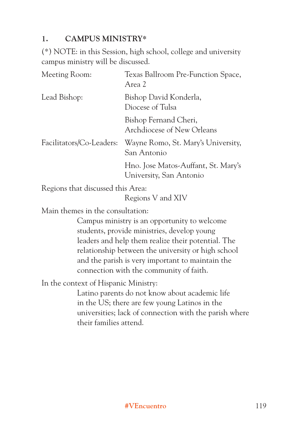#### **1. CAMPUS MINISTRY\***

(\*) NOTE: in this Session, high school, college and university campus ministry will be discussed.

| Meeting Room:            | Texas Ballroom Pre-Function Space,<br>Area 2                   |
|--------------------------|----------------------------------------------------------------|
| Lead Bishop:             | Bishop David Konderla,<br>Diocese of Tulsa                     |
|                          | Bishop Fernand Cheri,<br>Archdiocese of New Orleans            |
| Facilitators/Co-Leaders: | Wayne Romo, St. Mary's University,<br>San Antonio              |
|                          | Hno. Jose Matos-Auffant, St. Mary's<br>University, San Antonio |

Regions that discussed this Area:

Regions V and XIV

Main themes in the consultation:

Campus ministry is an opportunity to welcome students, provide ministries, develop young leaders and help them realize their potential. The relationship between the university or high school and the parish is very important to maintain the connection with the community of faith.

In the context of Hispanic Ministry:

Latino parents do not know about academic life in the US; there are few young Latinos in the universities; lack of connection with the parish where their families attend.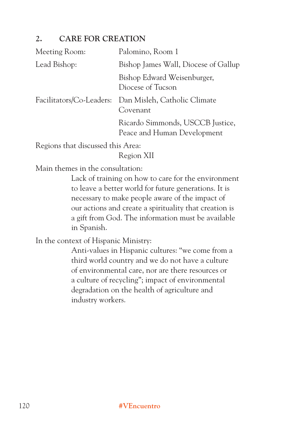#### **2. CARE FOR CREATION**

| Meeting Room:                     | Palomino, Room 1                                                  |
|-----------------------------------|-------------------------------------------------------------------|
| Lead Bishop:                      | Bishop James Wall, Diocese of Gallup                              |
|                                   | Bishop Edward Weisenburger,<br>Diocese of Tucson                  |
|                                   | Facilitators/Co-Leaders: Dan Misleh, Catholic Climate<br>Covenant |
|                                   | Ricardo Simmonds, USCCB Justice,<br>Peace and Human Development   |
| Regions that discussed this Area: |                                                                   |

Region XII

Main themes in the consultation:

Lack of training on how to care for the environment to leave a better world for future generations. It is necessary to make people aware of the impact of our actions and create a spirituality that creation is a gift from God. The information must be available in Spanish.

In the context of Hispanic Ministry:

Anti-values in Hispanic cultures: "we come from a third world country and we do not have a culture of environmental care, nor are there resources or a culture of recycling"; impact of environmental degradation on the health of agriculture and industry workers.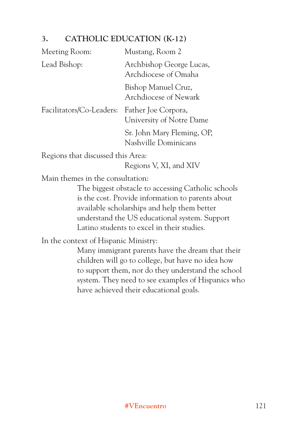# **3. CATHOLIC EDUCATION (K-12)**

| Meeting Room:            | Mustang, Room 2                                    |
|--------------------------|----------------------------------------------------|
| Lead Bishop:             | Archbishop George Lucas,<br>Archdiocese of Omaha   |
|                          | Bishop Manuel Cruz,<br>Archdiocese of Newark       |
| Facilitators/Co-Leaders: | Father Joe Corpora,<br>University of Notre Dame    |
|                          | Sr. John Mary Fleming, OP,<br>Nashville Dominicans |
| - 1 - 1 - 1              | $1.1 \cdot A$                                      |

Regions that discussed this Area:

Regions V, XI, and XIV

Main themes in the consultation:

The biggest obstacle to accessing Catholic schools is the cost. Provide information to parents about available scholarships and help them better understand the US educational system. Support Latino students to excel in their studies.

In the context of Hispanic Ministry:

Many immigrant parents have the dream that their children will go to college, but have no idea how to support them, nor do they understand the school system. They need to see examples of Hispanics who have achieved their educational goals.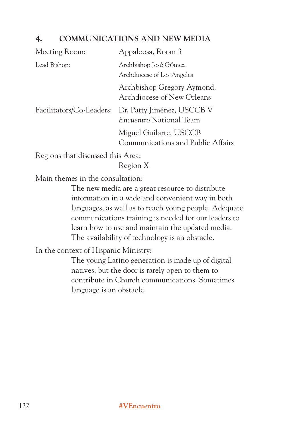#### **4. COMMUNICATIONS AND NEW MEDIA**

| Meeting Room:       | Appaloosa, Room 3                                                              |
|---------------------|--------------------------------------------------------------------------------|
| Lead Bishop:        | Archbishop José Gómez,<br>Archdiocese of Los Angeles                           |
|                     | Archbishop Gregory Aymond,<br>Archdiocese of New Orleans                       |
|                     | Facilitators/Co-Leaders: Dr. Patty Jiménez, USCCB V<br>Encuentro National Team |
|                     | Miguel Guilarte, USCCB<br>Communications and Public Affairs                    |
| $\mathbf{r}$ . 1 1. | $1 \quad 1 \quad . \qquad A$                                                   |

Regions that discussed this Area:

Region X

Main themes in the consultation:

The new media are a great resource to distribute information in a wide and convenient way in both languages, as well as to reach young people. Adequate communications training is needed for our leaders to learn how to use and maintain the updated media. The availability of technology is an obstacle.

In the context of Hispanic Ministry:

The young Latino generation is made up of digital natives, but the door is rarely open to them to contribute in Church communications. Sometimes language is an obstacle.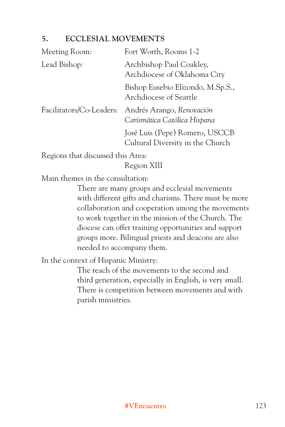#### **5. ECCLESIAL MOVEMENTS**

| Meeting Room: | Fort Worth, Rooms 1-2                                                              |
|---------------|------------------------------------------------------------------------------------|
| Lead Bishop:  | Archbishop Paul Coakley,<br>Archdiocese of Oklahoma City                           |
|               | Bishop Eusebio Elizondo, M.Sp.S.,<br>Archdiocese of Seattle                        |
|               | Facilitators/Co-Leaders: Andrés Arango, Renovación<br>Carismática Católica Hispana |
|               | José Luis (Pepe) Romero, USCCB<br>Cultural Diversity in the Church                 |

Regions that discussed this Area:

Region XIII

Main themes in the consultation:

There are many groups and ecclesial movements with different gifts and charisms. There must be more collaboration and cooperation among the movements to work together in the mission of the Church. The diocese can offer training opportunities and support groups more. Bilingual priests and deacons are also needed to accompany them.

In the context of Hispanic Ministry:

The reach of the movements to the second and third generation, especially in English, is very small. There is competition between movements and with parish ministries.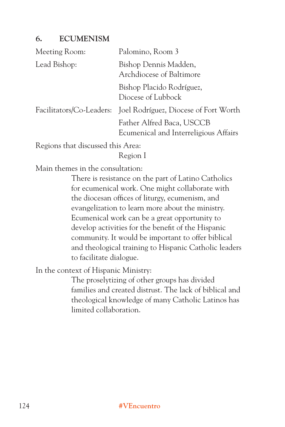#### **6. ECUMENISM**

| Meeting Room:                                                                                                                                                                                                                                                                                                                      | Palomino, Room 3                                                   |
|------------------------------------------------------------------------------------------------------------------------------------------------------------------------------------------------------------------------------------------------------------------------------------------------------------------------------------|--------------------------------------------------------------------|
| Lead Bishop:                                                                                                                                                                                                                                                                                                                       | Bishop Dennis Madden,<br>Archdiocese of Baltimore                  |
|                                                                                                                                                                                                                                                                                                                                    | Bishop Placido Rodríguez,<br>Diocese of Lubbock                    |
|                                                                                                                                                                                                                                                                                                                                    | Facilitators/Co-Leaders: Joel Rodríguez, Diocese of Fort Worth     |
|                                                                                                                                                                                                                                                                                                                                    | Father Alfred Baca, USCCB<br>Ecumenical and Interreligious Affairs |
| $\mathbf{D}$ $\mathbf{I}$ $\mathbf{I}$ $\mathbf{I}$ $\mathbf{I}$ $\mathbf{I}$ $\mathbf{I}$ $\mathbf{I}$ $\mathbf{I}$ $\mathbf{I}$ $\mathbf{I}$ $\mathbf{I}$ $\mathbf{I}$ $\mathbf{I}$ $\mathbf{I}$ $\mathbf{I}$ $\mathbf{I}$ $\mathbf{I}$ $\mathbf{I}$ $\mathbf{I}$ $\mathbf{I}$ $\mathbf{I}$ $\mathbf{I}$ $\mathbf{I}$ $\mathbf{$ |                                                                    |

Regions that discussed this Area:

Region I

Main themes in the consultation:

There is resistance on the part of Latino Catholics for ecumenical work. One might collaborate with the diocesan offices of liturgy, ecumenism, and evangelization to learn more about the ministry. Ecumenical work can be a great opportunity to develop activities for the benefit of the Hispanic community. It would be important to offer biblical and theological training to Hispanic Catholic leaders to facilitate dialogue.

In the context of Hispanic Ministry:

The proselytizing of other groups has divided families and created distrust. The lack of biblical and theological knowledge of many Catholic Latinos has limited collaboration.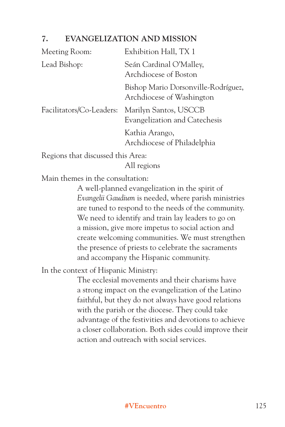#### **7. EVANGELIZATION AND MISSION**

| Meeting Room:            | Exhibition Hall, TX 1                                            |
|--------------------------|------------------------------------------------------------------|
| Lead Bishop:             | Seán Cardinal O'Malley,<br>Archdiocese of Boston                 |
|                          | Bishop Mario Dorsonville-Rodríguez,<br>Archdiocese of Washington |
| Facilitators/Co-Leaders: | Marilyn Santos, USCCB<br>Evangelization and Catechesis           |
|                          | Kathia Arango,<br>Archdiocese of Philadelphia                    |

Regions that discussed this Area:

All regions

Main themes in the consultation:

A well-planned evangelization in the spirit of *Evangelii Gaudium* is needed, where parish ministries are tuned to respond to the needs of the community. We need to identify and train lay leaders to go on a mission, give more impetus to social action and create welcoming communities. We must strengthen the presence of priests to celebrate the sacraments and accompany the Hispanic community.

In the context of Hispanic Ministry:

The ecclesial movements and their charisms have a strong impact on the evangelization of the Latino faithful, but they do not always have good relations with the parish or the diocese. They could take advantage of the festivities and devotions to achieve a closer collaboration. Both sides could improve their action and outreach with social services.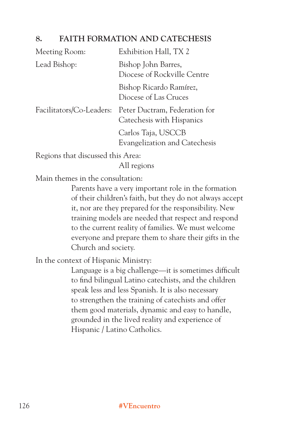#### **8. FAITH FORMATION AND CATECHESIS**

| Meeting Room:            | Exhibition Hall, TX 2                                      |
|--------------------------|------------------------------------------------------------|
| Lead Bishop:             | Bishop John Barres,<br>Diocese of Rockville Centre         |
|                          | Bishop Ricardo Ramírez,<br>Diocese of Las Cruces           |
| Facilitators/Co-Leaders: | Peter Ductram, Federation for<br>Catechesis with Hispanics |
|                          | Carlos Taja, USCCB<br>Evangelization and Catechesis        |
|                          |                                                            |

Regions that discussed this Area:

All regions

Main themes in the consultation:

Parents have a very important role in the formation of their children's faith, but they do not always accept it, nor are they prepared for the responsibility. New training models are needed that respect and respond to the current reality of families. We must welcome everyone and prepare them to share their gifts in the Church and society.

In the context of Hispanic Ministry:

Language is a big challenge—it is sometimes difficult to find bilingual Latino catechists, and the children speak less and less Spanish. It is also necessary to strengthen the training of catechists and offer them good materials, dynamic and easy to handle, grounded in the lived reality and experience of Hispanic / Latino Catholics.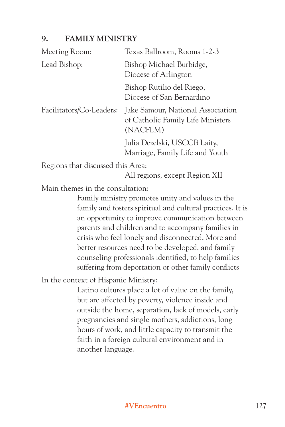#### **9. FAMILY MINISTRY**

| Meeting Room:            | Texas Ballroom, Rooms 1-2-3                                                        |
|--------------------------|------------------------------------------------------------------------------------|
| Lead Bishop:             | Bishop Michael Burbidge,<br>Diocese of Arlington                                   |
|                          | Bishop Rutilio del Riego,<br>Diocese of San Bernardino                             |
| Facilitators/Co-Leaders: | Jake Samour, National Association<br>of Catholic Family Life Ministers<br>(NACFLM) |
|                          | Julia Dezelski, USCCB Laity,<br>Marriage, Family Life and Youth                    |

Regions that discussed this Area:

All regions, except Region XII

Main themes in the consultation:

Family ministry promotes unity and values in the family and fosters spiritual and cultural practices. It is an opportunity to improve communication between parents and children and to accompany families in crisis who feel lonely and disconnected. More and better resources need to be developed, and family counseling professionals identified, to help families suffering from deportation or other family conflicts.

In the context of Hispanic Ministry:

Latino cultures place a lot of value on the family, but are affected by poverty, violence inside and outside the home, separation, lack of models, early pregnancies and single mothers, addictions, long hours of work, and little capacity to transmit the faith in a foreign cultural environment and in another language.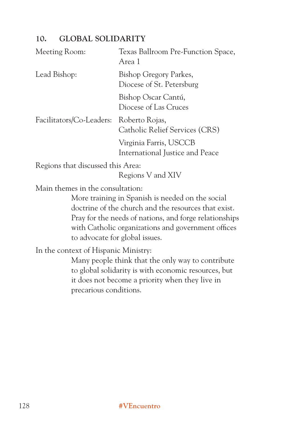# **10. GLOBAL SOLIDARITY**

| Meeting Room:                                                  | Texas Ballroom Pre-Function Space,<br>Area 1                                                                                                                                                                                                               |
|----------------------------------------------------------------|------------------------------------------------------------------------------------------------------------------------------------------------------------------------------------------------------------------------------------------------------------|
| Lead Bishop:                                                   | Bishop Gregory Parkes,<br>Diocese of St. Petersburg                                                                                                                                                                                                        |
|                                                                | Bishop Oscar Cantú,<br>Diocese of Las Cruces                                                                                                                                                                                                               |
| Facilitators/Co-Leaders:                                       | Roberto Rojas,<br>Catholic Relief Services (CRS)                                                                                                                                                                                                           |
|                                                                | Virginia Farris, USCCB<br>International Justice and Peace                                                                                                                                                                                                  |
| Regions that discussed this Area:                              | Regions V and XIV                                                                                                                                                                                                                                          |
| Main themes in the consultation:                               | More training in Spanish is needed on the social<br>doctrine of the church and the resources that exist.<br>Pray for the needs of nations, and forge relationships<br>with Catholic organizations and government offices<br>to advocate for global issues. |
| In the context of Hispanic Ministry:<br>precarious conditions. | Many people think that the only way to contribute<br>to global solidarity is with economic resources, but<br>it does not become a priority when they live in                                                                                               |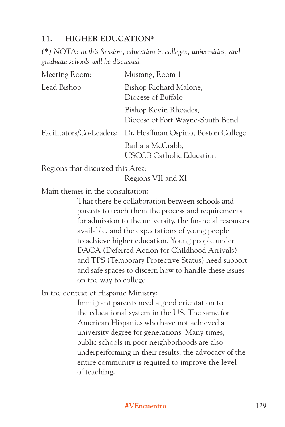#### **11. HIGHER EDUCATION\***

*(\*) NOTA: in this Session, education in colleges, universities, and graduate schools will be discussed.*

| Meeting Room: | Mustang, Room 1                                              |
|---------------|--------------------------------------------------------------|
| Lead Bishop:  | Bishop Richard Malone,<br>Diocese of Buffalo                 |
|               | Bishop Kevin Rhoades,<br>Diocese of Fort Wayne-South Bend    |
|               | Facilitators/Co-Leaders: Dr. Hosffman Ospino, Boston College |
|               | Barbara McCrabb,<br><b>USCCB Catholic Education</b>          |
|               |                                                              |

Regions that discussed this Area:

Regions VII and XI

Main themes in the consultation:

That there be collaboration between schools and parents to teach them the process and requirements for admission to the university, the financial resources available, and the expectations of young people to achieve higher education. Young people under DACA (Deferred Action for Childhood Arrivals) and TPS (Temporary Protective Status) need support and safe spaces to discern how to handle these issues on the way to college.

In the context of Hispanic Ministry:

Immigrant parents need a good orientation to the educational system in the US. The same for American Hispanics who have not achieved a university degree for generations. Many times, public schools in poor neighborhoods are also underperforming in their results; the advocacy of the entire community is required to improve the level of teaching.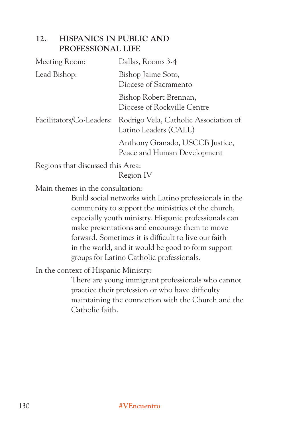#### **12. HISPANICS IN PUBLIC AND PROFESSIONAL LIFE**

| Meeting Room: | Dallas, Rooms 3-4                                                                       |
|---------------|-----------------------------------------------------------------------------------------|
| Lead Bishop:  | Bishop Jaime Soto,<br>Diocese of Sacramento                                             |
|               | Bishop Robert Brennan,<br>Diocese of Rockville Centre                                   |
|               | Facilitators/Co-Leaders: Rodrigo Vela, Catholic Association of<br>Latino Leaders (CALL) |
|               | Anthony Granado, USCCB Justice,<br>Peace and Human Development                          |

Regions that discussed this Area:

Region IV

Main themes in the consultation:

Build social networks with Latino professionals in the community to support the ministries of the church, especially youth ministry. Hispanic professionals can make presentations and encourage them to move forward. Sometimes it is difficult to live our faith in the world, and it would be good to form support groups for Latino Catholic professionals.

In the context of Hispanic Ministry:

There are young immigrant professionals who cannot practice their profession or who have difficulty maintaining the connection with the Church and the Catholic faith.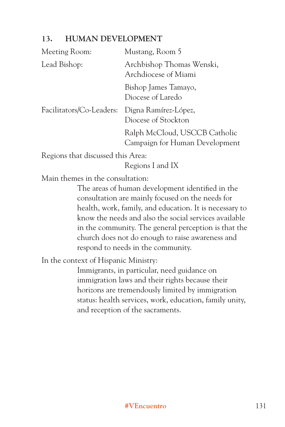#### **13. HUMAN DEVELOPMENT**

| Meeting Room:            | Mustang, Room 5                                                 |
|--------------------------|-----------------------------------------------------------------|
| Lead Bishop:             | Archbishop Thomas Wenski,<br>Archdiocese of Miami               |
|                          | Bishop James Tamayo,<br>Diocese of Laredo                       |
| Facilitators/Co-Leaders: | Digna Ramírez-López,<br>Diocese of Stockton                     |
|                          | Ralph McCloud, USCCB Catholic<br>Campaign for Human Development |
|                          |                                                                 |

Regions that discussed this Area:

Regions I and IX

Main themes in the consultation:

The areas of human development identified in the consultation are mainly focused on the needs for health, work, family, and education. It is necessary to know the needs and also the social services available in the community. The general perception is that the church does not do enough to raise awareness and respond to needs in the community.

In the context of Hispanic Ministry:

Immigrants, in particular, need guidance on immigration laws and their rights because their horizons are tremendously limited by immigration status: health services, work, education, family unity, and reception of the sacraments.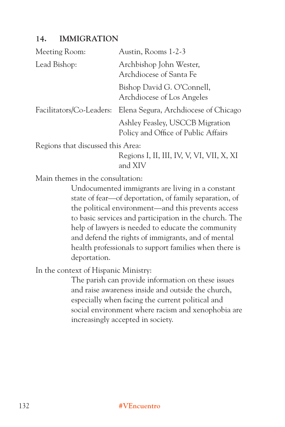#### **14. IMMIGRATION**

| Meeting Room:                     | Austin, Rooms 1-2-3                                                    |
|-----------------------------------|------------------------------------------------------------------------|
| Lead Bishop:                      | Archbishop John Wester,<br>Archdiocese of Santa Fe                     |
|                                   | Bishop David G. O'Connell,<br>Archdiocese of Los Angeles               |
| Facilitators/Co-Leaders:          | Elena Segura, Archdiocese of Chicago                                   |
|                                   | Ashley Feasley, USCCB Migration<br>Policy and Office of Public Affairs |
| Regions that discussed this Area: |                                                                        |
|                                   | Regions I, II, III, IV, V, VI, VII, X, XI<br>and XIV                   |

Main themes in the consultation:

Undocumented immigrants are living in a constant state of fear—of deportation, of family separation, of the political environment—and this prevents access to basic services and participation in the church. The help of lawyers is needed to educate the community and defend the rights of immigrants, and of mental health professionals to support families when there is deportation.

In the context of Hispanic Ministry:

The parish can provide information on these issues and raise awareness inside and outside the church, especially when facing the current political and social environment where racism and xenophobia are increasingly accepted in society.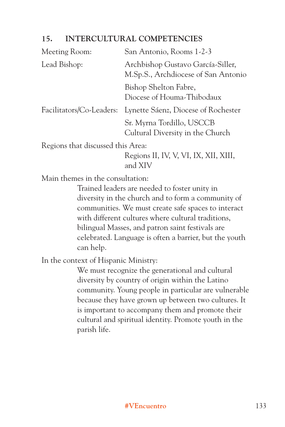#### **15. INTERCULTURAL COMPETENCIES**

| Meeting Room:                     | San Antonio, Rooms 1-2-3                                                 |
|-----------------------------------|--------------------------------------------------------------------------|
| Lead Bishop:                      | Archbishop Gustavo García-Siller,<br>M.Sp.S., Archdiocese of San Antonio |
|                                   | Bishop Shelton Fabre,<br>Diocese of Houma-Thibodaux                      |
|                                   | Facilitators/Co-Leaders: Lynette Sáenz, Diocese of Rochester             |
|                                   | Sr. Myrna Tordillo, USCCB<br>Cultural Diversity in the Church            |
| Regions that discussed this Area: |                                                                          |
|                                   | Regions II, IV, V, VI, IX, XII, XIII,                                    |

and XIV

Main themes in the consultation:

Trained leaders are needed to foster unity in diversity in the church and to form a community of communities. We must create safe spaces to interact with different cultures where cultural traditions, bilingual Masses, and patron saint festivals are celebrated. Language is often a barrier, but the youth can help.

In the context of Hispanic Ministry:

We must recognize the generational and cultural diversity by country of origin within the Latino community. Young people in particular are vulnerable because they have grown up between two cultures. It is important to accompany them and promote their cultural and spiritual identity. Promote youth in the parish life.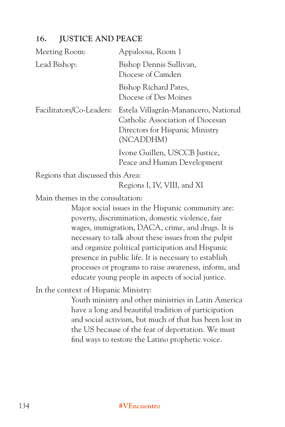#### **16. JUSTICE AND PEACE**

| Meeting Room:                     | Appaloosa, Room 1                                                                                                        |
|-----------------------------------|--------------------------------------------------------------------------------------------------------------------------|
| Lead Bishop:                      | Bishop Dennis Sullivan,<br>Diocese of Camden                                                                             |
|                                   | Bishop Richard Pates,<br>Diocese of Des Moines                                                                           |
| Facilitators/Co-Leaders:          | Estela Villagrán-Manancero, National<br>Catholic Association of Diocesan<br>Directors for Hispanic Ministry<br>(NCADDHM) |
|                                   | Ivone Guillen, USCCB Justice,<br>Peace and Human Development                                                             |
| Regions that discussed this Area: |                                                                                                                          |

Regions I, IV, VIII, and XI

Main themes in the consultation:

Major social issues in the Hispanic community are: poverty, discrimination, domestic violence, fair wages, immigration, DACA, crime, and drugs. It is necessary to talk about these issues from the pulpit and organize political participation and Hispanic presence in public life. It is necessary to establish processes or programs to raise awareness, inform, and educate young people in aspects of social justice.

In the context of Hispanic Ministry:

Youth ministry and other ministries in Latin America have a long and beautiful tradition of participation and social activism, but much of that has been lost in the US because of the fear of deportation. We must find ways to restore the Latino prophetic voice.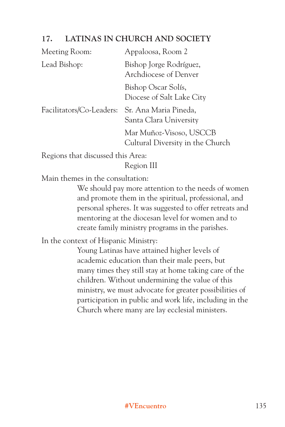#### **17. LATINAS IN CHURCH AND SOCIETY**

| <b>Meeting Room:</b>     | Appaloosa, Room 2                                           |
|--------------------------|-------------------------------------------------------------|
| Lead Bishop:             | Bishop Jorge Rodríguez,<br>Archdiocese of Denver            |
|                          | Bishop Oscar Solís,<br>Diocese of Salt Lake City            |
| Facilitators/Co-Leaders: | Sr. Ana Maria Pineda,<br>Santa Clara University             |
|                          | Mar Muñoz-Visoso, USCCB<br>Cultural Diversity in the Church |

Regions that discussed this Area:

Region III

Main themes in the consultation:

We should pay more attention to the needs of women and promote them in the spiritual, professional, and personal spheres. It was suggested to offer retreats and mentoring at the diocesan level for women and to create family ministry programs in the parishes.

In the context of Hispanic Ministry:

Young Latinas have attained higher levels of academic education than their male peers, but many times they still stay at home taking care of the children. Without undermining the value of this ministry, we must advocate for greater possibilities of participation in public and work life, including in the Church where many are lay ecclesial ministers.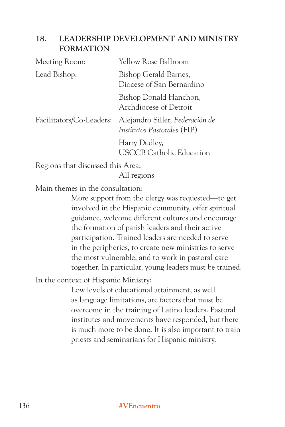#### **18. LEADERSHIP DEVELOPMENT AND MINISTRY FORMATION**

| Meeting Room:            | Yellow Rose Ballroom                                           |
|--------------------------|----------------------------------------------------------------|
| Lead Bishop:             | Bishop Gerald Barnes,<br>Diocese of San Bernardino             |
|                          | Bishop Donald Hanchon,<br>Archdiocese of Detroit               |
| Facilitators/Co-Leaders: | Alejandro Siller, Federación de<br>Institutos Pastorales (FIP) |
|                          | Harry Dudley,<br><b>USCCB Catholic Education</b>               |

Regions that discussed this Area:

All regions

Main themes in the consultation:

More support from the clergy was requested—to get involved in the Hispanic community, offer spiritual guidance, welcome different cultures and encourage the formation of parish leaders and their active participation. Trained leaders are needed to serve in the peripheries, to create new ministries to serve the most vulnerable, and to work in pastoral care together. In particular, young leaders must be trained.

In the context of Hispanic Ministry:

Low levels of educational attainment, as well as language limitations, are factors that must be overcome in the training of Latino leaders. Pastoral institutes and movements have responded, but there is much more to be done. It is also important to train priests and seminarians for Hispanic ministry.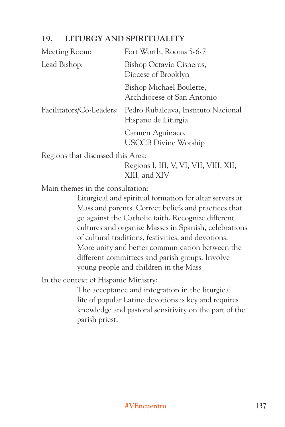#### **19. LITURGY AND SPIRITUALITY**

| Meeting Room:                     | Fort Worth, Rooms 5-6-7                                    |
|-----------------------------------|------------------------------------------------------------|
| Lead Bishop:                      | Bishop Octavio Cisneros,<br>Diocese of Brooklyn            |
|                                   | Bishop Michael Boulette,<br>Archdiocese of San Antonio     |
| Facilitators/Co-Leaders:          | Pedro Rubalcava, Instituto Nacional<br>Hispano de Liturgia |
|                                   | Carmen Aguinaco,<br><b>USCCB Divine Worship</b>            |
| Regions that discussed this Area: |                                                            |

Regions I, III, V, VI, VII, VIII, XII, XIII, and XIV

Main themes in the consultation:

Liturgical and spiritual formation for altar servers at Mass and parents. Correct beliefs and practices that go against the Catholic faith. Recognize different cultures and organize Masses in Spanish, celebrations of cultural traditions, festivities, and devotions. More unity and better communication between the different committees and parish groups. Involve young people and children in the Mass.

In the context of Hispanic Ministry:

The acceptance and integration in the liturgical life of popular Latino devotions is key and requires knowledge and pastoral sensitivity on the part of the parish priest.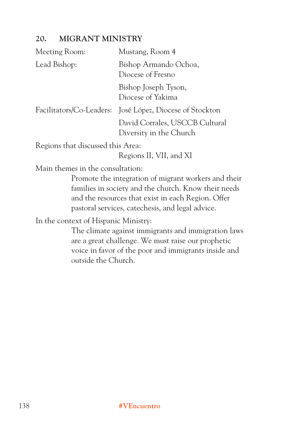## **20. MIGRANT MINISTRY**

| Meeting Room:                        | Mustang, Room 4                                                                                                                                                                                                        |
|--------------------------------------|------------------------------------------------------------------------------------------------------------------------------------------------------------------------------------------------------------------------|
| Lead Bishop:                         | Bishop Armando Ochoa,<br>Diocese of Fresno                                                                                                                                                                             |
|                                      | Bishop Joseph Tyson,<br>Diocese of Yakima                                                                                                                                                                              |
| Facilitators/Co-Leaders:             | José López, Diocese of Stockton                                                                                                                                                                                        |
|                                      | David Corrales, USCCB Cultural<br>Diversity in the Church                                                                                                                                                              |
| Regions that discussed this Area:    | Regions II, VII, and XI                                                                                                                                                                                                |
| Main themes in the consultation:     |                                                                                                                                                                                                                        |
|                                      | Promote the integration of migrant workers and their<br>families in society and the church. Know their needs<br>and the resources that exist in each Region. Offer<br>pastoral services, catechesis, and legal advice. |
| In the context of Hispanic Ministry: |                                                                                                                                                                                                                        |

The climate against immigrants and immigration laws are a great challenge. We must raise our prophetic voice in favor of the poor and immigrants inside and outside the Church.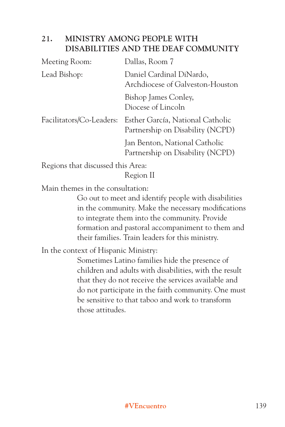#### **21. MINISTRY AMONG PEOPLE WITH DISABILITIES AND THE DEAF COMMUNITY**

| Meeting Room:            | Dallas, Room 7                                                       |
|--------------------------|----------------------------------------------------------------------|
| Lead Bishop:             | Daniel Cardinal DiNardo,<br>Archdiocese of Galveston-Houston         |
|                          | Bishop James Conley,<br>Diocese of Lincoln                           |
| Facilitators/Co-Leaders: | Esther García, National Catholic<br>Partnership on Disability (NCPD) |
|                          | Jan Benton, National Catholic<br>Partnership on Disability (NCPD)    |

Regions that discussed this Area:

Region II

Main themes in the consultation:

Go out to meet and identify people with disabilities in the community. Make the necessary modifications to integrate them into the community. Provide formation and pastoral accompaniment to them and their families. Train leaders for this ministry.

In the context of Hispanic Ministry:

Sometimes Latino families hide the presence of children and adults with disabilities, with the result that they do not receive the services available and do not participate in the faith community. One must be sensitive to that taboo and work to transform those attitudes.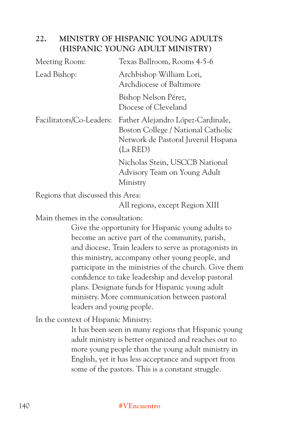## **22. MINISTRY OF HISPANIC YOUNG ADULTS (HISPANIC YOUNG ADULT MINISTRY)**

| Meeting Room:            | Texas Ballroom, Rooms 4-5-6                                                                                                |
|--------------------------|----------------------------------------------------------------------------------------------------------------------------|
| Lead Bishop:             | Archbishop William Lori,<br>Archdiocese of Baltimore                                                                       |
|                          | Bishop Nelson Pérez,<br>Diocese of Cleveland                                                                               |
| Facilitators/Co-Leaders: | Father Alejandro López-Cardinale,<br>Boston College / National Catholic<br>Network de Pastoral Juvenil Hispana<br>(La RED) |
|                          | Nicholas Stein, USCCB National<br>Advisory Team on Young Adult<br>Ministry                                                 |

Regions that discussed this Area:

All regions, except Region XIII

Main themes in the consultation:

Give the opportunity for Hispanic young adults to become an active part of the community, parish, and diocese. Train leaders to serve as protagonists in this ministry, accompany other young people, and participate in the ministries of the church. Give them confidence to take leadership and develop pastoral plans. Designate funds for Hispanic young adult ministry. More communication between pastoral leaders and young people.

In the context of Hispanic Ministry:

It has been seen in many regions that Hispanic young adult ministry is better organized and reaches out to more young people than the young adult ministry in English, yet it has less acceptance and support from some of the pastors. This is a constant struggle.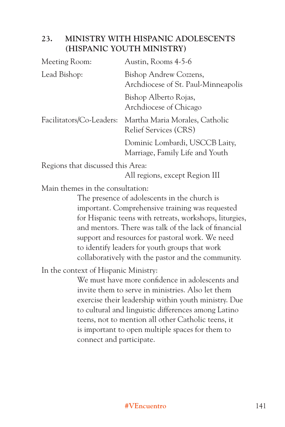## **23. MINISTRY WITH HISPANIC ADOLESCENTS (HISPANIC YOUTH MINISTRY)**

| Meeting Room:            | Austin, Rooms 4-5-6                                               |
|--------------------------|-------------------------------------------------------------------|
| Lead Bishop:             | Bishop Andrew Cozzens,<br>Archdiocese of St. Paul-Minneapolis     |
|                          | Bishop Alberto Rojas,<br>Archdiocese of Chicago                   |
| Facilitators/Co-Leaders: | Martha Maria Morales, Catholic<br><b>Relief Services (CRS)</b>    |
|                          | Dominic Lombardi, USCCB Laity,<br>Marriage, Family Life and Youth |

Regions that discussed this Area:

All regions, except Region III

Main themes in the consultation:

The presence of adolescents in the church is important. Comprehensive training was requested for Hispanic teens with retreats, workshops, liturgies, and mentors. There was talk of the lack of financial support and resources for pastoral work. We need to identify leaders for youth groups that work collaboratively with the pastor and the community.

In the context of Hispanic Ministry:

We must have more confidence in adolescents and invite them to serve in ministries. Also let them exercise their leadership within youth ministry. Due to cultural and linguistic differences among Latino teens, not to mention all other Catholic teens, it is important to open multiple spaces for them to connect and participate.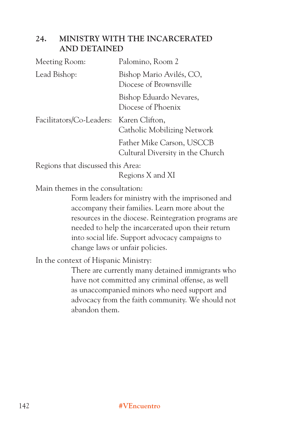# **24. MINISTRY WITH THE INCARCERATED AND DETAINED**

| Meeting Room:                           | Palomino, Room 2                                              |  |  |
|-----------------------------------------|---------------------------------------------------------------|--|--|
| Lead Bishop:                            | Bishop Mario Avilés, CO,<br>Diocese of Brownsville            |  |  |
|                                         | Bishop Eduardo Nevares,<br>Diocese of Phoenix                 |  |  |
| Facilitators/Co-Leaders: Karen Clifton, | Catholic Mobilizing Network                                   |  |  |
|                                         | Father Mike Carson, USCCB<br>Cultural Diversity in the Church |  |  |

Regions that discussed this Area:

Regions X and XI

Main themes in the consultation:

Form leaders for ministry with the imprisoned and accompany their families. Learn more about the resources in the diocese. Reintegration programs are needed to help the incarcerated upon their return into social life. Support advocacy campaigns to change laws or unfair policies.

In the context of Hispanic Ministry:

There are currently many detained immigrants who have not committed any criminal offense, as well as unaccompanied minors who need support and advocacy from the faith community. We should not abandon them.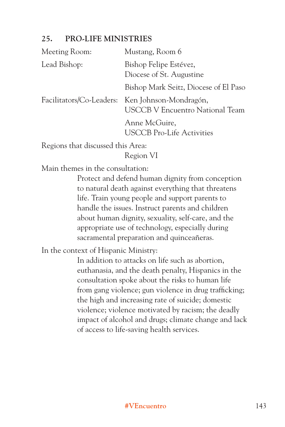# **25. PRO-LIFE MINISTRIES**

| Meeting Room: | Mustang, Room 6                                                                           |
|---------------|-------------------------------------------------------------------------------------------|
| Lead Bishop:  | Bishop Felipe Estévez,<br>Diocese of St. Augustine                                        |
|               | Bishop Mark Seitz, Diocese of El Paso                                                     |
|               | Facilitators/Co-Leaders: Ken Johnson-Mondragón,<br><b>USCCB V Encuentro National Team</b> |
|               | Anne McGuire,<br><b>USCCB</b> Pro-Life Activities                                         |
|               |                                                                                           |

Regions that discussed this Area:

Region VI

Main themes in the consultation:

Protect and defend human dignity from conception to natural death against everything that threatens life. Train young people and support parents to handle the issues. Instruct parents and children about human dignity, sexuality, self-care, and the appropriate use of technology, especially during sacramental preparation and quinceañeras.

In the context of Hispanic Ministry:

In addition to attacks on life such as abortion, euthanasia, and the death penalty, Hispanics in the consultation spoke about the risks to human life from gang violence; gun violence in drug trafficking; the high and increasing rate of suicide; domestic violence; violence motivated by racism; the deadly impact of alcohol and drugs; climate change and lack of access to life-saving health services.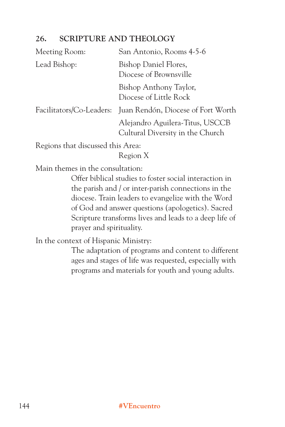# **26. SCRIPTURE AND THEOLOGY**

| Meeting Room:                     | San Antonio, Rooms 4-5-6                                            |
|-----------------------------------|---------------------------------------------------------------------|
| Lead Bishop:                      | Bishop Daniel Flores,<br>Diocese of Brownsville                     |
|                                   | Bishop Anthony Taylor,<br>Diocese of Little Rock                    |
|                                   | Facilitators/Co-Leaders: Juan Rendón, Diocese of Fort Worth         |
|                                   | Alejandro Aguilera-Titus, USCCB<br>Cultural Diversity in the Church |
| Regions that discussed this Area: |                                                                     |

Region X

Main themes in the consultation:

Offer biblical studies to foster social interaction in the parish and / or inter-parish connections in the diocese. Train leaders to evangelize with the Word of God and answer questions (apologetics). Sacred Scripture transforms lives and leads to a deep life of prayer and spirituality.

In the context of Hispanic Ministry:

The adaptation of programs and content to different ages and stages of life was requested, especially with programs and materials for youth and young adults.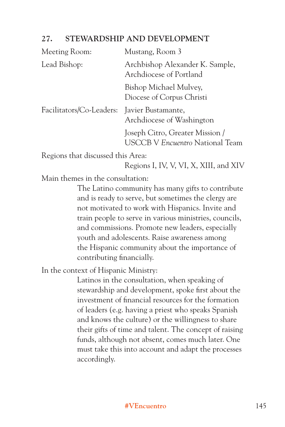# **27. STEWARDSHIP AND DEVELOPMENT**

| Meeting Room:            | Mustang, Room 3                                                           |  |  |
|--------------------------|---------------------------------------------------------------------------|--|--|
| Lead Bishop:             | Archbishop Alexander K. Sample,<br>Archdiocese of Portland                |  |  |
|                          | Bishop Michael Mulvey,<br>Diocese of Corpus Christi                       |  |  |
| Facilitators/Co-Leaders: | Javier Bustamante,<br>Archdiocese of Washington                           |  |  |
|                          | Joseph Citro, Greater Mission /<br><b>USCCB V Encuentro National Team</b> |  |  |
|                          |                                                                           |  |  |

Regions that discussed this Area:

Regions I, IV, V, VI, X, XIII, and XIV

Main themes in the consultation:

The Latino community has many gifts to contribute and is ready to serve, but sometimes the clergy are not motivated to work with Hispanics. Invite and train people to serve in various ministries, councils, and commissions. Promote new leaders, especially youth and adolescents. Raise awareness among the Hispanic community about the importance of contributing financially.

In the context of Hispanic Ministry:

Latinos in the consultation, when speaking of stewardship and development, spoke first about the investment of financial resources for the formation of leaders (e.g. having a priest who speaks Spanish and knows the culture) or the willingness to share their gifts of time and talent. The concept of raising funds, although not absent, comes much later. One must take this into account and adapt the processes accordingly.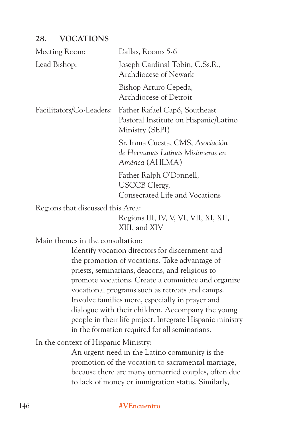# **28. VOCATIONS**

| Meeting Room:                     | Dallas, Rooms 5-6                                                                         |
|-----------------------------------|-------------------------------------------------------------------------------------------|
| Lead Bishop:                      | Joseph Cardinal Tobin, C.Ss.R.,<br><b>Archdiocese of Newark</b>                           |
|                                   | Bishop Arturo Cepeda,<br>Archdiocese of Detroit                                           |
| Facilitators/Co-Leaders:          | Father Rafael Capó, Southeast<br>Pastoral Institute on Hispanic/Latino<br>Ministry (SEPI) |
|                                   | Sr. Inma Cuesta, CMS, Asociación<br>de Hermanas Latinas Misioneras en<br>América (AHLMA)  |
|                                   | Father Ralph O'Donnell,<br><b>USCCB</b> Clergy,<br>Consecrated Life and Vocations         |
| Regions that discussed this Area: |                                                                                           |

Regions III, IV, V, VI, VII, XI, XII, XIII, and XIV

Main themes in the consultation:

Identify vocation directors for discernment and the promotion of vocations. Take advantage of priests, seminarians, deacons, and religious to promote vocations. Create a committee and organize vocational programs such as retreats and camps. Involve families more, especially in prayer and dialogue with their children. Accompany the young people in their life project. Integrate Hispanic ministry in the formation required for all seminarians.

In the context of Hispanic Ministry:

An urgent need in the Latino community is the promotion of the vocation to sacramental marriage, because there are many unmarried couples, often due to lack of money or immigration status. Similarly,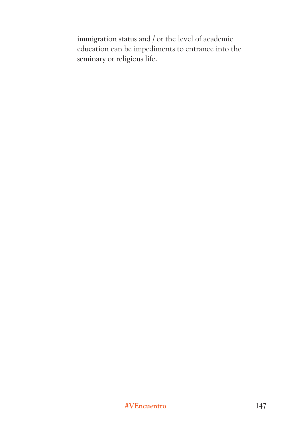immigration status and / or the level of academic education can be impediments to entrance into the seminary or religious life.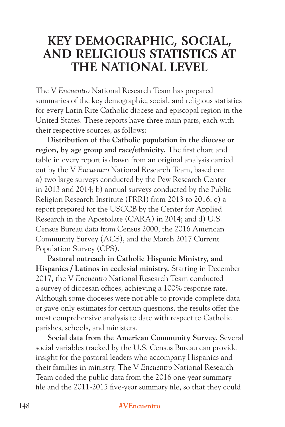# **KEY DEMOGRAPHIC, SOCIAL, AND RELIGIOUS STATISTICS AT THE NATIONAL LEVEL**

The V *Encuentro* National Research Team has prepared summaries of the key demographic, social, and religious statistics for every Latin Rite Catholic diocese and episcopal region in the United States. These reports have three main parts, each with their respective sources, as follows:

**Distribution of the Catholic population in the diocese or region, by age group and race/ethnicity.** The first chart and table in every report is drawn from an original analysis carried out by the V *Encuentro* National Research Team, based on: a) two large surveys conducted by the Pew Research Center in 2013 and 2014; b) annual surveys conducted by the Public Religion Research Institute (PRRI) from 2013 to 2016; c) a report prepared for the USCCB by the Center for Applied Research in the Apostolate (CARA) in 2014; and d) U.S. Census Bureau data from Census 2000, the 2016 American Community Survey (ACS), and the March 2017 Current Population Survey (CPS).

**Pastoral outreach in Catholic Hispanic Ministry, and Hispanics / Latinos in ecclesial ministry.** Starting in December 2017, the V *Encuentro* National Research Team conducted a survey of diocesan offices, achieving a 100% response rate. Although some dioceses were not able to provide complete data or gave only estimates for certain questions, the results offer the most comprehensive analysis to date with respect to Catholic parishes, schools, and ministers.

**Social data from the American Community Survey.** Several social variables tracked by the U.S. Census Bureau can provide insight for the pastoral leaders who accompany Hispanics and their families in ministry. The V *Encuentro* National Research Team coded the public data from the 2016 one-year summary file and the 2011-2015 five-year summary file, so that they could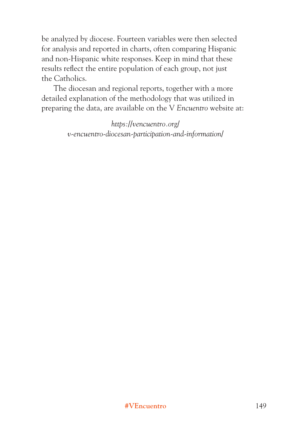be analyzed by diocese. Fourteen variables were then selected for analysis and reported in charts, often comparing Hispanic and non-Hispanic white responses. Keep in mind that these results reflect the entire population of each group, not just the Catholics.

The diocesan and regional reports, together with a more detailed explanation of the methodology that was utilized in preparing the data, are available on the V *Encuentro* website at:

> *https://vencuentro.org/ v-encuentro-diocesan-participation-and-information/*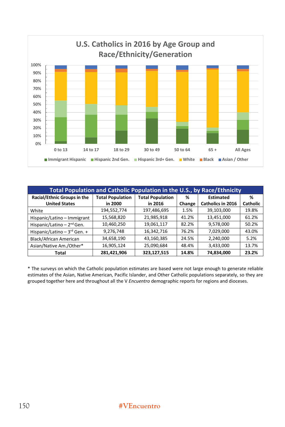

| Total Population and Catholic Population in the U.S., by Race/Ethnicity                                    |             |             |        |                          |                 |  |  |  |
|------------------------------------------------------------------------------------------------------------|-------------|-------------|--------|--------------------------|-----------------|--|--|--|
| Racial/Ethnic Groups in the<br><b>Total Population</b><br><b>Total Population</b><br><b>Estimated</b><br>% |             |             |        |                          |                 |  |  |  |
| <b>United States</b>                                                                                       | in 2000     | in 2016     | Change | <b>Catholics in 2016</b> | <b>Catholic</b> |  |  |  |
| White                                                                                                      | 194,552,774 | 197,486,695 | 1.5%   | 39,103,000               | 19.8%           |  |  |  |
| Hispanic/Latino - Immigrant                                                                                | 15,568,820  | 21,985,918  | 41.2%  | 13,451,000               | 61.2%           |  |  |  |
| Hispanic/Latino $-2^{nd}$ Gen.                                                                             | 10,460,250  | 19,061,117  | 82.2%  | 9,578,000                | 50.2%           |  |  |  |
| Hispanic/Latino $-3^{rd}$ Gen. $+$                                                                         | 9,276,748   | 16,342,716  | 76.2%  | 7,029,000                | 43.0%           |  |  |  |
| Black/African American                                                                                     | 34,658,190  | 43,160,385  | 24.5%  | 2,240,000                | 5.2%            |  |  |  |
| Asian/Native Am./Other*                                                                                    | 16,905,124  | 25,090,684  | 48.4%  | 3,433,000                | 13.7%           |  |  |  |
| Total                                                                                                      | 281,421,906 | 323,127,515 | 14.8%  | 74,834,000               | 23.2%           |  |  |  |

\* The surveys on which the Catholic population estimates are based were not large enough to generate reliable estimates of the Asian, Native American, Pacific Islander, and Other Catholic populations separately, so they are grouped together here and throughout all the V *Encuentro* demographic reports for regions and dioceses.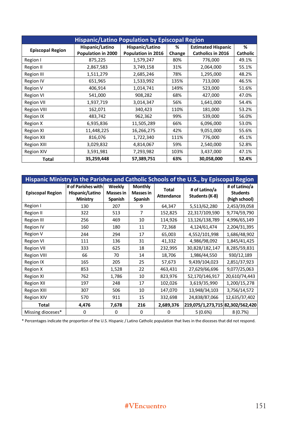| <b>Hispanic/Latino Population by Episcopal Region</b> |                    |                    |        |                           |                 |  |  |
|-------------------------------------------------------|--------------------|--------------------|--------|---------------------------|-----------------|--|--|
| <b>Episcopal Region</b>                               | Hispanic/Latino    | Hispanic/Latino    | ℅      | <b>Estimated Hispanic</b> | %               |  |  |
|                                                       | Population in 2000 | Population in 2016 | Change | Catholics in 2016         | <b>Catholic</b> |  |  |
| Region I                                              | 875,225            | 1,579,247          | 80%    | 776,000                   | 49.1%           |  |  |
| Region II                                             | 2,867,583          | 3,749,158          | 31%    | 2,064,000                 | 55.1%           |  |  |
| <b>Region III</b>                                     | 1,511,279          | 2,685,246          | 78%    | 1,295,000                 | 48.2%           |  |  |
| <b>Region IV</b>                                      | 651,965            | 1,533,992          | 135%   | 713,000                   | 46.5%           |  |  |
| Region V                                              | 406,914            | 1,014,741          | 149%   | 523,000                   | 51.6%           |  |  |
| <b>Region VI</b>                                      | 541,000            | 908,282            | 68%    | 427,000                   | 47.0%           |  |  |
| <b>Region VII</b>                                     | 1,937,719          | 3,014,347          | 56%    | 1,641,000                 | 54.4%           |  |  |
| <b>Region VIII</b>                                    | 162,071            | 340,423            | 110%   | 181,000                   | 53.2%           |  |  |
| <b>Region IX</b>                                      | 483,742            | 962,362            | 99%    | 539,000                   | 56.0%           |  |  |
| Region X                                              | 6,935,836          | 11,505,289         | 66%    | 6,096,000                 | 53.0%           |  |  |
| <b>Region XI</b>                                      | 11,448,225         | 16,266,275         | 42%    | 9,051,000                 | 55.6%           |  |  |
| <b>Region XII</b>                                     | 816,076            | 1,722,340          | 111%   | 776,000                   | 45.1%           |  |  |
| <b>Region XIII</b>                                    | 3,029,832          | 4,814,067          | 59%    | 2,540,000                 | 52.8%           |  |  |
| <b>Region XIV</b>                                     | 3,591,981          | 7,293,982          | 103%   | 3,437,000                 | 47.1%           |  |  |
| Total                                                 | 35,259,448         | 57,389,751         | 63%    | 30,058,000                | 52.4%           |  |  |

| Hispanic Ministry in the Parishes and Catholic Schools of the U.S., by Episcopal Region |                                                   |                                       |                                               |                                   |                                  |                                                   |  |
|-----------------------------------------------------------------------------------------|---------------------------------------------------|---------------------------------------|-----------------------------------------------|-----------------------------------|----------------------------------|---------------------------------------------------|--|
| <b>Episcopal Region</b>                                                                 | # of Parishes with<br>Hispanic/Latino<br>Ministry | Weekly<br><b>Masses in</b><br>Spanish | <b>Monthly</b><br><b>Masses in</b><br>Spanish | <b>Total</b><br><b>Attendance</b> | # of Latino/a<br>Students (K-8)  | # of Latino/a<br><b>Students</b><br>(high school) |  |
| Region I                                                                                | 130                                               | 207                                   | 9                                             | 64,347                            | 5,513/62,280                     | 2,453/39,058                                      |  |
| Region II                                                                               | 322                                               | 513                                   | $\overline{7}$                                | 152,825                           | 22,317/109,590                   | 9,774/59,790                                      |  |
| <b>Region III</b>                                                                       | 256                                               | 469                                   | 10                                            | 114,926                           | 13,126/138,789                   | 4,996/65,149                                      |  |
| <b>Region IV</b>                                                                        | 160                                               | 180                                   | 11                                            | 72,368                            | 4,124/61,474                     | 2,204/31,395                                      |  |
| <b>Region V</b>                                                                         | 244                                               | 294                                   | 17                                            | 65,003                            | 4,552/101,998                    | 1,686/48,902                                      |  |
| <b>Region VI</b>                                                                        | 111                                               | 136                                   | 31                                            | 41,332                            | 4,986/98,092                     | 1,845/41,425                                      |  |
| <b>Region VII</b>                                                                       | 333                                               | 625                                   | 18                                            | 232,995                           | 30,828/182,147                   | 8,285/59,831                                      |  |
| <b>Region VIII</b>                                                                      | 66                                                | 70                                    | 14                                            | 18,706                            | 1,986/44,550                     | 930/12,189                                        |  |
| Region IX                                                                               | 165                                               | 205                                   | 25                                            | 57,673                            | 9,439/104,023                    | 2,851/37,923                                      |  |
| Region X                                                                                | 853                                               | 1,528                                 | 22                                            | 463,431                           | 27,629/66,696                    | 9,077/25,063                                      |  |
| Region XI                                                                               | 762                                               | 1,786                                 | 10                                            | 823,976                           | 52,170/146,917                   | 20,610/74,443                                     |  |
| <b>Region XII</b>                                                                       | 197                                               | 248                                   | 17                                            | 102,026                           | 3,619/35,990                     | 1,200/15,278                                      |  |
| <b>Region XIII</b>                                                                      | 307                                               | 506                                   | 10                                            | 147,070                           | 13,948/34,103                    | 3,756/14,572                                      |  |
| <b>Region XIV</b>                                                                       | 570                                               | 911                                   | 15                                            | 332,698                           | 24,838/87,066                    | 12,635/37,402                                     |  |
| Total                                                                                   | 4,476                                             | 7,678                                 | 216                                           | 2,689,376                         | 219,075/1,273,715 82,302/562,420 |                                                   |  |
| Missing dioceses*                                                                       | $\Omega$                                          | 0                                     | 0                                             | 0                                 | 5(0.6%)                          | 8(0.7%)                                           |  |

\* Percentages indicate the proportion of the U.S. Hispanic / Latino Catholic population that lives in the dioceses that did not respond.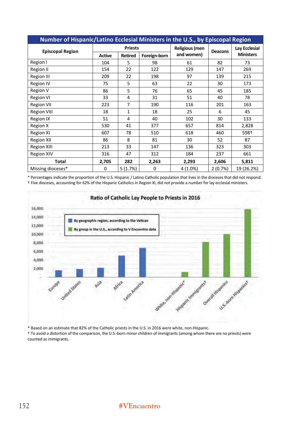| Number of Hispanic/Latino Ecclesial Ministers in the U.S., by Episcopal Region |                |                |              |                |                |                  |  |
|--------------------------------------------------------------------------------|----------------|----------------|--------------|----------------|----------------|------------------|--|
|                                                                                | <b>Priests</b> |                |              | Religious (men |                | Lay Ecclesial    |  |
| <b>Episcopal Region</b>                                                        | <b>Active</b>  | <b>Retired</b> | Foreign-born | and women)     | <b>Deacons</b> | <b>Ministers</b> |  |
| Region I                                                                       | 104            | 5              | 98           | 61             | 82             | 73               |  |
| Region II                                                                      | 154            | 22             | 122          | 129            | 147            | 269              |  |
| <b>Region III</b>                                                              | 209            | 22             | 198          | 97             | 139            | 215              |  |
| <b>Region IV</b>                                                               | 75             | 5              | 63           | 22             | 30             | 173              |  |
| Region V                                                                       | 86             | 5              | 76           | 65             | 45             | 185              |  |
| <b>Region VI</b>                                                               | 33             | 4              | 31           | 51             | 40             | 78               |  |
| <b>Region VII</b>                                                              | 223            | 7              | 190          | 116            | 201            | 163              |  |
| <b>Region VIII</b>                                                             | 18             | 1              | 18           | 25             | 6              | 45               |  |
| <b>Region IX</b>                                                               | 51             | 4              | 40           | 102            | 30             | 133              |  |
| Region X                                                                       | 530            | 41             | 377          | 657            | 814            | 2,828            |  |
| <b>Region XI</b>                                                               | 607            | 78             | 510          | 618            | 460            | 598+             |  |
| <b>Region XII</b>                                                              | 86             | 8              | 81           | 30             | 52             | 87               |  |
| <b>Region XIII</b>                                                             | 213            | 33             | 147          | 136            | 323            | 303              |  |
| <b>Region XIV</b>                                                              | 316            | 47             | 312          | 184            | 237            | 661              |  |
| Total                                                                          | 2,705          | 282            | 2,263        | 2,293          | 2,606          | 5,811            |  |
| Missing dioceses*                                                              | 0              | 5(1.7%)        | 0            | 4 (1.0%)       | 2(0.7%)        | 19 (26.2%)       |  |

\* Percentages indicate the proportion of the U.S. Hispanic / Latino Catholic population that lives in the dioceses that did not respond. + Five dioceses, accounting for 62% of the Hispanic Catholics in Region XI, did not provide a number for lay ecclesial ministers.



### Ratio of Catholic Lay People to Priests in 2016

\* Based on an estimate that 82% of the Catholic priests in the U.S. in 2016 were white, non-Hispanic.

+ To avoid a distortion of the comparison, the U.S.-born minor children of immigrants (among whom there are no priests) were counted as immigrants.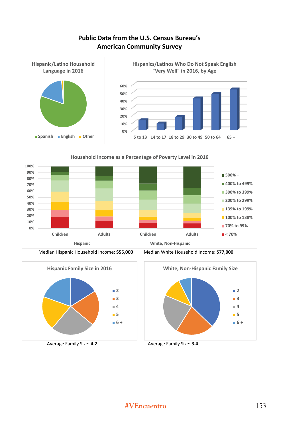## **Public ata from the U.S. Census Bureau?s American Community Survey**









Median Hispanic Household Income: \$55,000 Median White Household Income: \$77,000



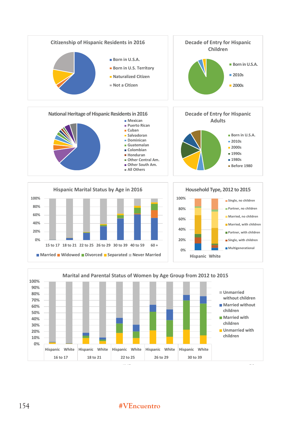

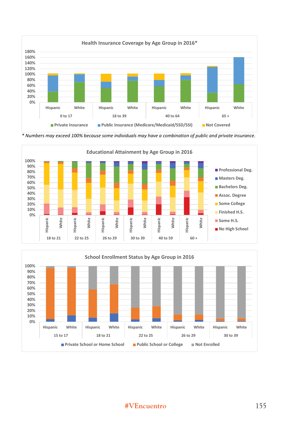

\* Numbers may exceed 100% because some individuals may have a combination of public and private insurance.



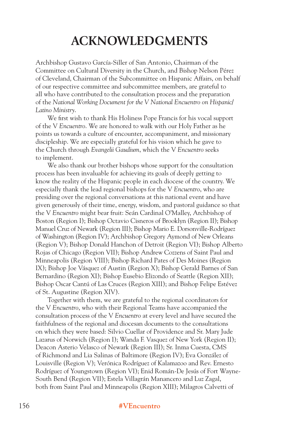# **ACKNOWLEDGMENTS**

Archbishop Gustavo García-Siller of San Antonio, Chairman of the Committee on Cultural Diversity in the Church, and Bishop Nelson Pérez of Cleveland, Chairman of the Subcommittee on Hispanic Affairs, on behalf of our respective committee and subcommittee members, are grateful to all who have contributed to the consultation process and the preparation of the *National Working Document for the V National Encuentro on Hispanic/ Latino Ministry*.

We first wish to thank His Holiness Pope Francis for his vocal support of the V *Encuentro*. We are honored to walk with our Holy Father as he points us towards a culture of encounter, accompaniment, and missionary discipleship. We are especially grateful for his vision which he gave to the Church through *Evangelii Gaudium*, which the V *Encuentro* seeks to implement.

We also thank our brother bishops whose support for the consultation process has been invaluable for achieving its goals of deeply getting to know the reality of the Hispanic people in each diocese of the country. We especially thank the lead regional bishops for the V *Encuentro*, who are presiding over the regional conversations at this national event and have given generously of their time, energy, wisdom, and pastoral guidance so that the V *Encuentro* might bear fruit: Seán Cardinal O'Malley, Archbishop of Boston (Region I); Bishop Octavio Cisneros of Brooklyn (Region II); Bishop Manuel Cruz of Newark (Region III); Bishop Mario E. Dorsonville-Rodríguez of Washington (Region IV); Archbishop Gregory Aymond of New Orleans (Region V); Bishop Donald Hanchon of Detroit (Region VI); Bishop Alberto Rojas of Chicago (Region VII); Bishop Andrew Cozzens of Saint Paul and Minneapolis (Region VIII); Bishop Richard Pates of Des Moines (Region IX); Bishop Joe Vásquez of Austin (Region X); Bishop Gerald Barnes of San Bernardino (Region XI); Bishop Eusebio Elizondo of Seattle (Region XII); Bishop Oscar Cantú of Las Cruces (Region XIII); and Bishop Felipe Estévez of St. Augustine (Region XIV).

Together with them, we are grateful to the regional coordinators for the V *Encuentro*, who with their Regional Teams have accompanied the consultation process of the V *Encuentro* at every level and have secured the faithfulness of the regional and diocesan documents to the consultations on which they were based: Silvio Cuellar of Providence and Sr. Mary Jude Lazarus of Norwich (Region I); Wanda F. Vasquez of New York (Region II); Deacon Asterio Velasco of Newark (Region III); Sr. Inma Cuesta, CMS of Richmond and Lia Salinas of Baltimore (Region IV); Eva González of Louisville (Region V); Verónica Rodríguez of Kalamazoo and Rev. Ernesto Rodríguez of Youngstown (Region VI); Enid Román-De Jesús of Fort Wayne-South Bend (Region VII); Estela Villagrán Manancero and Luz Zagal, both from Saint Paul and Minneapolis (Region XIII); Milagros Calvetti of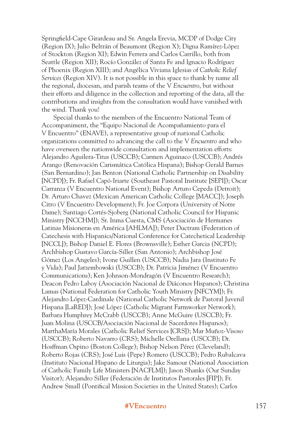Springfield-Cape Girardeau and Sr. Angela Erevia, MCDP of Dodge City (Region IX); Julio Beltrán of Beaumont (Region X); Digna Ramírez-López of Stockton (Region XI); Edwin Ferrera and Carlos Carrillo, both from Seattle (Region XII); Rocío González of Santa Fe and Ignacio Rodríguez of Phoenix (Region XIII); and Angélica Viviana Iglesias of *Catholic Relief Services* (Region XIV). It is not possible in this space to thank by name all the regional, diocesan, and parish teams of the V *Encuentro*, but without their efforts and diligence in the collection and reporting of the data, all the contributions and insights from the consultation would have vanished with the wind. Thank you!

Special thanks to the members of the Encuentro National Team of Accompaniment, the "Equipo Nacional de Acompañamiento para el V Encuentro" (ENAVE), a representative group of national Catholic organizations committed to advancing the call to the V *Encuentro* and who have overseen the nationwide consultation and implementation efforts: Alejandro Aguilera-Titus (USCCB); Carmen Aguinaco (USCCB); Andrés Arango (Renovación Carismática Católica Hispana); Bishop Gerald Barnes (San Bernardino); Jan Benton (National Catholic Partnership on Disability [NCPD]); Fr. Rafael Capó-Iriarte (Southeast Pastoral Institute [SEPI]); Oscar Carranza (V Encuentro National Event); Bishop Arturo Cepeda (Detroit); Dr. Arturo Chavez (Mexican American Catholic College [MACC]); Joseph Citro (V Encuentro Development); Fr. Joe Corpora (University of Notre Dame); Santiago Cortés-Sjoberg (National Catholic Council for Hispanic Ministry [NCCHM]); Sr. Inma Cuesta, CMS (Asociación de Hermanes Latinas Misioneras en América [AHLMA]); Peter Ductram (Federation of Catechesis with Hispanics/National Conference for Catechetical Leadership [NCCL]); Bishop Daniel E. Flores (Brownsville); Esther Garcia (NCPD); Archbishop Gustavo García-Siller (San Antonio); Archbishop José Gómez (Los Angeles); Ivone Guillen (USCCB); Nadia Jara (Instituto Fe y Vida); Paul Jarzembowski (USCCB); Dr. Patricia Jiménez (V Encuentro Communications); Ken Johnson-Mondragón (V Encuentro Research); Deacon Pedro Laboy (Asociación Nacional de Diáconos Hispanos); Christina Lamas (National Federation for Catholic Youth Ministry [NFCYM]); Fr. Alejandro López-Cardinale (National Catholic Network de Pastoral Juvenil Hispana [LaRED]); José López (Catholic Migrant Farmworker Network); Barbara Humphrey McCrabb (USCCB); Anne McGuire (USCCB); Fr. Juan Molina (USCCB/Asociación Nacional de Sacerdotes Hispanos); MarthaMaría Morales (Catholic Relief Services [CRS]); Mar Muñoz-Visoso (USCCB); Roberto Navarro (CRS); Michelle Orellana (USCCB); Dr. Hosffman Ospino (Boston College); Bishop Nelson Pérez (Cleveland); Roberto Rojas (CRS); José Luis (Pepe) Romero (USCCB); Pedro Rubalcava (Instituto Nacional Hispano de Liturgia); Jake Samour (National Association of Catholic Family Life Ministers [NACFLM]); Jason Shanks (Our Sunday Visitor); Alejandro Siller (Federación de Institutos Pastorales [FIP]); Fr. Andrew Small (Pontifical Mission Societies in the United States); Carlos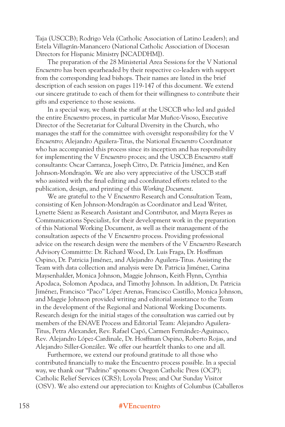Taja (USCCB); Rodrigo Vela (Catholic Association of Latino Leaders); and Estela Villagrán-Manancero (National Catholic Association of Diocesan Directors for Hispanic Ministry [NCADDHM]).

The preparation of the 28 Ministerial Area Sessions for the V National *Encuentro* has been spearheaded by their respective co-leaders with support from the corresponding lead bishops. Their names are listed in the brief description of each session on pages 119-147 of this document. We extend our sincere gratitude to each of them for their willingness to contribute their gifts and experience to those sessions.

In a special way, we thank the staff at the USCCB who led and guided the entire *Encuentro* process, in particular Mar Muñoz-Visoso, Executive Director of the Secretariat for Cultural Diversity in the Church, who manages the staff for the committee with oversight responsibility for the V *Encuentro*; Alejandro Aguilera-Titus, the National *Encuentro* Coordinator who has accompanied this process since its inception and has responsibility for implementing the V *Encuentro* proces; and the USCCB *Encuentro* staff consultants: Oscar Carranza, Joseph Citro, Dr. Patricia Jiménez, and Ken Johnson-Mondragón. We are also very appreciative of the USCCB staff who assisted with the final editing and coordinated efforts related to the publication, design, and printing of this *Working Document*.

We are grateful to the V *Encuentro* Research and Consultation Team, consisting of Ken Johnson-Mondragón as Coordinator and Lead Writer, Lynette Sáenz as Research Assistant and Contributor, and Mayra Reyes as Communications Specialist, for their development work in the preparation of this National Working Document, as well as their management of the consultation aspects of the V *Encuentro* process. Providing professional advice on the research design were the members of the V *Encuentro* Research Advisory Committte: Dr. Richard Wood, Dr. Luis Fraga, Dr. Hosffman Ospino, Dr. Patricia Jiménez, and Alejandro Aguilera-Titus. Assisting the Team with data collection and analysis were Dr. Patricia Jiménez, Carina Maysenhalder, Monica Johnson, Maggie Johnson, Keith Flynn, Cynthia Apodaca, Solomon Apodaca, and Timothy Johnson. In addition, Dr. Patricia Jiménez, Francisco "Paco" López Arenas, Francisco Castillo, Monica Johnson, and Maggie Johnson provided writing and editorial assistance to the Team in the development of the Regional and National Working Documents. Research design for the initial stages of the consultation was carried out by members of the ENAVE Process and Editorial Team: Alejandro Aguilera-Titus, Petra Alexander, Rev. Rafael Capó, Carmen Fernández-Aguinaco, Rev. Alejandro López-Cardinale, Dr. Hosffman Ospino, Roberto Rojas, and Alejandro Siller-González. We offer our heartfelt thanks to one and all.

Furthermore, we extend our profound gratitude to all those who contributed financially to make the Encuentro process possible. In a special way, we thank our "Padrino" sponsors: Oregon Catholic Press (OCP); Catholic Relief Services (CRS); Loyola Press; and Our Sunday Visitor (OSV). We also extend our appreciation to: Knights of Columbus (Caballeros